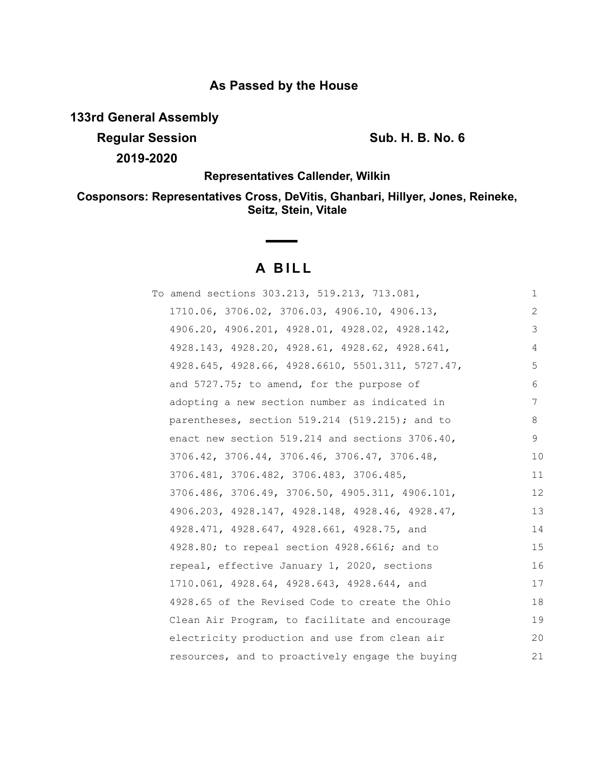## **As Passed by the House**

**133rd General Assembly**

**Regular Session Sub. H. B. No. 6 Sub. H. B. No. 6** 

**2019-2020**

**Representatives Callender, Wilkin**

**Cosponsors: Representatives Cross, DeVitis, Ghanbari, Hillyer, Jones, Reineke, Seitz, Stein, Vitale**

# **A BILL**

 $\begin{array}{c} \begin{array}{c} \begin{array}{c} \begin{array}{c} \end{array} \\ \end{array} \end{array} \end{array} \end{array}$ 

| To amend sections 303.213, 519.213, 713.081,     | 1  |
|--------------------------------------------------|----|
| 1710.06, 3706.02, 3706.03, 4906.10, 4906.13,     | 2  |
| 4906.20, 4906.201, 4928.01, 4928.02, 4928.142,   | 3  |
| 4928.143, 4928.20, 4928.61, 4928.62, 4928.641,   | 4  |
| 4928.645, 4928.66, 4928.6610, 5501.311, 5727.47, | 5  |
| and 5727.75; to amend, for the purpose of        | 6  |
| adopting a new section number as indicated in    | 7  |
| parentheses, section $519.214$ (519.215); and to | 8  |
| enact new section 519.214 and sections 3706.40,  | 9  |
| 3706.42, 3706.44, 3706.46, 3706.47, 3706.48,     | 10 |
| 3706.481, 3706.482, 3706.483, 3706.485,          | 11 |
| 3706.486, 3706.49, 3706.50, 4905.311, 4906.101,  | 12 |
| 4906.203, 4928.147, 4928.148, 4928.46, 4928.47,  | 13 |
| 4928.471, 4928.647, 4928.661, 4928.75, and       | 14 |
| 4928.80; to repeal section 4928.6616; and to     | 15 |
| repeal, effective January 1, 2020, sections      | 16 |
| 1710.061, 4928.64, 4928.643, 4928.644, and       | 17 |
| 4928.65 of the Revised Code to create the Ohio   | 18 |
| Clean Air Program, to facilitate and encourage   | 19 |
| electricity production and use from clean air    | 20 |
| resources, and to proactively engage the buying  | 21 |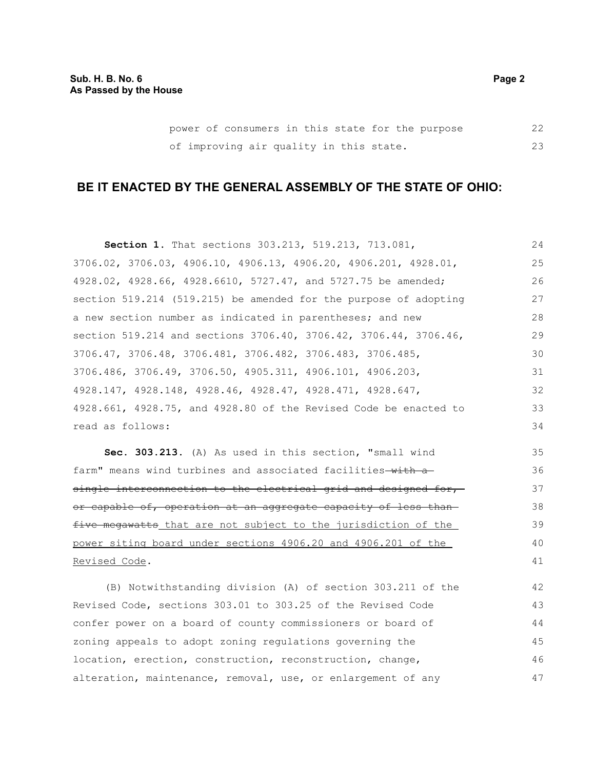## **BE IT ENACTED BY THE GENERAL ASSEMBLY OF THE STATE OF OHIO:**

**Section 1.** That sections 303.213, 519.213, 713.081, 3706.02, 3706.03, 4906.10, 4906.13, 4906.20, 4906.201, 4928.01, 4928.02, 4928.66, 4928.6610, 5727.47, and 5727.75 be amended; section 519.214 (519.215) be amended for the purpose of adopting a new section number as indicated in parentheses; and new section 519.214 and sections 3706.40, 3706.42, 3706.44, 3706.46, 3706.47, 3706.48, 3706.481, 3706.482, 3706.483, 3706.485, 3706.486, 3706.49, 3706.50, 4905.311, 4906.101, 4906.203, 4928.147, 4928.148, 4928.46, 4928.47, 4928.471, 4928.647, 4928.661, 4928.75, and 4928.80 of the Revised Code be enacted to read as follows: **Sec. 303.213.** (A) As used in this section, "small wind 24 25  $26$ 27 28 29 30 31 32 33 34 35

farm" means wind turbines and associated facilities-with asingle interconnection to the electrical grid and designed for, or capable of, operation at an aggregate capacity of less than five megawatts that are not subject to the jurisdiction of the power siting board under sections 4906.20 and 4906.201 of the Revised Code. 36 37 38 39 40 41

(B) Notwithstanding division (A) of section 303.211 of the Revised Code, sections 303.01 to 303.25 of the Revised Code confer power on a board of county commissioners or board of zoning appeals to adopt zoning regulations governing the location, erection, construction, reconstruction, change, alteration, maintenance, removal, use, or enlargement of any 42 43 44 45 46 47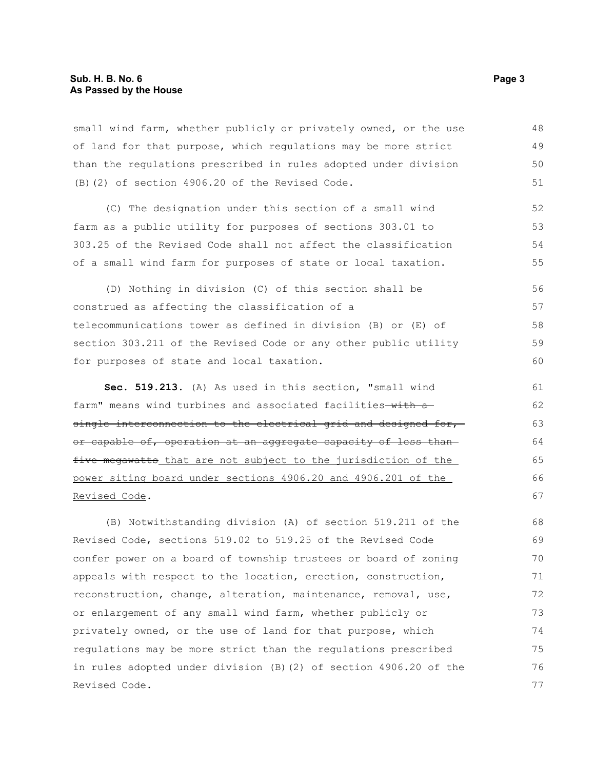small wind farm, whether publicly or privately owned, or the use of land for that purpose, which regulations may be more strict than the regulations prescribed in rules adopted under division (B)(2) of section 4906.20 of the Revised Code. 48 49 50 51

(C) The designation under this section of a small wind farm as a public utility for purposes of sections 303.01 to 303.25 of the Revised Code shall not affect the classification of a small wind farm for purposes of state or local taxation. 52 53 54 55

(D) Nothing in division (C) of this section shall be construed as affecting the classification of a telecommunications tower as defined in division (B) or (E) of section 303.211 of the Revised Code or any other public utility for purposes of state and local taxation. 56 57 58 59 60

**Sec. 519.213.** (A) As used in this section, "small wind farm" means wind turbines and associated facilities-with asingle interconnection to the electrical grid and designed for, or capable of, operation at an aggregate capacity of less than five megawatts that are not subject to the jurisdiction of the power siting board under sections 4906.20 and 4906.201 of the Revised Code.

(B) Notwithstanding division (A) of section 519.211 of the Revised Code, sections 519.02 to 519.25 of the Revised Code confer power on a board of township trustees or board of zoning appeals with respect to the location, erection, construction, reconstruction, change, alteration, maintenance, removal, use, or enlargement of any small wind farm, whether publicly or privately owned, or the use of land for that purpose, which regulations may be more strict than the regulations prescribed in rules adopted under division (B)(2) of section 4906.20 of the Revised Code. 68 69 70 71 72 73 74 75 76 77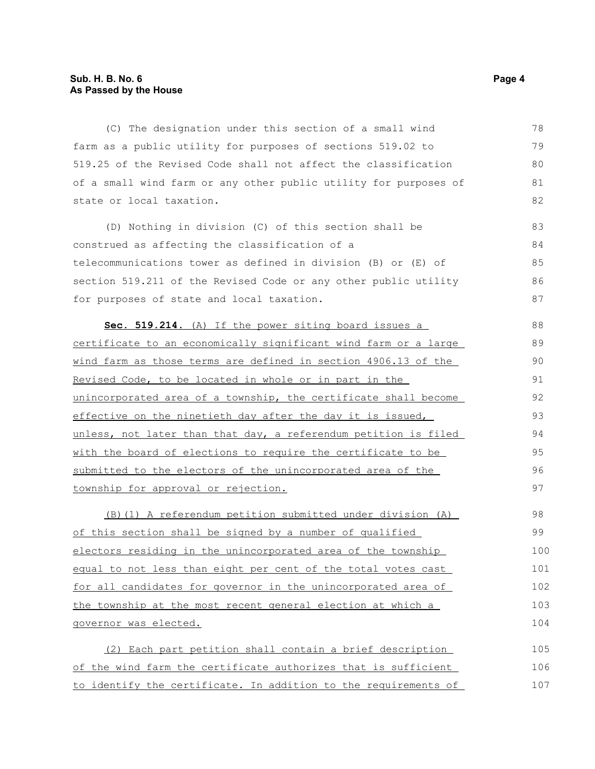#### **Sub. H. B. No. 6 Page 4 As Passed by the House**

(C) The designation under this section of a small wind farm as a public utility for purposes of sections 519.02 to 519.25 of the Revised Code shall not affect the classification of a small wind farm or any other public utility for purposes of state or local taxation. 78 79 80 81 82

(D) Nothing in division (C) of this section shall be construed as affecting the classification of a telecommunications tower as defined in division (B) or (E) of section 519.211 of the Revised Code or any other public utility for purposes of state and local taxation. 83 84 85 86 87

 **Sec. 519.214** . (A) If the power siting board issues a certificate to an economically significant wind farm or a large wind farm as those terms are defined in section 4906.13 of the Revised Code, to be located in whole or in part in the unincorporated area of a township, the certificate shall become effective on the ninetieth day after the day it is issued, unless, not later than that day, a referendum petition is filed with the board of elections to require the certificate to be submitted to the electors of the unincorporated area of the township for approval or rejection. 88 89 90 91 92 93 94 95 96 97

(B)(1) A referendum petition submitted under division (A) of this section shall be signed by a number of qualified electors residing in the unincorporated area of the township equal to not less than eight per cent of the total votes cast for all candidates for governor in the unincorporated area of the township at the most recent general election at which a governor was elected. 98 99 100 101 102 103 104

(2) Each part petition shall contain a brief description of the wind farm the certificate authorizes that is sufficient to identify the certificate. In addition to the requirements of 105 106 107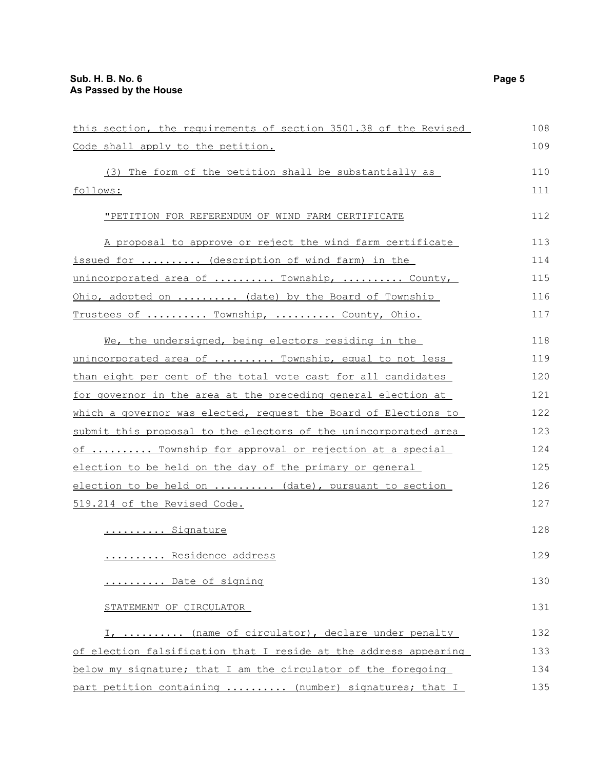| this section, the requirements of section 3501.38 of the Revised     | 108 |
|----------------------------------------------------------------------|-----|
| Code shall apply to the petition.                                    | 109 |
| (3) The form of the petition shall be substantially as               | 110 |
| follows:                                                             | 111 |
|                                                                      |     |
| "PETITION FOR REFERENDUM OF WIND FARM CERTIFICATE                    | 112 |
| A proposal to approve or reject the wind farm certificate            | 113 |
| issued for  (description of wind farm) in the                        | 114 |
| unincorporated area of  Township,  County,                           | 115 |
| Ohio, adopted on  (date) by the Board of Township                    | 116 |
| Trustees of  Township,  County, Ohio.                                | 117 |
| We, the undersigned, being electors residing in the                  | 118 |
| unincorporated area of  Township, equal to not less                  | 119 |
| than eight per cent of the total vote cast for all candidates        | 120 |
| <u>for governor in the area at the preceding general election at</u> | 121 |
| which a governor was elected, request the Board of Elections to      | 122 |
| submit this proposal to the electors of the unincorporated area      | 123 |
| of  Township for approval or rejection at a special                  | 124 |
| election to be held on the day of the primary or general             | 125 |
| election to be held on  (date), pursuant to section                  | 126 |
| 519.214 of the Revised Code.                                         | 127 |
| Signature                                                            | 128 |
| Residence address                                                    | 129 |
| Date of signing                                                      | 130 |
| STATEMENT OF CIRCULATOR                                              | 131 |
| I,  (name of circulator), declare under penalty                      | 132 |
| of election falsification that I reside at the address appearing     | 133 |
| below my signature; that I am the circulator of the foregoing        | 134 |
| part petition containing  (number) signatures; that I                | 135 |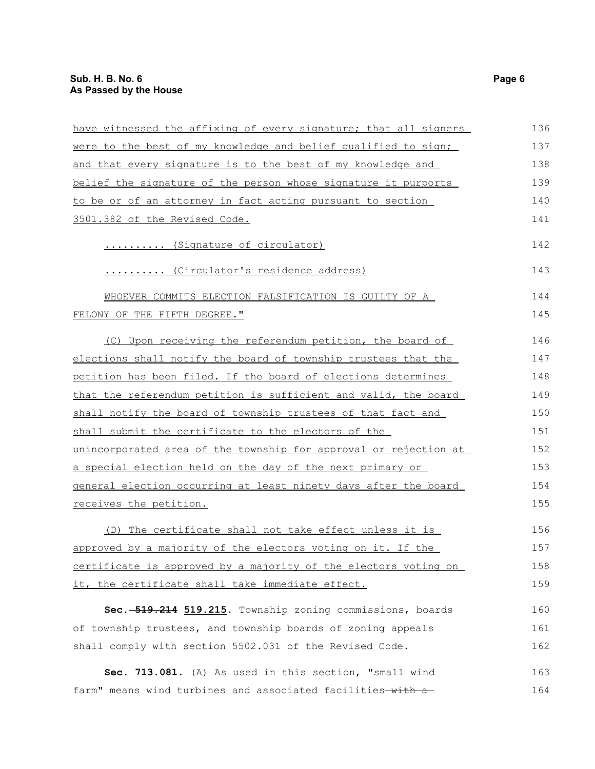| have witnessed the affixing of every signature; that all signers       | 136 |
|------------------------------------------------------------------------|-----|
| were to the best of my knowledge and belief qualified to sign;         | 137 |
| and that every signature is to the best of my knowledge and            | 138 |
| belief the signature of the person whose signature it purports         | 139 |
| to be or of an attorney in fact acting pursuant to section             | 140 |
| 3501.382 of the Revised Code.                                          | 141 |
| (Signature of circulator)                                              | 142 |
| (Circulator's residence address)                                       | 143 |
| WHOEVER COMMITS ELECTION FALSIFICATION IS GUILTY OF A                  | 144 |
| FELONY OF THE FIFTH DEGREE."                                           | 145 |
| (C) Upon receiving the referendum petition, the board of               | 146 |
| elections shall notify the board of township trustees that the         | 147 |
| petition has been filed. If the board of elections determines          | 148 |
| that the referendum petition is sufficient and valid, the board        | 149 |
| shall notify the board of township trustees of that fact and           | 150 |
| shall submit the certificate to the electors of the                    | 151 |
| unincorporated area of the township for approval or rejection at       | 152 |
| a special election held on the day of the next primary or              | 153 |
| <u>general election occurring at least ninety days after the board</u> | 154 |
| receives the petition.                                                 | 155 |
| (D) The certificate shall not take effect unless it is                 | 156 |
| approved by a majority of the electors voting on it. If the            | 157 |
| certificate is approved by a majority of the electors voting on        | 158 |
| it, the certificate shall take immediate effect.                       | 159 |
| Sec. -519.214 519.215. Township zoning commissions, boards             | 160 |
| of township trustees, and township boards of zoning appeals            | 161 |
| shall comply with section 5502.031 of the Revised Code.                | 162 |
| Sec. 713.081. (A) As used in this section, "small wind                 | 163 |
| farm" means wind turbines and associated facilities-with a-            | 164 |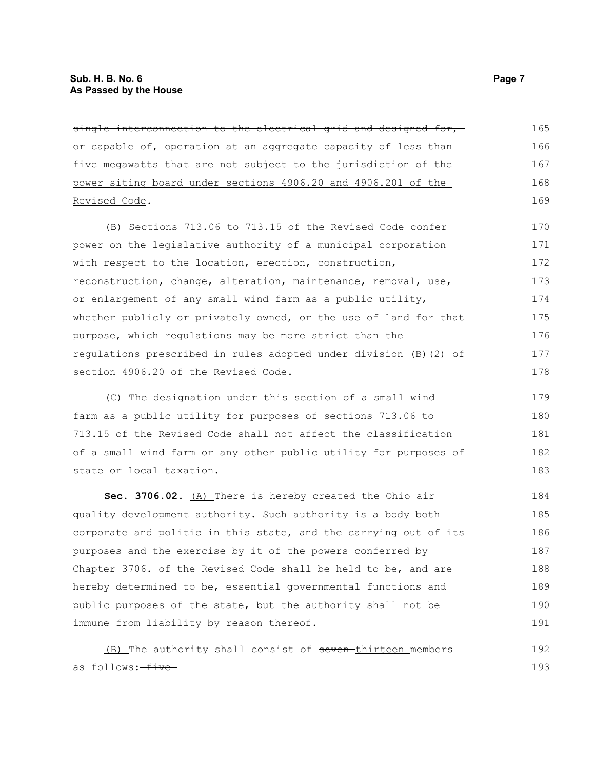single interconnection to the electrical grid and designed for,or capable of, operation at an aggregate capacity of less than five megawatts that are not subject to the jurisdiction of the power siting board under sections 4906.20 and 4906.201 of the Revised Code. (B) Sections 713.06 to 713.15 of the Revised Code confer power on the legislative authority of a municipal corporation with respect to the location, erection, construction, reconstruction, change, alteration, maintenance, removal, use, or enlargement of any small wind farm as a public utility, whether publicly or privately owned, or the use of land for that purpose, which regulations may be more strict than the regulations prescribed in rules adopted under division (B)(2) of section 4906.20 of the Revised Code. 165 166 167 168 169 170 171 172 173 174 175 176 177 178 179

(C) The designation under this section of a small wind farm as a public utility for purposes of sections 713.06 to 713.15 of the Revised Code shall not affect the classification of a small wind farm or any other public utility for purposes of state or local taxation. 180 181 182 183

**Sec. 3706.02.** (A) There is hereby created the Ohio air quality development authority. Such authority is a body both corporate and politic in this state, and the carrying out of its purposes and the exercise by it of the powers conferred by Chapter 3706. of the Revised Code shall be held to be, and are hereby determined to be, essential governmental functions and public purposes of the state, but the authority shall not be immune from liability by reason thereof. 184 185 186 187 188 189 190 191

```
(B) The authority shall consist of seven-thirteen members
as follows: five
                                                                          192
                                                                          193
```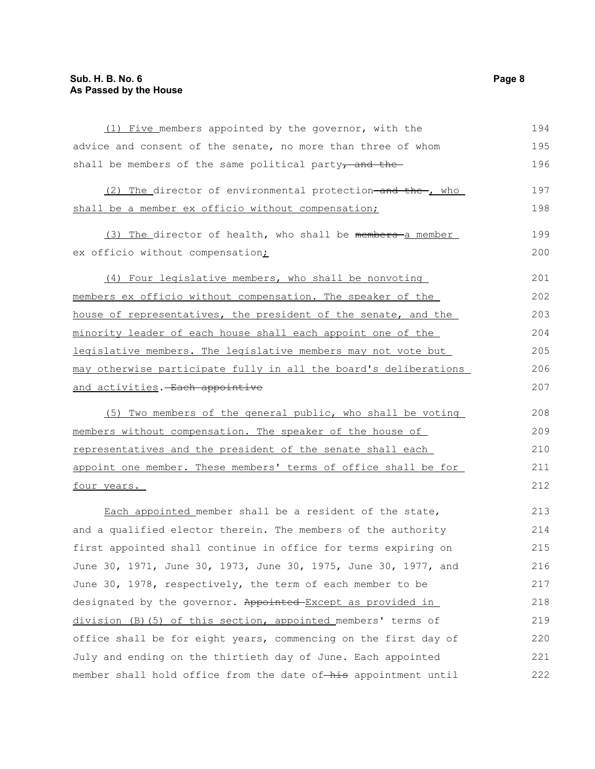#### **Sub. H. B. No. 6 Page 8 As Passed by the House**

 (1) Five members appointed by the governor, with the advice and consent of the senate, no more than three of whom shall be members of the same political party $<sub>r</sub>$  and the</sub> 194 195 196

|  |  |  | (2) The director of environmental protection—and the-, who |  | 197 |
|--|--|--|------------------------------------------------------------|--|-----|
|  |  |  | shall be a member ex officio without compensation;         |  | 198 |

(3) The director of health, who shall be members-a member ex officio without compensation;

(4) Four legislative members, who shall be nonvoting members ex officio without compensation. The speaker of the house of representatives, the president of the senate, and the minority leader of each house shall each appoint one of the legislative members. The legislative members may not vote but may otherwise participate fully in all the board's deliberations and activities. Each appointive 201 202 203 204 205 206 207

(5) Two members of the general public, who shall be voting members without compensation. The speaker of the house of representatives and the president of the senate shall each appoint one member. These members' terms of office shall be for four years.

Each appointed member shall be a resident of the state, and a qualified elector therein. The members of the authority first appointed shall continue in office for terms expiring on June 30, 1971, June 30, 1973, June 30, 1975, June 30, 1977, and June 30, 1978, respectively, the term of each member to be designated by the governor. Appointed Except as provided in division (B)(5) of this section, appointed members' terms of office shall be for eight years, commencing on the first day of July and ending on the thirtieth day of June. Each appointed member shall hold office from the date of-his appointment until 213 214 215 216 217 218 219 220 221 222

199 200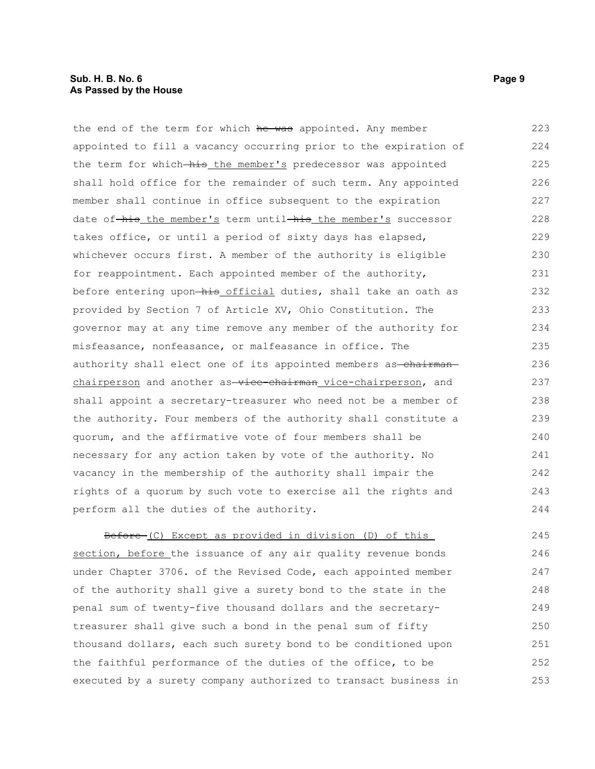#### **Sub. H. B. No. 6 Page 9 As Passed by the House**

the end of the term for which he was appointed. Any member appointed to fill a vacancy occurring prior to the expiration of the term for which-his the member's predecessor was appointed shall hold office for the remainder of such term. Any appointed member shall continue in office subsequent to the expiration date of-his the member's term until-his the member's successor takes office, or until a period of sixty days has elapsed, whichever occurs first. A member of the authority is eligible for reappointment. Each appointed member of the authority, before entering upon-his official duties, shall take an oath as provided by Section 7 of Article XV, Ohio Constitution. The governor may at any time remove any member of the authority for misfeasance, nonfeasance, or malfeasance in office. The authority shall elect one of its appointed members as-chairmanchairperson and another as vice-chairman vice-chairperson, and shall appoint a secretary-treasurer who need not be a member of the authority. Four members of the authority shall constitute a quorum, and the affirmative vote of four members shall be necessary for any action taken by vote of the authority. No vacancy in the membership of the authority shall impair the rights of a quorum by such vote to exercise all the rights and perform all the duties of the authority. 223 224 225 226 227 228 229 230 231 232 233 234 235 236 237 238 239 240 241 242 243 244

Before (C) Except as provided in division (D) of this section, before the issuance of any air quality revenue bonds under Chapter 3706. of the Revised Code, each appointed member of the authority shall give a surety bond to the state in the penal sum of twenty-five thousand dollars and the secretarytreasurer shall give such a bond in the penal sum of fifty thousand dollars, each such surety bond to be conditioned upon the faithful performance of the duties of the office, to be executed by a surety company authorized to transact business in 245 246 247 248 249 250 251 252 253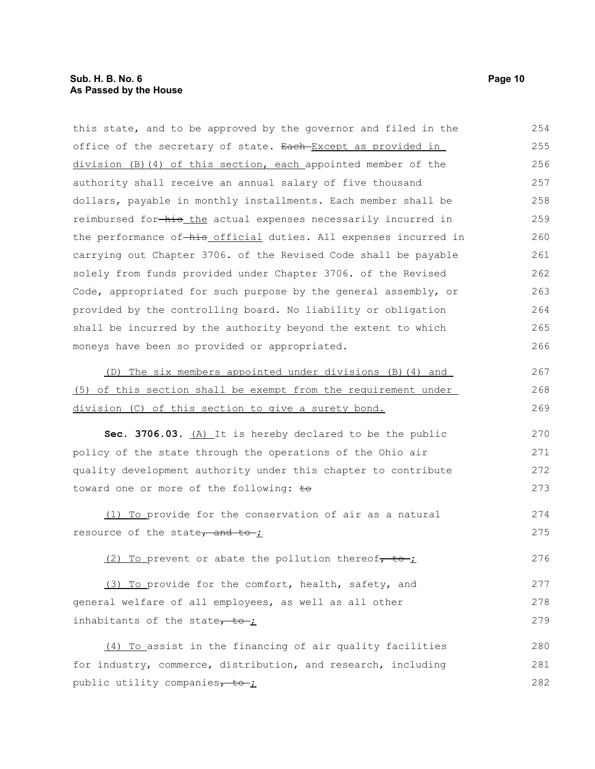| this state, and to be approved by the governor and filed in the  | 254 |
|------------------------------------------------------------------|-----|
| office of the secretary of state. Each-Except as provided in     | 255 |
| division (B) (4) of this section, each appointed member of the   | 256 |
| authority shall receive an annual salary of five thousand        | 257 |
| dollars, payable in monthly installments. Each member shall be   | 258 |
| reimbursed for-his_the actual expenses necessarily incurred in   | 259 |
| the performance of-his official duties. All expenses incurred in | 260 |
| carrying out Chapter 3706. of the Revised Code shall be payable  | 261 |
| solely from funds provided under Chapter 3706. of the Revised    | 262 |
| Code, appropriated for such purpose by the general assembly, or  | 263 |
| provided by the controlling board. No liability or obligation    | 264 |
| shall be incurred by the authority beyond the extent to which    | 265 |
| moneys have been so provided or appropriated.                    | 266 |
| (D) The six members appointed under divisions (B) (4) and        | 267 |
| (5) of this section shall be exempt from the requirement under   | 268 |
| division (C) of this section to give a surety bond.              | 269 |
| Sec. 3706.03. $(A)$ It is hereby declared to be the public       | 270 |
| policy of the state through the operations of the Ohio air       | 271 |
| quality development authority under this chapter to contribute   | 272 |
| toward one or more of the following: to                          | 273 |
| (1) To provide for the conservation of air as a natural          | 274 |
| resource of the state, and to- $\frac{1}{2}$                     | 275 |
| (2) To prevent or abate the pollution thereof, to-;              | 276 |
| (3) To provide for the comfort, health, safety, and              | 277 |
| general welfare of all employees, as well as all other           | 278 |
| inhabitants of the state, to ;                                   | 279 |
| (4) To assist in the financing of air quality facilities         | 280 |
| for industry, commerce, distribution, and research, including    | 281 |
| public utility companies, to ;                                   | 282 |
|                                                                  |     |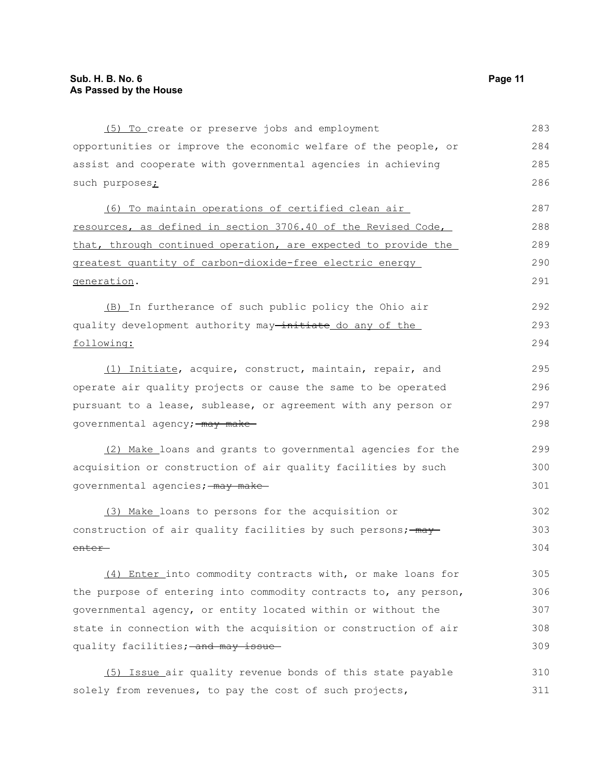| (5) To create or preserve jobs and employment                    | 283 |
|------------------------------------------------------------------|-----|
| opportunities or improve the economic welfare of the people, or  | 284 |
| assist and cooperate with governmental agencies in achieving     | 285 |
| such purposes;                                                   | 286 |
| (6) To maintain operations of certified clean air                | 287 |
| resources, as defined in section 3706.40 of the Revised Code,    | 288 |
| that, through continued operation, are expected to provide the   | 289 |
| greatest quantity of carbon-dioxide-free electric energy         | 290 |
| <u>generation</u> .                                              | 291 |
|                                                                  |     |
| (B) In furtherance of such public policy the Ohio air            | 292 |
| quality development authority may-initiate do any of the         | 293 |
| following:                                                       | 294 |
| (1) Initiate, acquire, construct, maintain, repair, and          | 295 |
| operate air quality projects or cause the same to be operated    | 296 |
| pursuant to a lease, sublease, or agreement with any person or   | 297 |
| governmental agency; may make                                    | 298 |
| (2) Make_loans and grants to governmental agencies for the       | 299 |
| acquisition or construction of air quality facilities by such    | 300 |
| governmental agencies; - may make-                               | 301 |
| (3) Make loans to persons for the acquisition or                 | 302 |
| construction of air quality facilities by such persons; - may-   | 303 |
| enter—                                                           | 304 |
|                                                                  |     |
| (4) Enter into commodity contracts with, or make loans for       | 305 |
| the purpose of entering into commodity contracts to, any person, | 306 |
| governmental agency, or entity located within or without the     | 307 |
| state in connection with the acquisition or construction of air  | 308 |
| quality facilities; and may issue                                | 309 |
| (5) Issue air quality revenue bonds of this state payable        | 310 |
| solely from revenues, to pay the cost of such projects,          | 311 |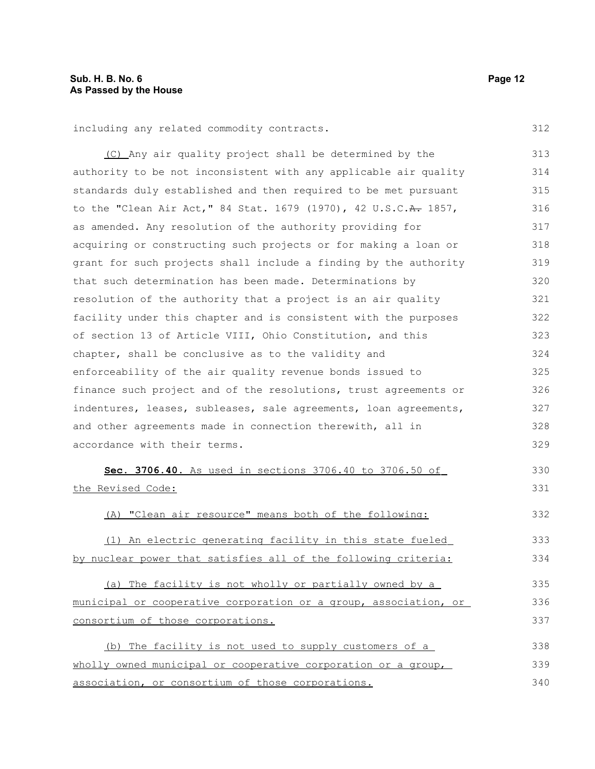312

330 331

332

including any related commodity contracts.

 (C) Any air quality project shall be determined by the authority to be not inconsistent with any applicable air quality standards duly established and then required to be met pursuant to the "Clean Air Act," 84 Stat. 1679 (1970), 42 U.S.C.A. 1857, as amended. Any resolution of the authority providing for acquiring or constructing such projects or for making a loan or grant for such projects shall include a finding by the authority that such determination has been made. Determinations by resolution of the authority that a project is an air quality facility under this chapter and is consistent with the purposes of section 13 of Article VIII, Ohio Constitution, and this chapter, shall be conclusive as to the validity and enforceability of the air quality revenue bonds issued to finance such project and of the resolutions, trust agreements or indentures, leases, subleases, sale agreements, loan agreements, and other agreements made in connection therewith, all in accordance with their terms. 313 314 315 316 317 318 319 320 321 322 323 324 325 326 327 328 329

 **Sec. 3706.40.** As used in sections 3706.40 to 3706.50 of the Revised Code:

(A) "Clean air resource" means both of the following:

 (1) An electric generating facility in this state fueled by nuclear power that satisfies all of the following criteria: 333 334

(a) The facility is not wholly or partially owned by a municipal or cooperative corporation or a group, association, or consortium of those corporations. 335 336 337

(b) The facility is not used to supply customers of a wholly owned municipal or cooperative corporation or a group, association, or consortium of those corporations. 338 339 340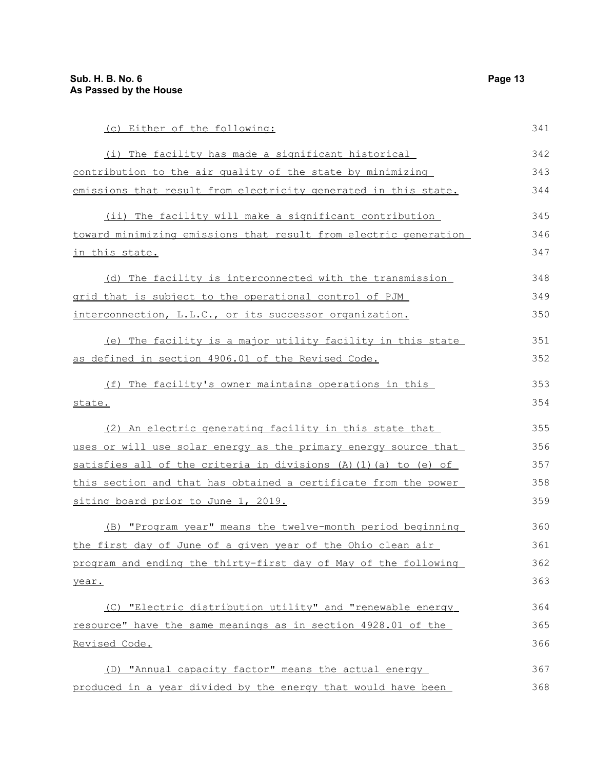| (c) Either of the following:                                     | 341 |
|------------------------------------------------------------------|-----|
| (i) The facility has made a significant historical               | 342 |
| contribution to the air quality of the state by minimizing       | 343 |
| emissions that result from electricity generated in this state.  | 344 |
| (ii) The facility will make a significant contribution           | 345 |
| toward minimizing emissions that result from electric generation | 346 |
| <u>in this state.</u>                                            | 347 |
| (d) The facility is interconnected with the transmission         | 348 |
| grid that is subject to the operational control of PJM           | 349 |
| interconnection, L.L.C., or its successor organization.          | 350 |
| (e) The facility is a major utility facility in this state       | 351 |
| as defined in section 4906.01 of the Revised Code.               | 352 |
| (f) The facility's owner maintains operations in this            | 353 |
| state.                                                           | 354 |
| (2) An electric generating facility in this state that           | 355 |
| uses or will use solar energy as the primary energy source that  | 356 |
| satisfies all of the criteria in divisions (A)(1)(a) to (e) of   | 357 |
| this section and that has obtained a certificate from the power  | 358 |
| siting board prior to June 1, 2019.                              | 359 |
| (B) "Program year" means the twelve-month period beginning       | 360 |
| the first day of June of a given year of the Ohio clean air      | 361 |
| program and ending the thirty-first day of May of the following  | 362 |
| year.                                                            | 363 |
| (C) "Electric distribution utility" and "renewable energy        | 364 |
| resource" have the same meanings as in section 4928.01 of the    | 365 |
| Revised Code.                                                    | 366 |

 (D) "Annual capacity factor" means the actual energy produced in a year divided by the energy that would have been 367 368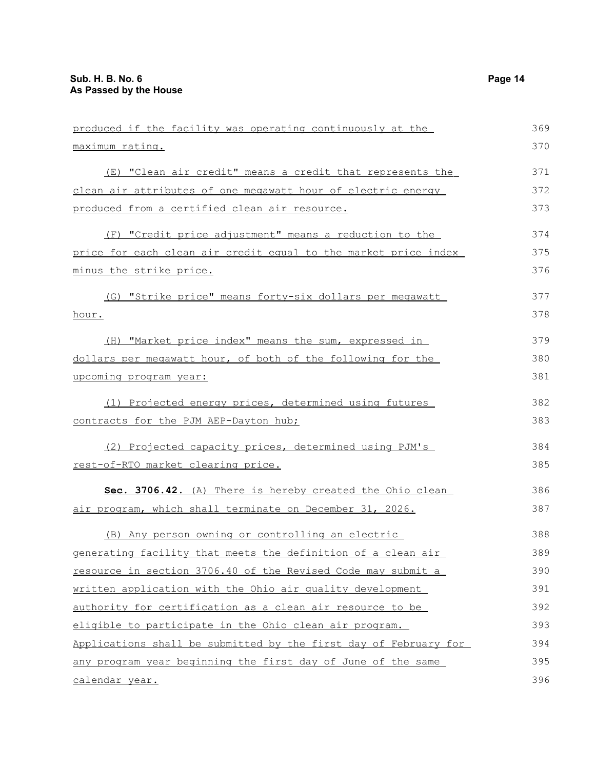| produced if the facility was operating continuously at the      | 369 |
|-----------------------------------------------------------------|-----|
| maximum rating.                                                 | 370 |
| (E) "Clean air credit" means a credit that represents the       | 371 |
| clean air attributes of one megawatt hour of electric energy    | 372 |
| produced from a certified clean air resource.                   | 373 |
| (F) "Credit price adjustment" means a reduction to the          | 374 |
| price for each clean air credit equal to the market price index | 375 |
| minus the strike price.                                         | 376 |
| (G) "Strike price" means forty-six dollars per meqawatt         | 377 |
| hour.                                                           | 378 |
| (H) "Market price index" means the sum, expressed in            | 379 |
| dollars per meqawatt hour, of both of the following for the     | 380 |
| upcoming program year:                                          | 381 |
| (1) Projected energy prices, determined using futures           | 382 |
| contracts for the PJM AEP-Dayton hub;                           | 383 |
| (2) Projected capacity prices, determined using PJM's           | 384 |
| rest-of-RTO market clearing price.                              | 385 |
| Sec. 3706.42. (A) There is hereby created the Ohio clean        | 386 |
| air program, which shall terminate on December 31, 2026.        | 387 |
| (B) Any person owning or controlling an electric                | 388 |
| generating facility that meets the definition of a clean air    | 389 |
| resource in section 3706.40 of the Revised Code may submit a    | 390 |
| written application with the Ohio air quality development       | 391 |
| authority for certification as a clean air resource to be       | 392 |
| eligible to participate in the Ohio clean air program.          | 393 |
|                                                                 |     |

Applications shall be submitted by the first day of February for any program year beginning the first day of June of the same calendar year. 394 395 396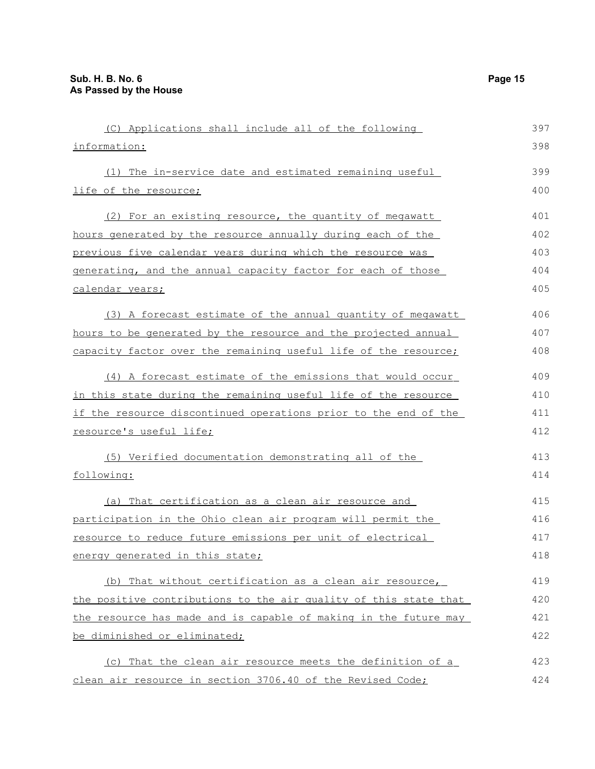| (C) Applications shall include all of the following              | 397 |
|------------------------------------------------------------------|-----|
| information:                                                     | 398 |
| (1) The in-service date and estimated remaining useful           | 399 |
| life of the resource;                                            | 400 |
| (2) For an existing resource, the quantity of megawatt           | 401 |
| hours generated by the resource annually during each of the      | 402 |
| previous five calendar years during which the resource was       | 403 |
| generating, and the annual capacity factor for each of those     | 404 |
| calendar years;                                                  | 405 |
| (3) A forecast estimate of the annual quantity of megawatt       | 406 |
| hours to be generated by the resource and the projected annual   | 407 |
| capacity factor over the remaining useful life of the resource;  | 408 |
| (4) A forecast estimate of the emissions that would occur        | 409 |
| in this state during the remaining useful life of the resource   | 410 |
| if the resource discontinued operations prior to the end of the  | 411 |
| resource's useful life;                                          | 412 |
| (5) Verified documentation demonstrating all of the              | 413 |
| following:                                                       | 414 |
| (a) That certification as a clean air resource and               | 415 |
| participation in the Ohio clean air program will permit the      | 416 |
| resource to reduce future emissions per unit of electrical       | 417 |
| energy generated in this state;                                  | 418 |
| (b) That without certification as a clean air resource,          | 419 |
| the positive contributions to the air quality of this state that | 420 |
| the resource has made and is capable of making in the future may | 421 |
| be diminished or eliminated;                                     | 422 |
| (c) That the clean air resource meets the definition of a        | 423 |
| clean air resource in section 3706.40 of the Revised Code;       | 424 |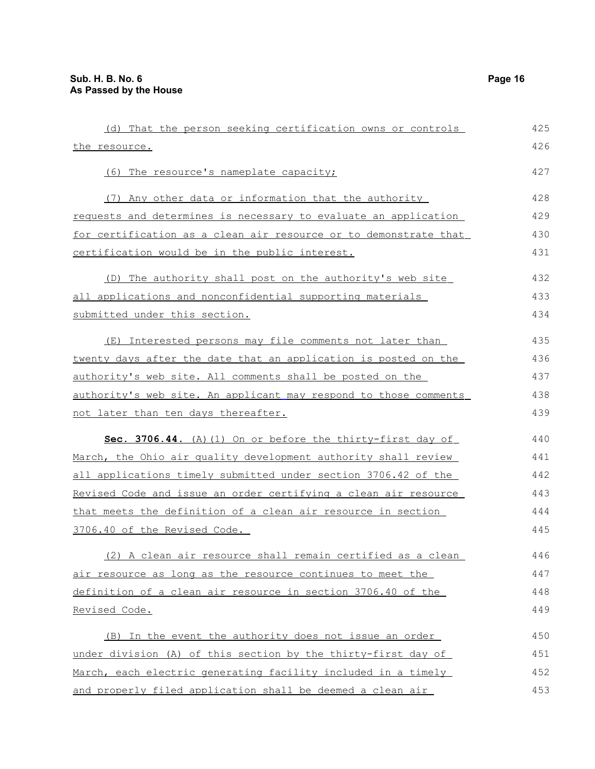| (d) That the person seeking certification owns or controls       | 425 |
|------------------------------------------------------------------|-----|
| the resource.                                                    | 426 |
| (6) The resource's nameplate capacity;                           | 427 |
| (7) Any other data or information that the authority             | 428 |
| requests and determines is necessary to evaluate an application  | 429 |
| for certification as a clean air resource or to demonstrate that | 430 |
| certification would be in the public interest.                   | 431 |
| (D) The authority shall post on the authority's web site         | 432 |
| all applications and nonconfidential supporting materials        | 433 |
| submitted under this section.                                    | 434 |
| (E) Interested persons may file comments not later than          | 435 |
| twenty days after the date that an application is posted on the  | 436 |
| authority's web site. All comments shall be posted on the        | 437 |
| authority's web site. An applicant may respond to those comments | 438 |
| not later than ten days thereafter.                              | 439 |
| Sec. 3706.44. (A) (1) On or before the thirty-first day of       | 440 |
| March, the Ohio air quality development authority shall review   | 441 |
| all applications timely submitted under section 3706.42 of the   | 442 |
| Revised Code and issue an order certifying a clean air resource  | 443 |
| that meets the definition of a clean air resource in section     | 444 |
| 3706.40 of the Revised Code.                                     | 445 |
| (2) A clean air resource shall remain certified as a clean       | 446 |
| air resource as long as the resource continues to meet the       | 447 |
| definition of a clean air resource in section 3706.40 of the     | 448 |
| Revised Code.                                                    | 449 |
| (B) In the event the authority does not issue an order           | 450 |
| under division (A) of this section by the thirty-first day of    | 451 |
| March, each electric generating facility included in a timely    | 452 |
| and properly filed application shall be deemed a clean air       | 453 |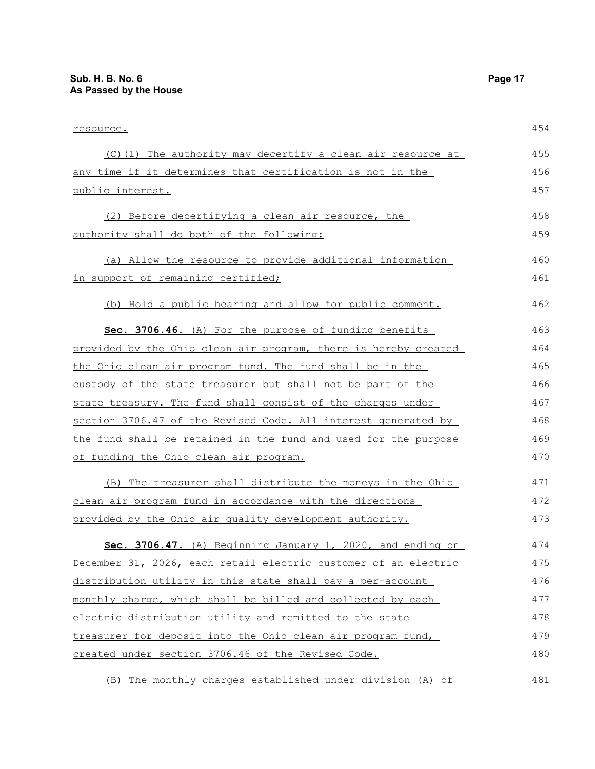| resource.                                                       | 454 |
|-----------------------------------------------------------------|-----|
| (C)(1) The authority may decertify a clean air resource at      | 455 |
| any time if it determines that certification is not in the      | 456 |
| public interest.                                                | 457 |
| (2) Before decertifying a clean air resource, the               | 458 |
| authority shall do both of the following:                       | 459 |
| (a) Allow the resource to provide additional information        | 460 |
| in support of remaining certified;                              | 461 |
| (b) Hold a public hearing and allow for public comment.         | 462 |
| Sec. 3706.46. (A) For the purpose of funding benefits           | 463 |
| provided by the Ohio clean air program, there is hereby created | 464 |
| the Ohio clean air program fund. The fund shall be in the       | 465 |
| custody of the state treasurer but shall not be part of the     | 466 |
| state treasury. The fund shall consist of the charges under     | 467 |
| section 3706.47 of the Revised Code. All interest generated by  | 468 |
| the fund shall be retained in the fund and used for the purpose | 469 |
| <u>of funding the Ohio clean air program.</u>                   | 470 |
| (B) The treasurer shall distribute the moneys in the Ohio       | 471 |
| clean air program fund in accordance with the directions        | 472 |
| provided by the Ohio air quality development authority.         | 473 |
| Sec. 3706.47. (A) Beginning January 1, 2020, and ending on      | 474 |
| December 31, 2026, each retail electric customer of an electric | 475 |
| distribution utility in this state shall pay a per-account      | 476 |
| monthly charge, which shall be billed and collected by each     | 477 |
| electric distribution utility and remitted to the state         | 478 |
| treasurer for deposit into the Ohio clean air program fund,     | 479 |
| created under section 3706.46 of the Revised Code.              | 480 |
| The monthly charges established under division (A) of<br>(B)    | 481 |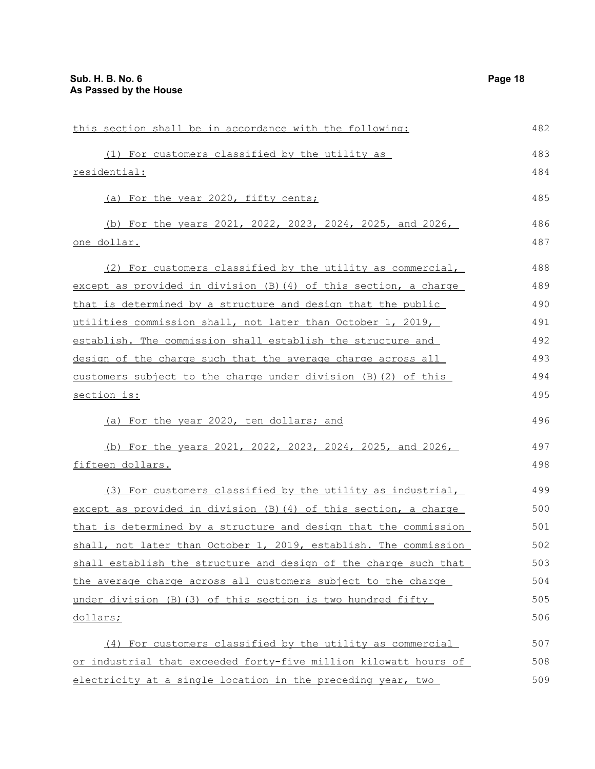| this section shall be in accordance with the following:          | 482 |
|------------------------------------------------------------------|-----|
| (1) For customers classified by the utility as                   | 483 |
| residential:                                                     | 484 |
| (a) For the year 2020, fifty cents;                              | 485 |
| (b) For the years 2021, 2022, 2023, 2024, 2025, and 2026,        | 486 |
| one dollar.                                                      | 487 |
| (2) For customers classified by the utility as commercial,       | 488 |
| except as provided in division (B) (4) of this section, a charge | 489 |
| that is determined by a structure and design that the public     | 490 |
| utilities commission shall, not later than October 1, 2019,      | 491 |
| establish. The commission shall establish the structure and      | 492 |
| design of the charge such that the average charge across all     | 493 |
| customers subject to the charge under division (B) (2) of this   | 494 |
| section is:                                                      | 495 |
| (a) For the year 2020, ten dollars; and                          | 496 |
| (b) For the years 2021, 2022, 2023, 2024, 2025, and 2026,        | 497 |
| fifteen dollars.                                                 | 498 |
| (3) For customers classified by the utility as industrial,       | 499 |
| except as provided in division (B) (4) of this section, a charge | 500 |
| that is determined by a structure and design that the commission | 501 |
| shall, not later than October 1, 2019, establish. The commission | 502 |
| shall establish the structure and design of the charge such that | 503 |
| the average charge across all customers subject to the charge    | 504 |
| under division (B) (3) of this section is two hundred fifty      | 505 |
| dollars;                                                         | 506 |
| (4) For customers classified by the utility as commercial        | 507 |
| or industrial that exceeded forty-five million kilowatt hours of | 508 |
| electricity at a single location in the preceding year, two      | 509 |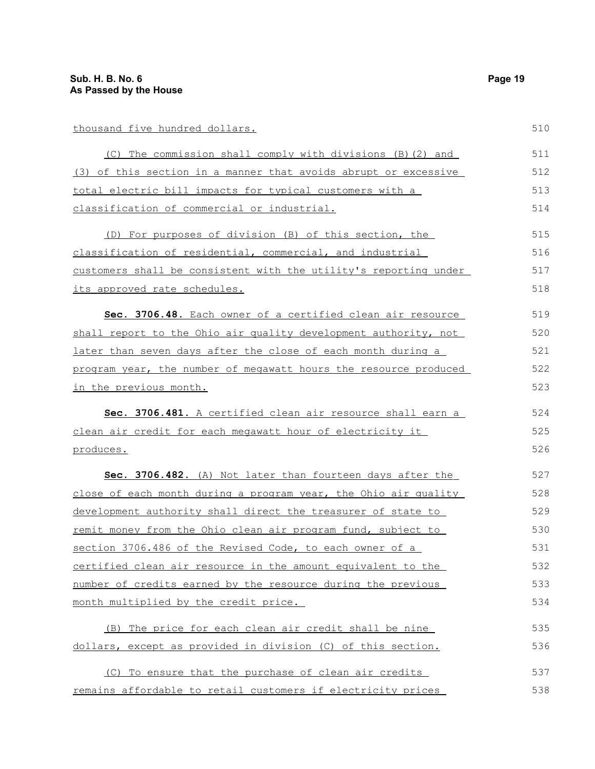|  | thousand five hundred dollars. |
|--|--------------------------------|
|  |                                |

| thousand five hundred dollars.                                      | 510 |
|---------------------------------------------------------------------|-----|
| (C) The commission shall comply with divisions (B) (2) and          | 511 |
| (3) of this section in a manner that avoids abrupt or excessive     | 512 |
| total electric bill impacts for typical customers with a            | 513 |
| classification of commercial or industrial.                         | 514 |
| (D) For purposes of division (B) of this section, the               | 515 |
| classification of residential, commercial, and industrial           | 516 |
| customers shall be consistent with the utility's reporting under    | 517 |
| its approved rate schedules.                                        | 518 |
| Sec. 3706.48. Each owner of a certified clean air resource          | 519 |
| shall report to the Ohio air quality development authority, not     | 520 |
| <u>later than seven days after the close of each month during a</u> | 521 |
| program year, the number of megawatt hours the resource produced    | 522 |
| in the previous month.                                              | 523 |
| Sec. 3706.481. A certified clean air resource shall earn a          | 524 |
| clean air credit for each megawatt hour of electricity it           | 525 |
| produces.                                                           | 526 |
| Sec. 3706.482. (A) Not later than fourteen days after the           | 527 |
| close of each month during a program year, the Ohio air quality     | 528 |
| development authority shall direct the treasurer of state to        | 529 |
| <u>remit money from the Ohio clean air program fund, subject to</u> | 530 |
| section 3706.486 of the Revised Code, to each owner of a            | 531 |
| certified clean air resource in the amount equivalent to the        | 532 |
| number of credits earned by the resource during the previous        | 533 |
| month multiplied by the credit price.                               | 534 |
| (B) The price for each clean air credit shall be nine               | 535 |
| dollars, except as provided in division (C) of this section.        | 536 |
| (C) To ensure that the purchase of clean air credits                | 537 |
| remains affordable to retail customers if electricity prices        | 538 |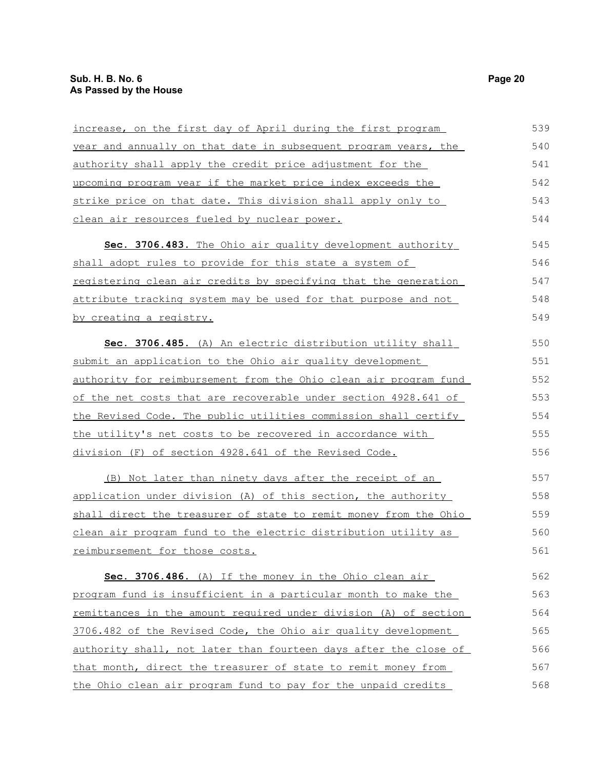| increase, on the first day of April during the first program      | 539 |
|-------------------------------------------------------------------|-----|
| year and annually on that date in subsequent program years, the   | 540 |
| authority shall apply the credit price adjustment for the         | 541 |
| upcoming program year if the market price index exceeds the       | 542 |
| strike price on that date. This division shall apply only to      | 543 |
| clean air resources fueled by nuclear power.                      | 544 |
| Sec. 3706.483. The Ohio air quality development authority         | 545 |
| shall adopt rules to provide for this state a system of           | 546 |
| registering clean air credits by specifying that the generation   | 547 |
| attribute tracking system may be used for that purpose and not    | 548 |
| by creating a registry.                                           | 549 |
| Sec. 3706.485. (A) An electric distribution utility shall         | 550 |
| submit an application to the Ohio air quality development         | 551 |
| authority for reimbursement from the Ohio clean air program fund  | 552 |
| of the net costs that are recoverable under section 4928.641 of   | 553 |
| the Revised Code. The public utilities commission shall certify   | 554 |
| <u>the utility's net costs to be recovered in accordance with</u> | 555 |
| division (F) of section 4928.641 of the Revised Code.             | 556 |
| (B) Not later than ninety days after the receipt of an            | 557 |
| application under division (A) of this section, the authority     | 558 |
| shall direct the treasurer of state to remit money from the Ohio  | 559 |
| clean air program fund to the electric distribution utility as    | 560 |
| reimbursement for those costs.                                    | 561 |
| Sec. 3706.486. (A) If the money in the Ohio clean air             | 562 |
| program fund is insufficient in a particular month to make the    | 563 |
| remittances in the amount required under division (A) of section  | 564 |
| 3706.482 of the Revised Code, the Ohio air quality development    | 565 |
| authority shall, not later than fourteen days after the close of  | 566 |
| that month, direct the treasurer of state to remit money from     | 567 |
| the Ohio clean air program fund to pay for the unpaid credits     | 568 |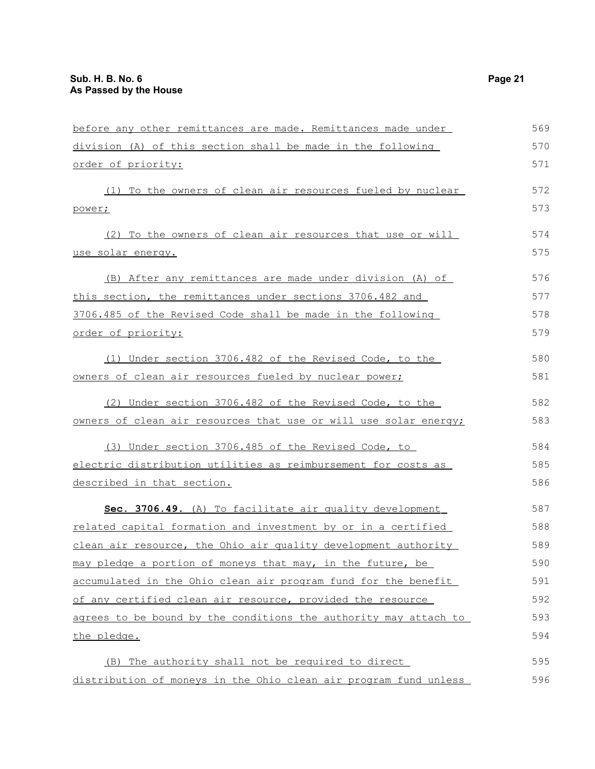| before any other remittances are made. Remittances made under    | 569 |
|------------------------------------------------------------------|-----|
| division (A) of this section shall be made in the following      | 570 |
| order of priority:                                               | 571 |
| (1) To the owners of clean air resources fueled by nuclear       | 572 |
| power;                                                           | 573 |
| (2) To the owners of clean air resources that use or will        | 574 |
| use solar energy.                                                | 575 |
| (B) After any remittances are made under division (A) of         | 576 |
| this section, the remittances under sections 3706.482 and        | 577 |
| 3706.485 of the Revised Code shall be made in the following      | 578 |
| order of priority:                                               | 579 |
| (1) Under section 3706.482 of the Revised Code, to the           | 580 |
| owners of clean air resources fueled by nuclear power;           | 581 |
| (2) Under section 3706.482 of the Revised Code, to the           | 582 |
| owners of clean air resources that use or will use solar energy; | 583 |
| (3) Under section 3706.485 of the Revised Code, to               | 584 |
| electric distribution utilities as reimbursement for costs as    | 585 |
| <u>described in that section.</u>                                | 586 |
| Sec. 3706.49. (A) To facilitate air quality development          | 587 |
| related capital formation and investment by or in a certified    | 588 |
| clean air resource, the Ohio air quality development authority   | 589 |
| may pledge a portion of moneys that may, in the future, be       | 590 |
| accumulated in the Ohio clean air program fund for the benefit   | 591 |
| of any certified clean air resource, provided the resource       | 592 |
| agrees to be bound by the conditions the authority may attach to | 593 |
| the pledge.                                                      | 594 |
| (B) The authority shall not be required to direct                | 595 |
| distribution of moneys in the Ohio clean air program fund unless | 596 |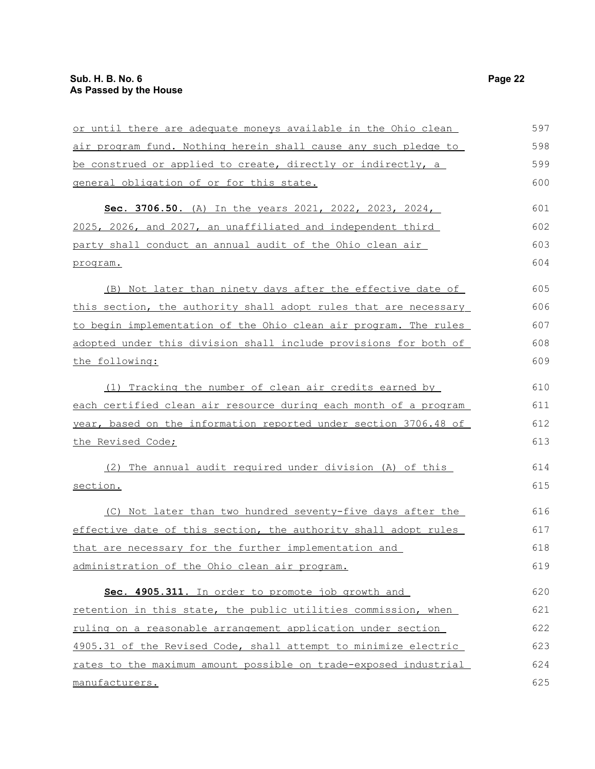| or until there are adequate moneys available in the Ohio clean   | 597 |
|------------------------------------------------------------------|-----|
| air program fund. Nothing herein shall cause any such pledge to  | 598 |
| be construed or applied to create, directly or indirectly, a     | 599 |
| general obligation of or for this state.                         | 600 |
| Sec. 3706.50. (A) In the years 2021, 2022, 2023, 2024,           | 601 |
| 2025, 2026, and 2027, an unaffiliated and independent third      | 602 |
| party shall conduct an annual audit of the Ohio clean air        | 603 |
| program.                                                         | 604 |
| (B) Not later than ninety days after the effective date of       | 605 |
| this section, the authority shall adopt rules that are necessary | 606 |
| to begin implementation of the Ohio clean air program. The rules | 607 |
| adopted under this division shall include provisions for both of | 608 |
| the following:                                                   | 609 |
| (1) Tracking the number of clean air credits earned by           | 610 |
| each certified clean air resource during each month of a program | 611 |
| year, based on the information reported under section 3706.48 of | 612 |
| the Revised Code;                                                | 613 |
| (2) The annual audit required under division (A) of this         | 614 |
| section.                                                         | 615 |
| (C) Not later than two hundred seventy-five days after the       | 616 |
| effective date of this section, the authority shall adopt rules  | 617 |
| that are necessary for the further implementation and            | 618 |
| administration of the Ohio clean air program.                    | 619 |
| Sec. 4905.311. In order to promote job growth and                | 620 |
| retention in this state, the public utilities commission, when   | 621 |
| ruling on a reasonable arrangement application under section     | 622 |
| 4905.31 of the Revised Code, shall attempt to minimize electric  | 623 |
| rates to the maximum amount possible on trade-exposed industrial | 624 |
| manufacturers.                                                   | 625 |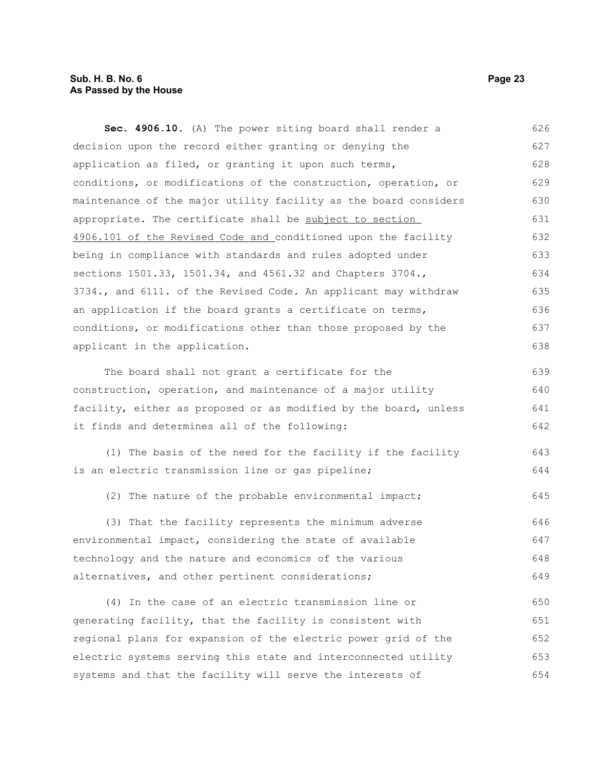#### **Sub. H. B. No. 6 Page 23 As Passed by the House**

**Sec. 4906.10.** (A) The power siting board shall render a decision upon the record either granting or denying the application as filed, or granting it upon such terms, conditions, or modifications of the construction, operation, or maintenance of the major utility facility as the board considers appropriate. The certificate shall be subject to section 4906.101 of the Revised Code and conditioned upon the facility being in compliance with standards and rules adopted under sections 1501.33, 1501.34, and 4561.32 and Chapters 3704., 3734., and 6111. of the Revised Code. An applicant may withdraw an application if the board grants a certificate on terms, conditions, or modifications other than those proposed by the applicant in the application. The board shall not grant a certificate for the construction, operation, and maintenance of a major utility facility, either as proposed or as modified by the board, unless it finds and determines all of the following: (1) The basis of the need for the facility if the facility is an electric transmission line or gas pipeline; (2) The nature of the probable environmental impact; (3) That the facility represents the minimum adverse environmental impact, considering the state of available technology and the nature and economics of the various alternatives, and other pertinent considerations; (4) In the case of an electric transmission line or generating facility, that the facility is consistent with regional plans for expansion of the electric power grid of the electric systems serving this state and interconnected utility systems and that the facility will serve the interests of 626 627 628 629 630 631 632 633 634 635 636 637 638 639 640 641 642 643 644 645 646 647 648 649 650 651 652 653 654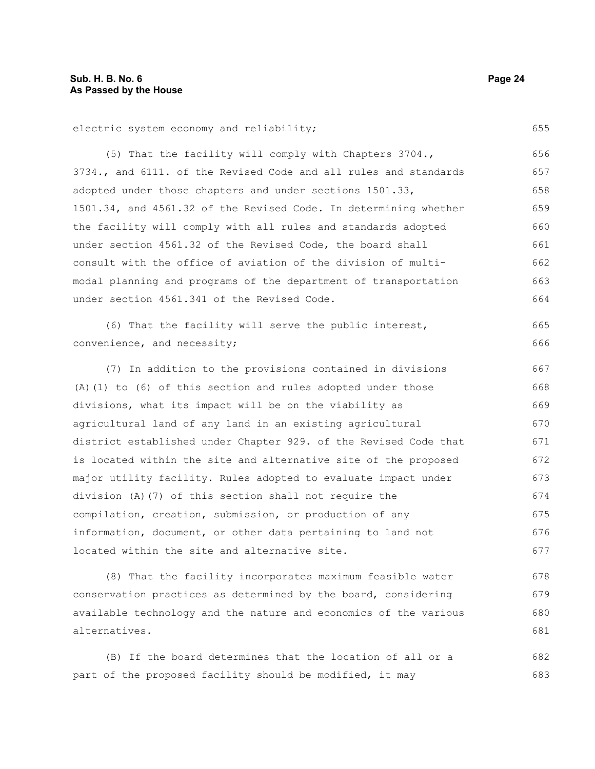electric system economy and reliability; (5) That the facility will comply with Chapters 3704., 3734., and 6111. of the Revised Code and all rules and standards adopted under those chapters and under sections 1501.33, 1501.34, and 4561.32 of the Revised Code. In determining whether the facility will comply with all rules and standards adopted under section 4561.32 of the Revised Code, the board shall consult with the office of aviation of the division of multimodal planning and programs of the department of transportation under section 4561.341 of the Revised Code. (6) That the facility will serve the public interest, convenience, and necessity; (7) In addition to the provisions contained in divisions (A)(1) to (6) of this section and rules adopted under those divisions, what its impact will be on the viability as agricultural land of any land in an existing agricultural district established under Chapter 929. of the Revised Code that is located within the site and alternative site of the proposed major utility facility. Rules adopted to evaluate impact under division (A)(7) of this section shall not require the 655 656 657 658 659 660 661 662 663 664 665 666 667 668 669 670 671 672 673 674

compilation, creation, submission, or production of any information, document, or other data pertaining to land not located within the site and alternative site. 675 676 677

(8) That the facility incorporates maximum feasible water conservation practices as determined by the board, considering available technology and the nature and economics of the various alternatives. 678 679 680 681

(B) If the board determines that the location of all or a part of the proposed facility should be modified, it may 682 683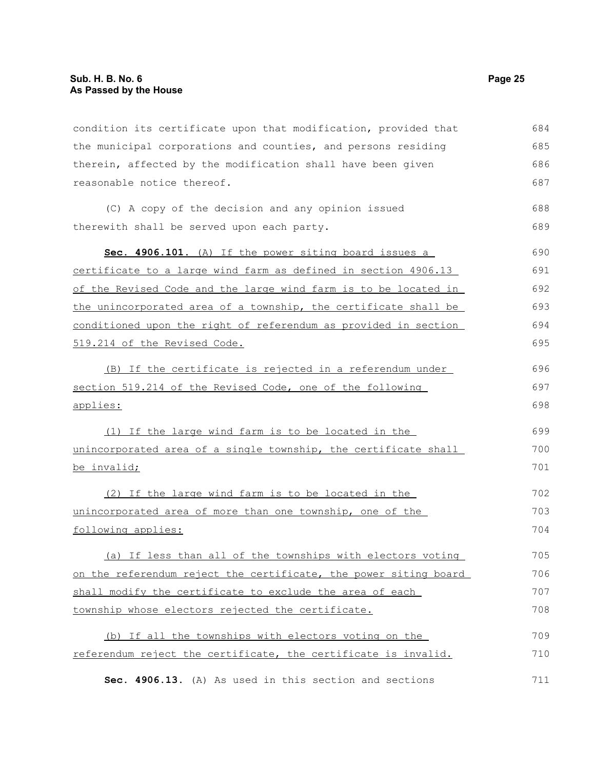condition its certificate upon that modification, provided that the municipal corporations and counties, and persons residing therein, affected by the modification shall have been given reasonable notice thereof. (C) A copy of the decision and any opinion issued therewith shall be served upon each party. **Sec. 4906.101.** (A) If the power siting board issues a certificate to a large wind farm as defined in section 4906.13 of the Revised Code and the large wind farm is to be located in the unincorporated area of a township, the certificate shall be conditioned upon the right of referendum as provided in section 519.214 of the Revised Code. (B) If the certificate is rejected in a referendum under section 519.214 of the Revised Code, one of the following applies: (1) If the large wind farm is to be located in the unincorporated area of a single township, the certificate shall be invalid; (2) If the large wind farm is to be located in the unincorporated area of more than one township, one of the following applies: (a) If less than all of the townships with electors voting on the referendum reject the certificate, the power siting board shall modify the certificate to exclude the area of each township whose electors rejected the certificate. (b) If all the townships with electors voting on the referendum reject the certificate, the certificate is invalid. 684 685 686 687 688 689 690 691 692 693 694 695 696 697 698 699 700 701 702 703 704 705 706 707 708 709 710

**Sec. 4906.13.** (A) As used in this section and sections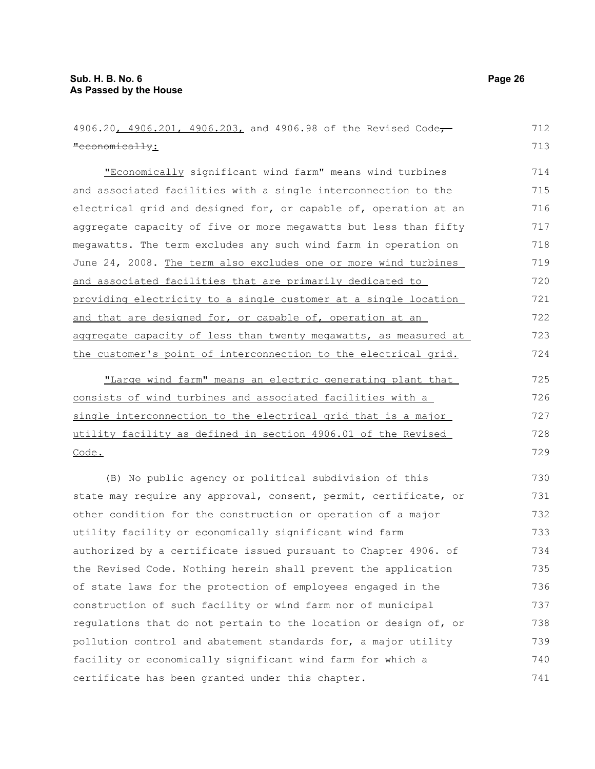4906.20, 4906.201, 4906.203, and 4906.98 of the Revised Code, "economically: "Economically significant wind farm" means wind turbines and associated facilities with a single interconnection to the electrical grid and designed for, or capable of, operation at an aggregate capacity of five or more megawatts but less than fifty megawatts. The term excludes any such wind farm in operation on June 24, 2008. The term also excludes one or more wind turbines and associated facilities that are primarily dedicated to providing electricity to a single customer at a single location and that are designed for, or capable of, operation at an aggregate capacity of less than twenty megawatts, as measured at the customer's point of interconnection to the electrical grid. "Large wind farm" means an electric generating plant that consists of wind turbines and associated facilities with a single interconnection to the electrical grid that is a major utility facility as defined in section 4906.01 of the Revised Code. (B) No public agency or political subdivision of this state may require any approval, consent, permit, certificate, or other condition for the construction or operation of a major utility facility or economically significant wind farm authorized by a certificate issued pursuant to Chapter 4906. of the Revised Code. Nothing herein shall prevent the application of state laws for the protection of employees engaged in the construction of such facility or wind farm nor of municipal regulations that do not pertain to the location or design of, or pollution control and abatement standards for, a major utility facility or economically significant wind farm for which a 712 713 714 715 716 717 718 719 720 721 722 723 724 725 726 727 728 729 730 731 732 733 734 735 736 737 738 739 740

certificate has been granted under this chapter.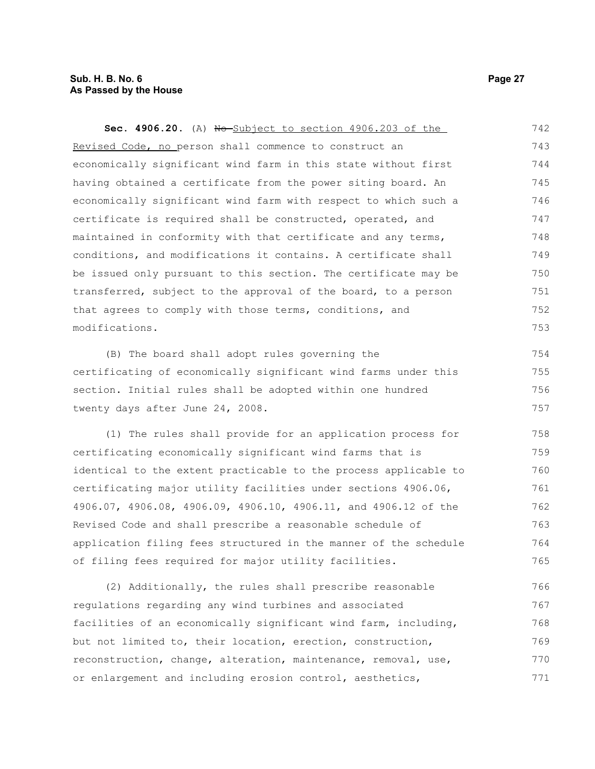### **Sub. H. B. No. 6 Page 27 As Passed by the House**

| Sec. 4906.20. (A) No Subject to section 4906.203 of the          | 742 |
|------------------------------------------------------------------|-----|
| Revised Code, no person shall commence to construct an           | 743 |
| economically significant wind farm in this state without first   | 744 |
| having obtained a certificate from the power siting board. An    | 745 |
| economically significant wind farm with respect to which such a  | 746 |
| certificate is required shall be constructed, operated, and      | 747 |
| maintained in conformity with that certificate and any terms,    | 748 |
| conditions, and modifications it contains. A certificate shall   | 749 |
| be issued only pursuant to this section. The certificate may be  | 750 |
| transferred, subject to the approval of the board, to a person   | 751 |
| that agrees to comply with those terms, conditions, and          | 752 |
| modifications.                                                   | 753 |
| (B) The board shall adopt rules governing the                    | 754 |
| certificating of economically significant wind farms under this  | 755 |
| section. Initial rules shall be adopted within one hundred       | 756 |
| twenty days after June 24, 2008.                                 | 757 |
| (1) The rules shall provide for an application process for       | 758 |
| certificating economically significant wind farms that is        | 759 |
| identical to the extent practicable to the process applicable to | 760 |
| certificating major utility facilities under sections 4906.06,   | 761 |
| 4906.07, 4906.08, 4906.09, 4906.10, 4906.11, and 4906.12 of the  | 762 |
| Revised Code and shall prescribe a reasonable schedule of        | 763 |
| application filing fees structured in the manner of the schedule | 764 |
| of filing fees required for major utility facilities.            | 765 |
| (2) Additionally, the rules shall prescribe reasonable           | 766 |
| regulations regarding any wind turbines and associated           | 767 |
| facilities of an economically significant wind farm, including,  | 768 |
| but not limited to, their location, erection, construction,      | 769 |
| reconstruction, change, alteration, maintenance, removal, use,   | 770 |

or enlargement and including erosion control, aesthetics,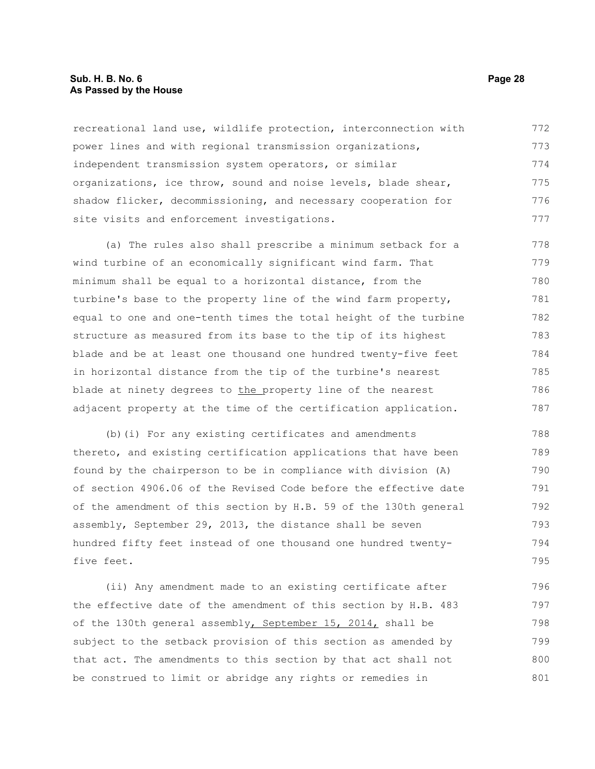#### **Sub. H. B. No. 6 Page 28 As Passed by the House**

recreational land use, wildlife protection, interconnection with power lines and with regional transmission organizations, independent transmission system operators, or similar organizations, ice throw, sound and noise levels, blade shear, shadow flicker, decommissioning, and necessary cooperation for site visits and enforcement investigations. 772 773 774 775 776 777

(a) The rules also shall prescribe a minimum setback for a wind turbine of an economically significant wind farm. That minimum shall be equal to a horizontal distance, from the turbine's base to the property line of the wind farm property, equal to one and one-tenth times the total height of the turbine structure as measured from its base to the tip of its highest blade and be at least one thousand one hundred twenty-five feet in horizontal distance from the tip of the turbine's nearest blade at ninety degrees to the property line of the nearest adjacent property at the time of the certification application. 778 779 780 781 782 783 784 785 786 787

(b)(i) For any existing certificates and amendments thereto, and existing certification applications that have been found by the chairperson to be in compliance with division (A) of section 4906.06 of the Revised Code before the effective date of the amendment of this section by H.B. 59 of the 130th general assembly, September 29, 2013, the distance shall be seven hundred fifty feet instead of one thousand one hundred twentyfive feet. 788 789 790 791 792 793 794 795

(ii) Any amendment made to an existing certificate after the effective date of the amendment of this section by H.B. 483 of the 130th general assembly, September 15, 2014, shall be subject to the setback provision of this section as amended by that act. The amendments to this section by that act shall not be construed to limit or abridge any rights or remedies in 796 797 798 799 800 801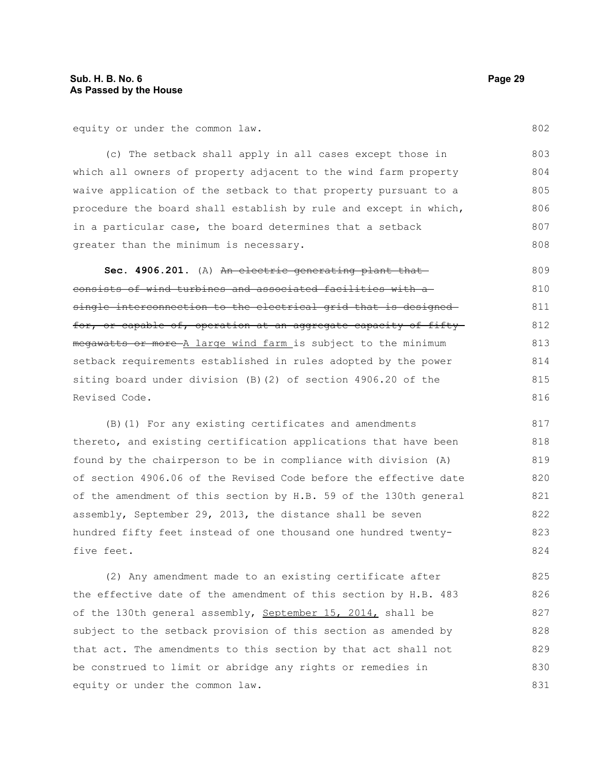#### **Sub. H. B. No. 6 Page 29 As Passed by the House**

equity or under the common law.

(c) The setback shall apply in all cases except those in which all owners of property adjacent to the wind farm property waive application of the setback to that property pursuant to a procedure the board shall establish by rule and except in which, in a particular case, the board determines that a setback greater than the minimum is necessary. 803 804 805 806 807 808

Sec. 4906.201. (A) An electric generating plant that consists of wind turbines and associated facilities with a single interconnection to the electrical grid that is designed for, or capable of, operation at an aggregate capacity of fifty megawatts or more A large wind farm is subject to the minimum setback requirements established in rules adopted by the power siting board under division (B)(2) of section 4906.20 of the Revised Code. 809 810 811 812 813 814 815 816

(B)(1) For any existing certificates and amendments thereto, and existing certification applications that have been found by the chairperson to be in compliance with division (A) of section 4906.06 of the Revised Code before the effective date of the amendment of this section by H.B. 59 of the 130th general assembly, September 29, 2013, the distance shall be seven hundred fifty feet instead of one thousand one hundred twentyfive feet. 817 818 819 820 821 822 823 824

(2) Any amendment made to an existing certificate after the effective date of the amendment of this section by H.B. 483 of the 130th general assembly, September 15, 2014, shall be subject to the setback provision of this section as amended by that act. The amendments to this section by that act shall not be construed to limit or abridge any rights or remedies in equity or under the common law. 825 826 827 828 829 830 831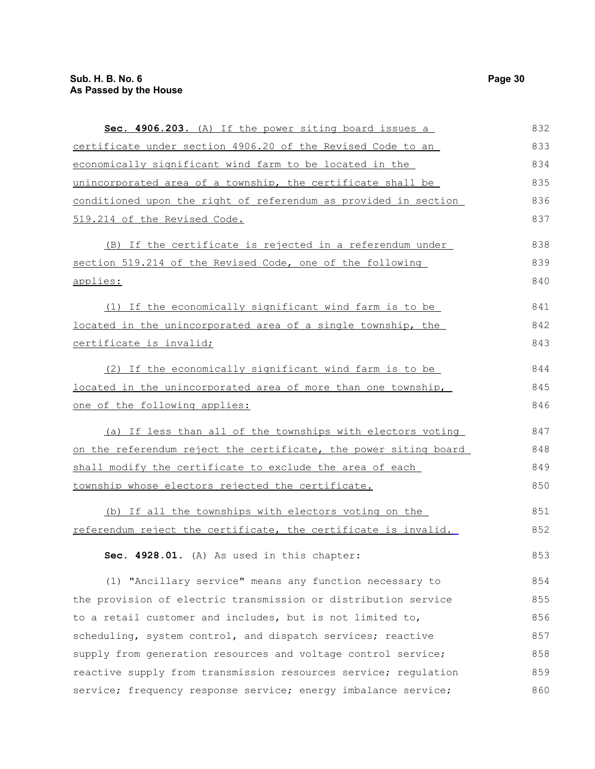| Sec. 4906.203. (A) If the power siting board issues a            | 832 |
|------------------------------------------------------------------|-----|
| certificate under section 4906.20 of the Revised Code to an      | 833 |
| economically significant wind farm to be located in the          | 834 |
| unincorporated area of a township, the certificate shall be      | 835 |
| conditioned upon the right of referendum as provided in section  | 836 |
| 519.214 of the Revised Code.                                     | 837 |
| (B) If the certificate is rejected in a referendum under         | 838 |
| section 519.214 of the Revised Code, one of the following        | 839 |
| applies:                                                         | 840 |
| (1) If the economically significant wind farm is to be           | 841 |
| located in the unincorporated area of a single township, the     | 842 |
| <u>certificate is invalid;</u>                                   | 843 |
| (2) If the economically significant wind farm is to be           | 844 |
| located in the unincorporated area of more than one township,    | 845 |
| one of the following applies:                                    | 846 |
| (a) If less than all of the townships with electors voting       | 847 |
| on the referendum reject the certificate, the power siting board | 848 |
| shall modify the certificate to exclude the area of each         | 849 |
| township whose electors rejected the certificate.                | 850 |
| (b) If all the townships with electors voting on the             | 851 |
| referendum reject the certificate, the certificate is invalid.   | 852 |
| Sec. 4928.01. (A) As used in this chapter:                       | 853 |
| (1) "Ancillary service" means any function necessary to          | 854 |
| the provision of electric transmission or distribution service   | 855 |
| to a retail customer and includes, but is not limited to,        | 856 |
| scheduling, system control, and dispatch services; reactive      | 857 |
| supply from generation resources and voltage control service;    | 858 |
| reactive supply from transmission resources service; regulation  | 859 |
| service; frequency response service; energy imbalance service;   | 860 |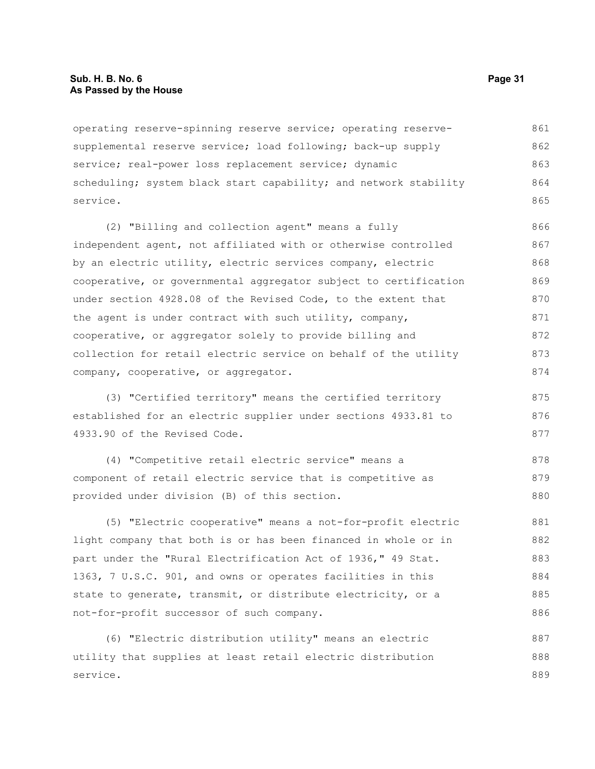#### **Sub. H. B. No. 6 Page 31 As Passed by the House**

operating reserve-spinning reserve service; operating reservesupplemental reserve service; load following; back-up supply service; real-power loss replacement service; dynamic scheduling; system black start capability; and network stability service. 861 862 863 864 865

(2) "Billing and collection agent" means a fully independent agent, not affiliated with or otherwise controlled by an electric utility, electric services company, electric cooperative, or governmental aggregator subject to certification under section 4928.08 of the Revised Code, to the extent that the agent is under contract with such utility, company, cooperative, or aggregator solely to provide billing and collection for retail electric service on behalf of the utility company, cooperative, or aggregator. 866 867 868 869 870 871 872 873 874

(3) "Certified territory" means the certified territory established for an electric supplier under sections 4933.81 to 4933.90 of the Revised Code.

(4) "Competitive retail electric service" means a component of retail electric service that is competitive as provided under division (B) of this section. 878 879 880

(5) "Electric cooperative" means a not-for-profit electric light company that both is or has been financed in whole or in part under the "Rural Electrification Act of 1936," 49 Stat. 1363, 7 U.S.C. 901, and owns or operates facilities in this state to generate, transmit, or distribute electricity, or a not-for-profit successor of such company. 881 882 883 884 885 886

(6) "Electric distribution utility" means an electric utility that supplies at least retail electric distribution service. 887 888 889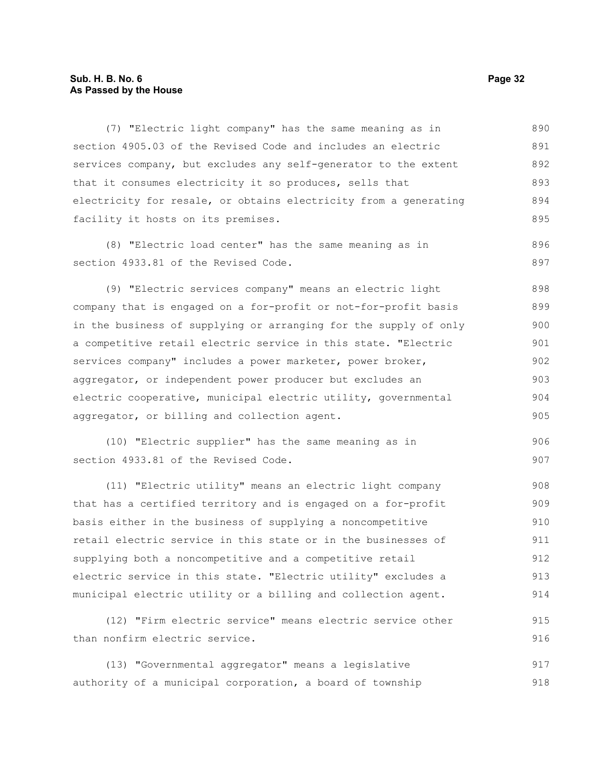#### **Sub. H. B. No. 6 Page 32 As Passed by the House**

(7) "Electric light company" has the same meaning as in section 4905.03 of the Revised Code and includes an electric services company, but excludes any self-generator to the extent that it consumes electricity it so produces, sells that electricity for resale, or obtains electricity from a generating facility it hosts on its premises. 890 891 892 893 894 895

(8) "Electric load center" has the same meaning as in section 4933.81 of the Revised Code.

(9) "Electric services company" means an electric light company that is engaged on a for-profit or not-for-profit basis in the business of supplying or arranging for the supply of only a competitive retail electric service in this state. "Electric services company" includes a power marketer, power broker, aggregator, or independent power producer but excludes an electric cooperative, municipal electric utility, governmental aggregator, or billing and collection agent. 898 899 900 901 902 903 904 905

(10) "Electric supplier" has the same meaning as in section 4933.81 of the Revised Code. 906 907

(11) "Electric utility" means an electric light company that has a certified territory and is engaged on a for-profit basis either in the business of supplying a noncompetitive retail electric service in this state or in the businesses of supplying both a noncompetitive and a competitive retail electric service in this state. "Electric utility" excludes a municipal electric utility or a billing and collection agent. 908 909 910 911 912 913 914

(12) "Firm electric service" means electric service other than nonfirm electric service. 915 916

(13) "Governmental aggregator" means a legislative authority of a municipal corporation, a board of township 917 918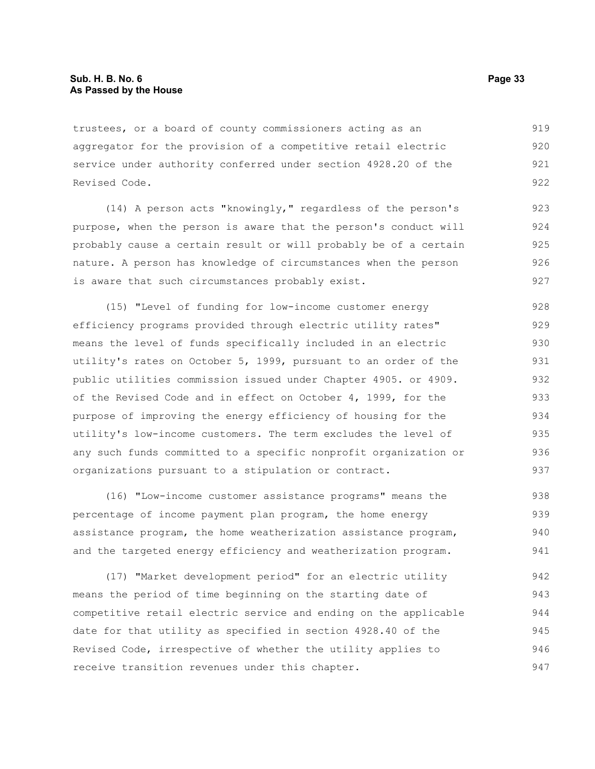trustees, or a board of county commissioners acting as an aggregator for the provision of a competitive retail electric service under authority conferred under section 4928.20 of the Revised Code. 919 920 921 922

(14) A person acts "knowingly," regardless of the person's purpose, when the person is aware that the person's conduct will probably cause a certain result or will probably be of a certain nature. A person has knowledge of circumstances when the person is aware that such circumstances probably exist. 923 924 925 926 927

(15) "Level of funding for low-income customer energy efficiency programs provided through electric utility rates" means the level of funds specifically included in an electric utility's rates on October 5, 1999, pursuant to an order of the public utilities commission issued under Chapter 4905. or 4909. of the Revised Code and in effect on October 4, 1999, for the purpose of improving the energy efficiency of housing for the utility's low-income customers. The term excludes the level of any such funds committed to a specific nonprofit organization or organizations pursuant to a stipulation or contract. 928 929 930 931 932 933 934 935 936 937

(16) "Low-income customer assistance programs" means the percentage of income payment plan program, the home energy assistance program, the home weatherization assistance program, and the targeted energy efficiency and weatherization program. 938 939 940 941

(17) "Market development period" for an electric utility means the period of time beginning on the starting date of competitive retail electric service and ending on the applicable date for that utility as specified in section 4928.40 of the Revised Code, irrespective of whether the utility applies to receive transition revenues under this chapter. 942 943 944 945 946 947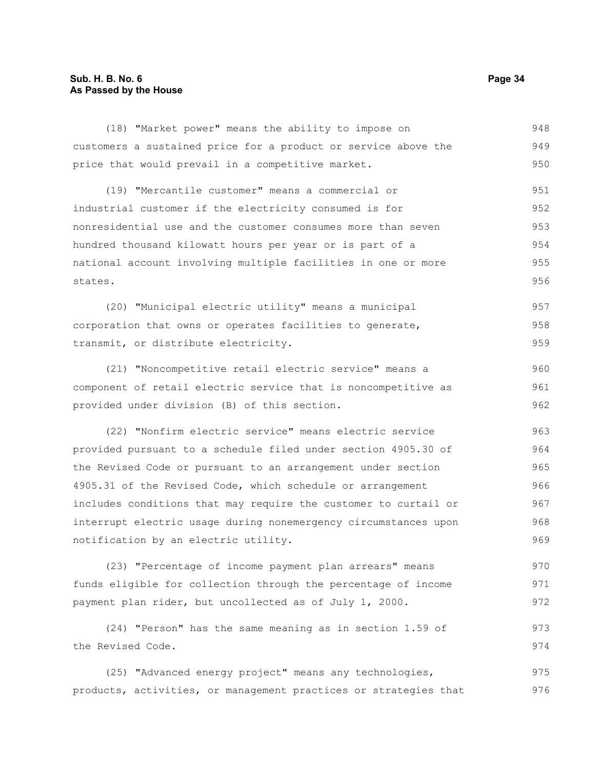## **Sub. H. B. No. 6 Page 34 As Passed by the House**

| (18) "Market power" means the ability to impose on              | 948 |
|-----------------------------------------------------------------|-----|
| customers a sustained price for a product or service above the  | 949 |
| price that would prevail in a competitive market.               | 950 |
| (19) "Mercantile customer" means a commercial or                | 951 |
| industrial customer if the electricity consumed is for          | 952 |
| nonresidential use and the customer consumes more than seven    | 953 |
| hundred thousand kilowatt hours per year or is part of a        | 954 |
| national account involving multiple facilities in one or more   | 955 |
| states.                                                         | 956 |
| (20) "Municipal electric utility" means a municipal             | 957 |
| corporation that owns or operates facilities to generate,       | 958 |
| transmit, or distribute electricity.                            | 959 |
| (21) "Noncompetitive retail electric service" means a           | 960 |
| component of retail electric service that is noncompetitive as  | 961 |
| provided under division (B) of this section.                    | 962 |
| (22) "Nonfirm electric service" means electric service          | 963 |
| provided pursuant to a schedule filed under section 4905.30 of  | 964 |
| the Revised Code or pursuant to an arrangement under section    | 965 |
| 4905.31 of the Revised Code, which schedule or arrangement      | 966 |
| includes conditions that may require the customer to curtail or | 967 |
| interrupt electric usage during nonemergency circumstances upon | 968 |
| notification by an electric utility.                            | 969 |
| (23) "Percentage of income payment plan arrears" means          | 970 |
| funds eligible for collection through the percentage of income  | 971 |
| payment plan rider, but uncollected as of July 1, 2000.         | 972 |
| (24) "Person" has the same meaning as in section 1.59 of        | 973 |
| the Revised Code.                                               | 974 |

(25) "Advanced energy project" means any technologies, products, activities, or management practices or strategies that 975 976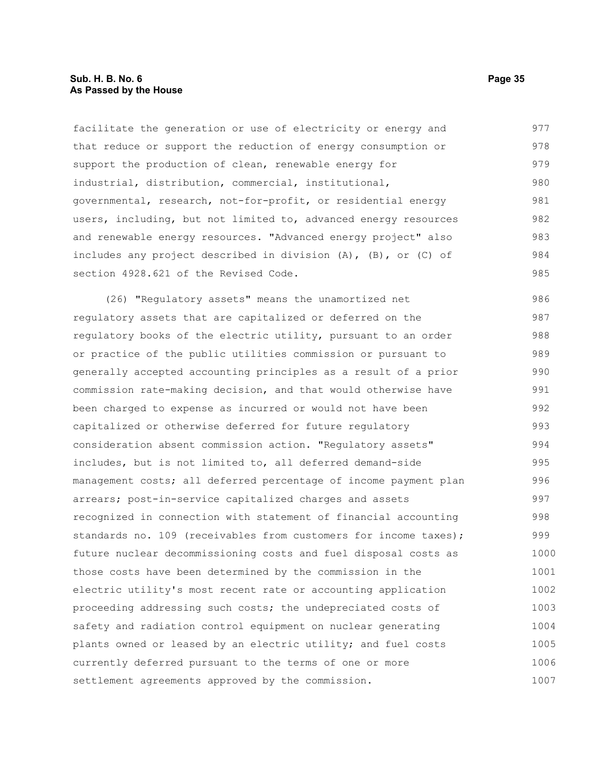#### **Sub. H. B. No. 6 Page 35 As Passed by the House**

facilitate the generation or use of electricity or energy and that reduce or support the reduction of energy consumption or support the production of clean, renewable energy for industrial, distribution, commercial, institutional, governmental, research, not-for-profit, or residential energy users, including, but not limited to, advanced energy resources and renewable energy resources. "Advanced energy project" also includes any project described in division (A), (B), or (C) of section 4928.621 of the Revised Code. 977 978 979 980 981 982 983 984 985

(26) "Regulatory assets" means the unamortized net regulatory assets that are capitalized or deferred on the regulatory books of the electric utility, pursuant to an order or practice of the public utilities commission or pursuant to generally accepted accounting principles as a result of a prior commission rate-making decision, and that would otherwise have been charged to expense as incurred or would not have been capitalized or otherwise deferred for future regulatory consideration absent commission action. "Regulatory assets" includes, but is not limited to, all deferred demand-side management costs; all deferred percentage of income payment plan arrears; post-in-service capitalized charges and assets recognized in connection with statement of financial accounting standards no. 109 (receivables from customers for income taxes); future nuclear decommissioning costs and fuel disposal costs as those costs have been determined by the commission in the electric utility's most recent rate or accounting application proceeding addressing such costs; the undepreciated costs of safety and radiation control equipment on nuclear generating plants owned or leased by an electric utility; and fuel costs currently deferred pursuant to the terms of one or more settlement agreements approved by the commission. 986 987 988 989 990 991 992 993 994 995 996 997 998 999 1000 1001 1002 1003 1004 1005 1006 1007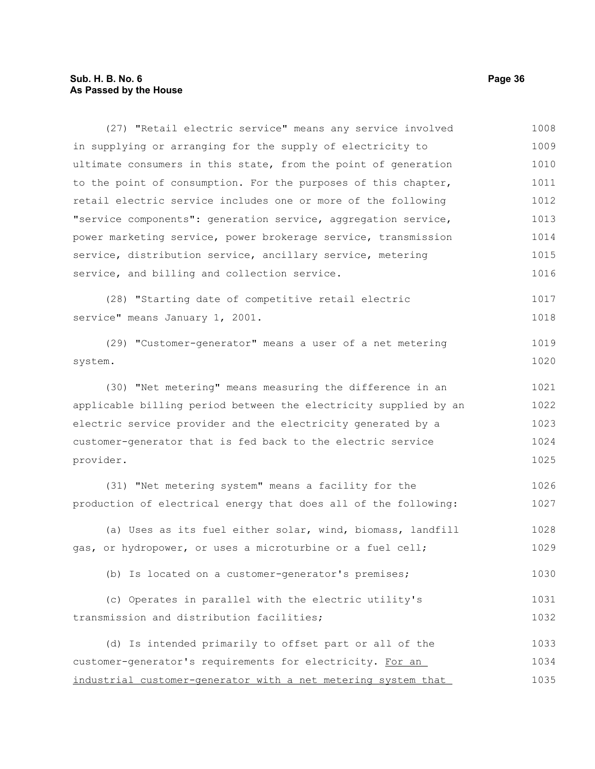#### **Sub. H. B. No. 6 Page 36 As Passed by the House**

(27) "Retail electric service" means any service involved in supplying or arranging for the supply of electricity to ultimate consumers in this state, from the point of generation to the point of consumption. For the purposes of this chapter, retail electric service includes one or more of the following "service components": generation service, aggregation service, power marketing service, power brokerage service, transmission service, distribution service, ancillary service, metering service, and billing and collection service. (28) "Starting date of competitive retail electric service" means January 1, 2001. (29) "Customer-generator" means a user of a net metering system. (30) "Net metering" means measuring the difference in an applicable billing period between the electricity supplied by an electric service provider and the electricity generated by a customer-generator that is fed back to the electric service provider. (31) "Net metering system" means a facility for the production of electrical energy that does all of the following: (a) Uses as its fuel either solar, wind, biomass, landfill gas, or hydropower, or uses a microturbine or a fuel cell; (b) Is located on a customer-generator's premises; (c) Operates in parallel with the electric utility's transmission and distribution facilities; (d) Is intended primarily to offset part or all of the customer-generator's requirements for electricity. For an industrial customer-generator with a net metering system that 1008 1009 1010 1011 1012 1013 1014 1015 1016 1017 1018 1019 1020 1021 1022 1023 1024 1025 1026 1027 1028 1029 1030 1031 1032 1033 1034 1035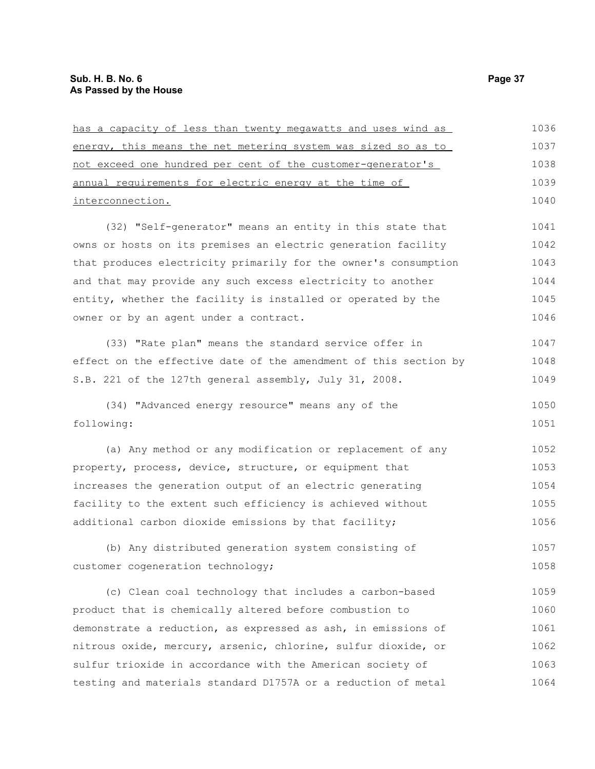| has a capacity of less than twenty megawatts and uses wind as    | 1036 |
|------------------------------------------------------------------|------|
| energy, this means the net metering system was sized so as to    | 1037 |
| not exceed one hundred per cent of the customer-generator's      | 1038 |
| annual requirements for electric energy at the time of           | 1039 |
| interconnection.                                                 | 1040 |
| (32) "Self-generator" means an entity in this state that         | 1041 |
| owns or hosts on its premises an electric generation facility    | 1042 |
| that produces electricity primarily for the owner's consumption  | 1043 |
| and that may provide any such excess electricity to another      | 1044 |
| entity, whether the facility is installed or operated by the     | 1045 |
| owner or by an agent under a contract.                           | 1046 |
| (33) "Rate plan" means the standard service offer in             | 1047 |
| effect on the effective date of the amendment of this section by | 1048 |
| S.B. 221 of the 127th general assembly, July 31, 2008.           | 1049 |
| (34) "Advanced energy resource" means any of the                 | 1050 |
| following:                                                       | 1051 |
| (a) Any method or any modification or replacement of any         | 1052 |
| property, process, device, structure, or equipment that          | 1053 |
| increases the generation output of an electric generating        | 1054 |
| facility to the extent such efficiency is achieved without       | 1055 |
| additional carbon dioxide emissions by that facility;            | 1056 |
| (b) Any distributed generation system consisting of              | 1057 |
| customer cogeneration technology;                                | 1058 |
| (c) Clean coal technology that includes a carbon-based           | 1059 |
| product that is chemically altered before combustion to          | 1060 |
| demonstrate a reduction, as expressed as ash, in emissions of    | 1061 |
| nitrous oxide, mercury, arsenic, chlorine, sulfur dioxide, or    | 1062 |
| sulfur trioxide in accordance with the American society of       | 1063 |
| testing and materials standard D1757A or a reduction of metal    | 1064 |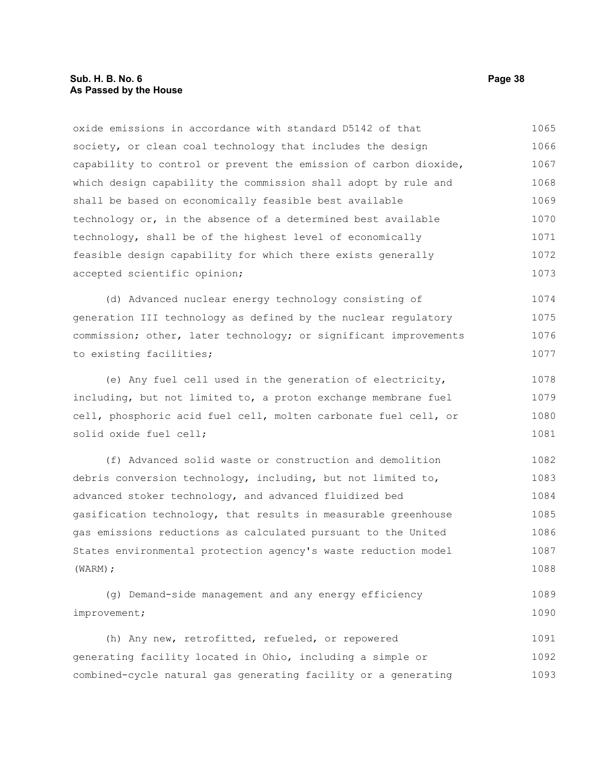# **Sub. H. B. No. 6 Page 38 As Passed by the House**

oxide emissions in accordance with standard D5142 of that society, or clean coal technology that includes the design capability to control or prevent the emission of carbon dioxide, which design capability the commission shall adopt by rule and shall be based on economically feasible best available technology or, in the absence of a determined best available technology, shall be of the highest level of economically feasible design capability for which there exists generally accepted scientific opinion; 1065 1066 1067 1068 1069 1070 1071 1072 1073

(d) Advanced nuclear energy technology consisting of generation III technology as defined by the nuclear regulatory commission; other, later technology; or significant improvements to existing facilities; 1074 1075 1076 1077

(e) Any fuel cell used in the generation of electricity, including, but not limited to, a proton exchange membrane fuel cell, phosphoric acid fuel cell, molten carbonate fuel cell, or solid oxide fuel cell; 1078 1079 1080 1081

(f) Advanced solid waste or construction and demolition debris conversion technology, including, but not limited to, advanced stoker technology, and advanced fluidized bed gasification technology, that results in measurable greenhouse gas emissions reductions as calculated pursuant to the United States environmental protection agency's waste reduction model (WARM); 1082 1083 1084 1085 1086 1087 1088

```
(g) Demand-side management and any energy efficiency
improvement; 
                                                                             1089
                                                                             1090
```
(h) Any new, retrofitted, refueled, or repowered generating facility located in Ohio, including a simple or combined-cycle natural gas generating facility or a generating 1091 1092 1093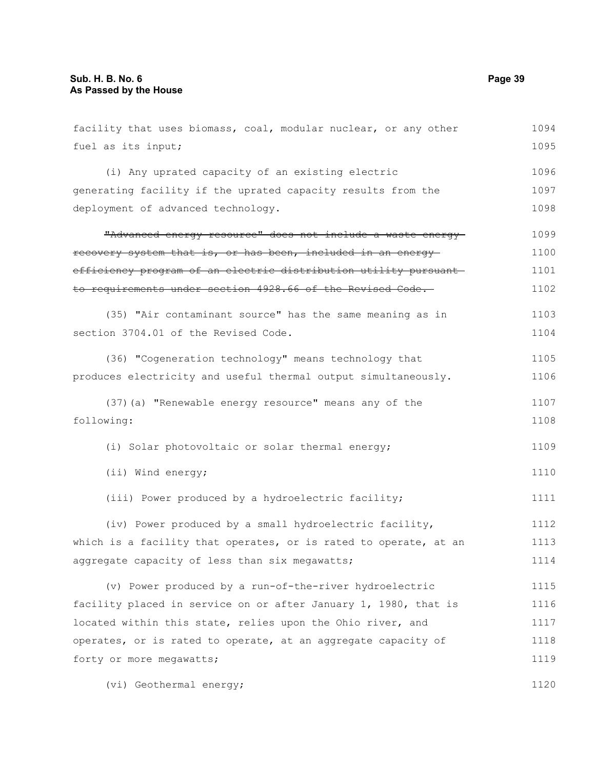facility that uses biomass, coal, modular nuclear, or any other fuel as its input; (i) Any uprated capacity of an existing electric generating facility if the uprated capacity results from the deployment of advanced technology. "Advanced energy resource" does not include a waste energy recovery system that is, or has been, included in an energy efficiency program of an electric distribution utility pursuant to requirements under section 4928.66 of the Revised Code. (35) "Air contaminant source" has the same meaning as in section 3704.01 of the Revised Code. (36) "Cogeneration technology" means technology that produces electricity and useful thermal output simultaneously. (37)(a) "Renewable energy resource" means any of the following: (i) Solar photovoltaic or solar thermal energy; (ii) Wind energy; (iii) Power produced by a hydroelectric facility; (iv) Power produced by a small hydroelectric facility, which is a facility that operates, or is rated to operate, at an aggregate capacity of less than six megawatts; (v) Power produced by a run-of-the-river hydroelectric facility placed in service on or after January 1, 1980, that is located within this state, relies upon the Ohio river, and operates, or is rated to operate, at an aggregate capacity of forty or more megawatts; (vi) Geothermal energy; 1094 1095 1096 1097 1098 1099 1100 1101 1102 1103 1104 1105 1106 1107 1108 1109 1110 1111 1112 1113 1114 1115 1116 1117 1118 1119 1120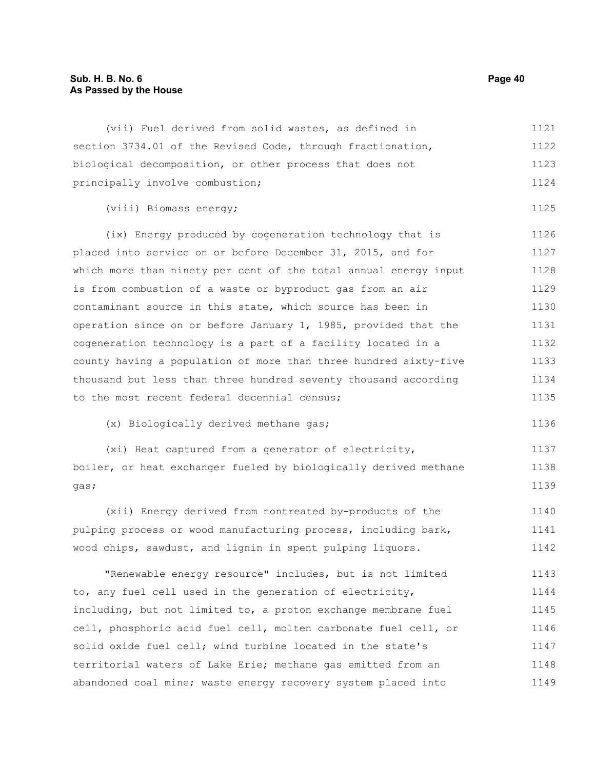(vii) Fuel derived from solid wastes, as defined in section 3734.01 of the Revised Code, through fractionation, biological decomposition, or other process that does not principally involve combustion; (viii) Biomass energy; (ix) Energy produced by cogeneration technology that is placed into service on or before December 31, 2015, and for which more than ninety per cent of the total annual energy input is from combustion of a waste or byproduct gas from an air contaminant source in this state, which source has been in operation since on or before January 1, 1985, provided that the cogeneration technology is a part of a facility located in a county having a population of more than three hundred sixty-five thousand but less than three hundred seventy thousand according 1121 1122 1123 1124 1125 1126 1127 1128 1129 1130 1131 1132 1133 1134

(x) Biologically derived methane gas;

to the most recent federal decennial census;

(xi) Heat captured from a generator of electricity, boiler, or heat exchanger fueled by biologically derived methane gas; 1137 1138 1139

(xii) Energy derived from nontreated by-products of the pulping process or wood manufacturing process, including bark, wood chips, sawdust, and lignin in spent pulping liquors. 1140 1141 1142

"Renewable energy resource" includes, but is not limited to, any fuel cell used in the generation of electricity, including, but not limited to, a proton exchange membrane fuel cell, phosphoric acid fuel cell, molten carbonate fuel cell, or solid oxide fuel cell; wind turbine located in the state's territorial waters of Lake Erie; methane gas emitted from an abandoned coal mine; waste energy recovery system placed into 1143 1144 1145 1146 1147 1148 1149

1135

1136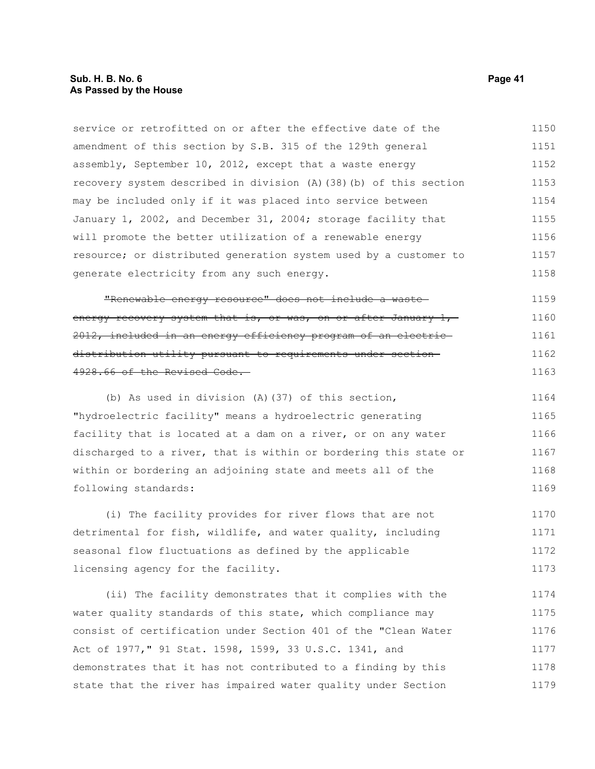# **Sub. H. B. No. 6 Page 41 As Passed by the House**

service or retrofitted on or after the effective date of the amendment of this section by S.B. 315 of the 129th general assembly, September 10, 2012, except that a waste energy recovery system described in division (A)(38)(b) of this section may be included only if it was placed into service between January 1, 2002, and December 31, 2004; storage facility that will promote the better utilization of a renewable energy resource; or distributed generation system used by a customer to generate electricity from any such energy. 1150 1151 1152 1153 1154 1155 1156 1157 1158

"Renewable energy resource" does not include a waste energy recovery system that is, or was, on or after January 1, 2012, included in an energy efficiency program of an electric distribution utility pursuant to requirements under section 4928.66 of the Revised Code. 1159 1160 1161 1162 1163

(b) As used in division (A)(37) of this section, "hydroelectric facility" means a hydroelectric generating facility that is located at a dam on a river, or on any water discharged to a river, that is within or bordering this state or within or bordering an adjoining state and meets all of the following standards: 1164 1165 1166 1167 1168 1169

(i) The facility provides for river flows that are not detrimental for fish, wildlife, and water quality, including seasonal flow fluctuations as defined by the applicable licensing agency for the facility. 1170 1171 1172 1173

(ii) The facility demonstrates that it complies with the water quality standards of this state, which compliance may consist of certification under Section 401 of the "Clean Water Act of 1977," 91 Stat. 1598, 1599, 33 U.S.C. 1341, and demonstrates that it has not contributed to a finding by this state that the river has impaired water quality under Section 1174 1175 1176 1177 1178 1179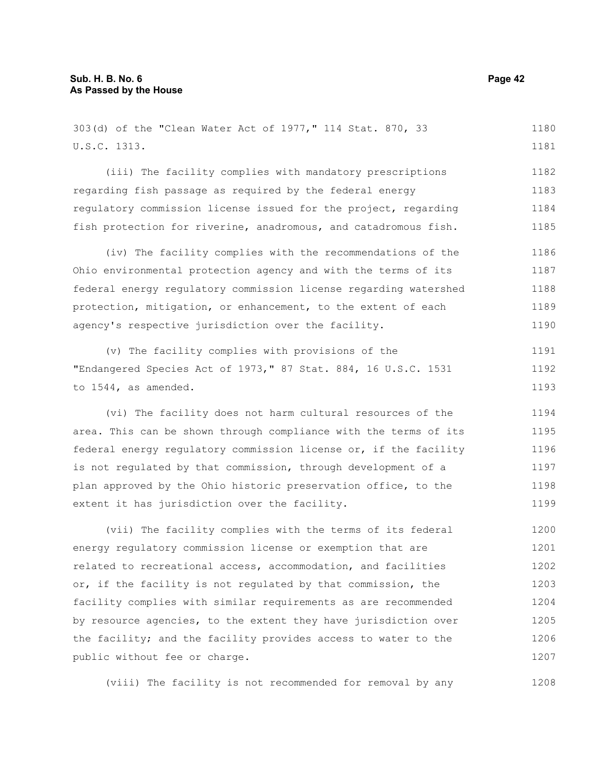303(d) of the "Clean Water Act of 1977," 114 Stat. 870, 33 U.S.C. 1313. 1180 1181

(iii) The facility complies with mandatory prescriptions regarding fish passage as required by the federal energy regulatory commission license issued for the project, regarding fish protection for riverine, anadromous, and catadromous fish. 1182 1183 1184 1185

(iv) The facility complies with the recommendations of the Ohio environmental protection agency and with the terms of its federal energy regulatory commission license regarding watershed protection, mitigation, or enhancement, to the extent of each agency's respective jurisdiction over the facility. 1186 1187 1188 1189 1190

(v) The facility complies with provisions of the "Endangered Species Act of 1973," 87 Stat. 884, 16 U.S.C. 1531 to 1544, as amended. 1191 1192 1193

(vi) The facility does not harm cultural resources of the area. This can be shown through compliance with the terms of its federal energy regulatory commission license or, if the facility is not regulated by that commission, through development of a plan approved by the Ohio historic preservation office, to the extent it has jurisdiction over the facility. 1194 1195 1196 1197 1198 1199

(vii) The facility complies with the terms of its federal energy regulatory commission license or exemption that are related to recreational access, accommodation, and facilities or, if the facility is not regulated by that commission, the facility complies with similar requirements as are recommended by resource agencies, to the extent they have jurisdiction over the facility; and the facility provides access to water to the public without fee or charge. 1200 1201 1202 1203 1204 1205 1206 1207

(viii) The facility is not recommended for removal by any 1208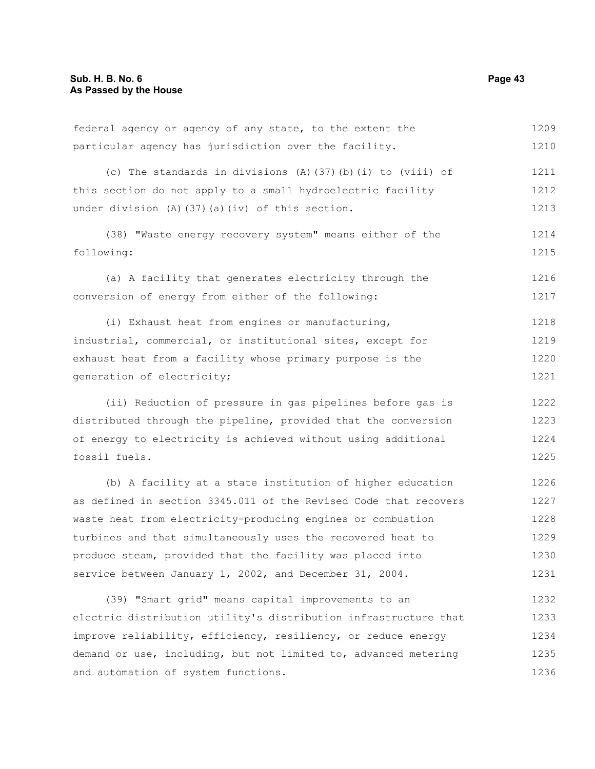| federal agency or agency of any state, to the extent the         | 1209 |
|------------------------------------------------------------------|------|
| particular agency has jurisdiction over the facility.            | 1210 |
| (c) The standards in divisions (A) (37) (b) (i) to (viii) of     | 1211 |
| this section do not apply to a small hydroelectric facility      | 1212 |
| under division (A) (37) (a) (iv) of this section.                | 1213 |
| (38) "Waste energy recovery system" means either of the          | 1214 |
| following:                                                       | 1215 |
| (a) A facility that generates electricity through the            | 1216 |
| conversion of energy from either of the following:               | 1217 |
| (i) Exhaust heat from engines or manufacturing,                  | 1218 |
| industrial, commercial, or institutional sites, except for       | 1219 |
| exhaust heat from a facility whose primary purpose is the        | 1220 |
| generation of electricity;                                       | 1221 |
| (ii) Reduction of pressure in gas pipelines before gas is        | 1222 |
| distributed through the pipeline, provided that the conversion   | 1223 |
| of energy to electricity is achieved without using additional    | 1224 |
| fossil fuels.                                                    | 1225 |
| (b) A facility at a state institution of higher education        | 1226 |
| as defined in section 3345.011 of the Revised Code that recovers | 1227 |
| waste heat from electricity-producing engines or combustion      | 1228 |
| turbines and that simultaneously uses the recovered heat to      | 1229 |
| produce steam, provided that the facility was placed into        | 1230 |
| service between January 1, 2002, and December 31, 2004.          | 1231 |
| (39) "Smart grid" means capital improvements to an               | 1232 |
| electric distribution utility's distribution infrastructure that | 1233 |
| improve reliability, efficiency, resiliency, or reduce energy    | 1234 |

 $\mathop{\mathsf{invol}}$  reliability, efficiency, resiliency, or reduce energy demand or use, including, but not limited to, advanced metering and automation of system functions. 1234 1235 1236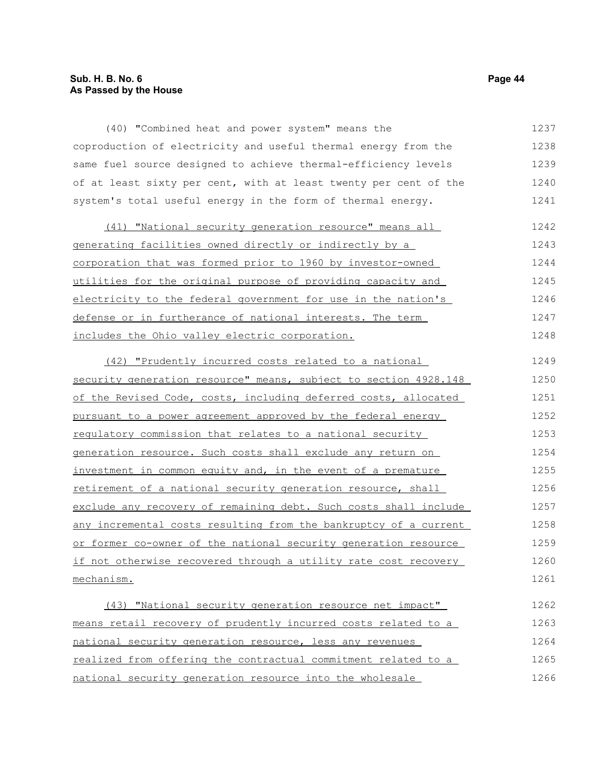# **Sub. H. B. No. 6 Page 44 As Passed by the House**

(40) "Combined heat and power system" means the coproduction of electricity and useful thermal energy from the same fuel source designed to achieve thermal-efficiency levels of at least sixty per cent, with at least twenty per cent of the system's total useful energy in the form of thermal energy. 1237 1238 1239 1240 1241

(41) "National security generation resource" means all generating facilities owned directly or indirectly by a corporation that was formed prior to 1960 by investor-owned utilities for the original purpose of providing capacity and electricity to the federal government for use in the nation's defense or in furtherance of national interests. The term includes the Ohio valley electric corporation. 1242 1243 1244 1245 1246 1247 1248

(42) "Prudently incurred costs related to a national security generation resource" means, subject to section 4928.148 of the Revised Code, costs, including deferred costs, allocated pursuant to a power agreement approved by the federal energy regulatory commission that relates to a national security generation resource. Such costs shall exclude any return on investment in common equity and, in the event of a premature retirement of a national security generation resource, shall exclude any recovery of remaining debt. Such costs shall include any incremental costs resulting from the bankruptcy of a current or former co-owner of the national security generation resource if not otherwise recovered through a utility rate cost recovery mechanism. 1249 1250 1251 1252 1253 1254 1255 1256 1257 1258 1259 1260 1261

(43) "National security generation resource net impact" means retail recovery of prudently incurred costs related to a national security generation resource, less any revenues realized from offering the contractual commitment related to a national security generation resource into the wholesale 1262 1263 1264 1265 1266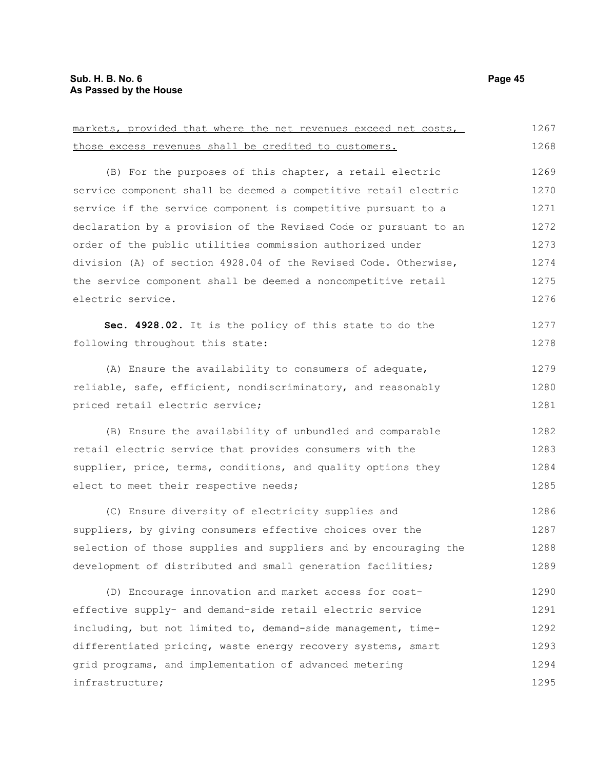markets, provided that where the net revenues exceed net costs, those excess revenues shall be credited to customers. (B) For the purposes of this chapter, a retail electric service component shall be deemed a competitive retail electric service if the service component is competitive pursuant to a declaration by a provision of the Revised Code or pursuant to an order of the public utilities commission authorized under division (A) of section 4928.04 of the Revised Code. Otherwise, the service component shall be deemed a noncompetitive retail electric service. **Sec. 4928.02.** It is the policy of this state to do the following throughout this state: (A) Ensure the availability to consumers of adequate, reliable, safe, efficient, nondiscriminatory, and reasonably priced retail electric service; (B) Ensure the availability of unbundled and comparable retail electric service that provides consumers with the supplier, price, terms, conditions, and quality options they elect to meet their respective needs; (C) Ensure diversity of electricity supplies and suppliers, by giving consumers effective choices over the selection of those supplies and suppliers and by encouraging the development of distributed and small generation facilities; (D) Encourage innovation and market access for costeffective supply- and demand-side retail electric service including, but not limited to, demand-side management, timedifferentiated pricing, waste energy recovery systems, smart grid programs, and implementation of advanced metering infrastructure; 1268 1269 1270 1271 1272 1273 1274 1275 1276 1277 1278 1279 1280 1281 1282 1283 1284 1285 1286 1287 1288 1289 1290 1291 1292 1293 1294 1295

1267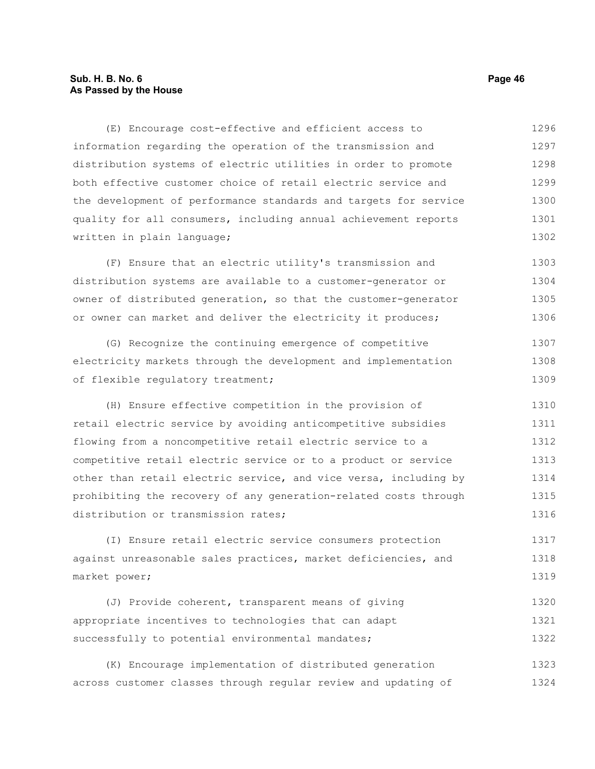# **Sub. H. B. No. 6 Page 46 As Passed by the House**

(E) Encourage cost-effective and efficient access to information regarding the operation of the transmission and distribution systems of electric utilities in order to promote both effective customer choice of retail electric service and the development of performance standards and targets for service quality for all consumers, including annual achievement reports written in plain language; 1296 1297 1298 1299 1300 1301 1302

(F) Ensure that an electric utility's transmission and distribution systems are available to a customer-generator or owner of distributed generation, so that the customer-generator or owner can market and deliver the electricity it produces; 1303 1304 1305 1306

(G) Recognize the continuing emergence of competitive electricity markets through the development and implementation of flexible regulatory treatment; 1307 1308 1309

(H) Ensure effective competition in the provision of retail electric service by avoiding anticompetitive subsidies flowing from a noncompetitive retail electric service to a competitive retail electric service or to a product or service other than retail electric service, and vice versa, including by prohibiting the recovery of any generation-related costs through distribution or transmission rates; 1310 1311 1312 1313 1314 1315 1316

(I) Ensure retail electric service consumers protection against unreasonable sales practices, market deficiencies, and market power; 1317 1318 1319

(J) Provide coherent, transparent means of giving appropriate incentives to technologies that can adapt successfully to potential environmental mandates; 1320 1321 1322

(K) Encourage implementation of distributed generation across customer classes through regular review and updating of 1323 1324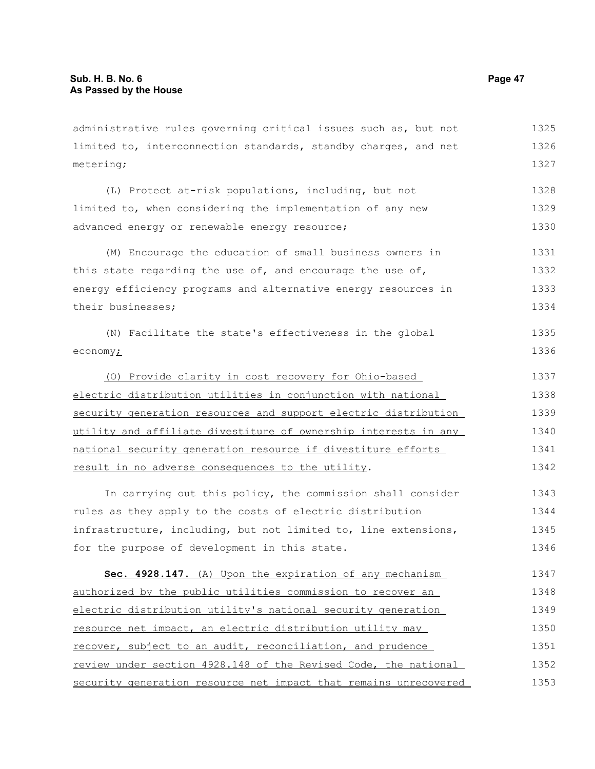administrative rules governing critical issues such as, but not limited to, interconnection standards, standby charges, and net metering; 1325 1326 1327

(L) Protect at-risk populations, including, but not limited to, when considering the implementation of any new advanced energy or renewable energy resource; 1328 1329 1330

(M) Encourage the education of small business owners in this state regarding the use of, and encourage the use of, energy efficiency programs and alternative energy resources in their businesses; 1331 1332 1333 1334

(N) Facilitate the state's effectiveness in the global economy; 1335 1336

(O) Provide clarity in cost recovery for Ohio-based electric distribution utilities in conjunction with national security generation resources and support electric distribution utility and affiliate divestiture of ownership interests in any national security generation resource if divestiture efforts result in no adverse consequences to the utility. 1337 1338 1339 1340 1341 1342

In carrying out this policy, the commission shall consider rules as they apply to the costs of electric distribution infrastructure, including, but not limited to, line extensions, for the purpose of development in this state. 1343 1344 1345 1346

 **Sec. 4928.147.** (A) Upon the expiration of any mechanism authorized by the public utilities commission to recover an electric distribution utility's national security generation resource net impact, an electric distribution utility may recover, subject to an audit, reconciliation, and prudence review under section 4928.148 of the Revised Code, the national security generation resource net impact that remains unrecovered 1347 1348 1349 1350 1351 1352 1353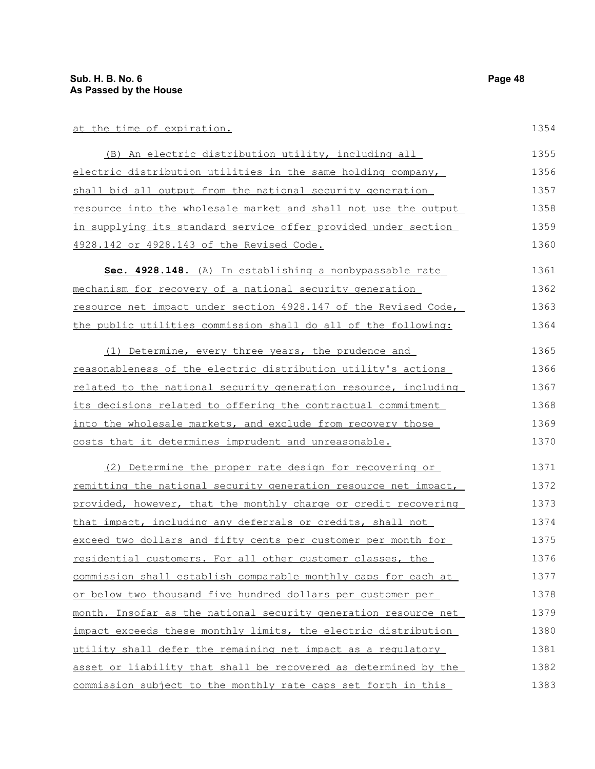|  |  | at the time of expiration. |
|--|--|----------------------------|
|  |  |                            |

| (B) An electric distribution utility, including all             | 1355 |
|-----------------------------------------------------------------|------|
| electric distribution utilities in the same holding company,    | 1356 |
| shall bid all output from the national security generation      | 1357 |
| resource into the wholesale market and shall not use the output | 1358 |
| in supplying its standard service offer provided under section  | 1359 |
| 4928.142 or 4928.143 of the Revised Code.                       | 1360 |
| Sec. 4928.148. (A) In establishing a nonbypassable rate         | 1361 |
| mechanism for recovery of a national security generation        | 1362 |
| resource net impact under section 4928.147 of the Revised Code, | 1363 |
| the public utilities commission shall do all of the following:  | 1364 |
| (1) Determine, every three years, the prudence and              | 1365 |
| reasonableness of the electric distribution utility's actions   | 1366 |
| related to the national security generation resource, including | 1367 |
| its decisions related to offering the contractual commitment    | 1368 |
| into the wholesale markets, and exclude from recovery those     | 1369 |
| costs that it determines imprudent and unreasonable.            | 1370 |
| (2) Determine the proper rate design for recovering or          | 1371 |
| remitting the national security generation resource net impact, | 1372 |
| provided, however, that the monthly charge or credit recovering | 1373 |
| that impact, including any deferrals or credits, shall not      | 1374 |
| exceed two dollars and fifty cents per customer per month for   | 1375 |
| residential customers. For all other customer classes, the      | 1376 |
| commission shall establish comparable monthly caps for each at  | 1377 |
| or below two thousand five hundred dollars per customer per     | 1378 |
| month. Insofar as the national security generation resource net | 1379 |
| impact exceeds these monthly limits, the electric distribution  | 1380 |
| utility shall defer the remaining net impact as a regulatory    | 1381 |
| asset or liability that shall be recovered as determined by the | 1382 |
| commission subject to the monthly rate caps set forth in this   | 1383 |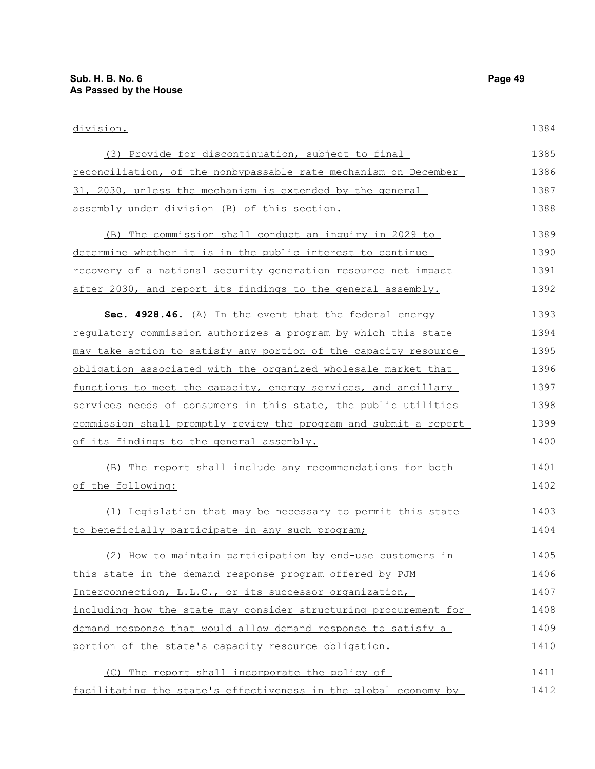division.

(3) Provide for discontinuation, subject to final reconciliation, of the nonbypassable rate mechanism on December 31, 2030, unless the mechanism is extended by the general assembly under division (B) of this section. (B) The commission shall conduct an inquiry in 2029 to determine whether it is in the public interest to continue recovery of a national security generation resource net impact after 2030, and report its findings to the general assembly. **Sec. 4928.46.** (A) In the event that the federal energy regulatory commission authorizes a program by which this state may take action to satisfy any portion of the capacity resource obligation associated with the organized wholesale market that functions to meet the capacity, energy services, and ancillary services needs of consumers in this state, the public utilities commission shall promptly review the program and submit a report of its findings to the general assembly. (B) The report shall include any recommendations for both of the following: (1) Legislation that may be necessary to permit this state to beneficially participate in any such program; 1384 1385 1386 1387 1388 1389 1390 1391 1392 1393 1394 1395 1396 1397 1398 1399 1400 1401 1402 1403 1404

(2) How to maintain participation by end-use customers in this state in the demand response program offered by PJM Interconnection, L.L.C., or its successor organization, including how the state may consider structuring procurement for demand response that would allow demand response to satisfy a portion of the state's capacity resource obligation. 1405 1406 1407 1408 1409 1410

(C) The report shall incorporate the policy of facilitating the state's effectiveness in the global economy by 1411 1412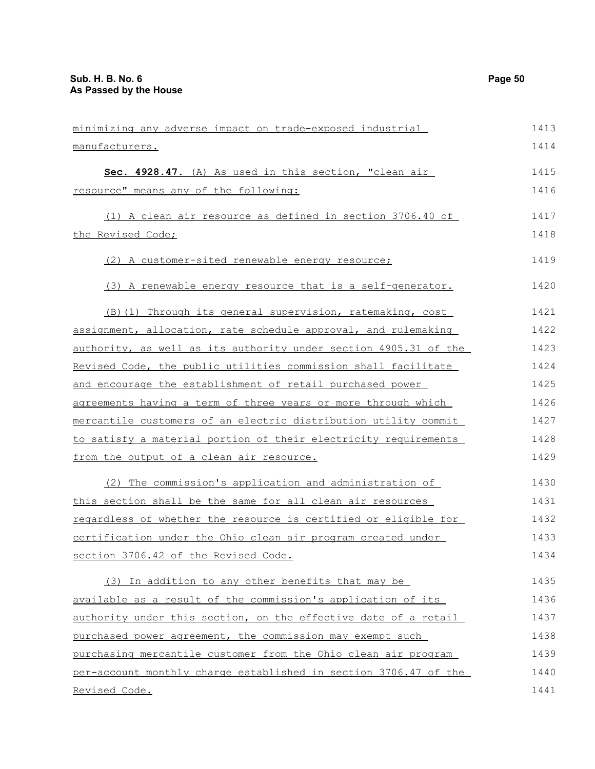| minimizing any adverse impact on trade-exposed industrial        | 1413 |
|------------------------------------------------------------------|------|
| manufacturers.                                                   | 1414 |
| Sec. 4928.47. (A) As used in this section, "clean air            | 1415 |
| resource" means any of the following:                            | 1416 |
| (1) A clean air resource as defined in section 3706.40 of        | 1417 |
| the Revised Code;                                                | 1418 |
| (2) A customer-sited renewable energy resource;                  | 1419 |
| (3) A renewable energy resource that is a self-generator.        | 1420 |
| (B) (1) Through its general supervision, ratemaking, cost        | 1421 |
| assignment, allocation, rate schedule approval, and rulemaking   | 1422 |
| authority, as well as its authority under section 4905.31 of the | 1423 |
| Revised Code, the public utilities commission shall facilitate   | 1424 |
| and encourage the establishment of retail purchased power        | 1425 |
| agreements having a term of three years or more through which    | 1426 |
| mercantile customers of an electric distribution utility commit  | 1427 |
| to satisfy a material portion of their electricity requirements  | 1428 |
| from the output of a clean air resource.                         | 1429 |
| (2) The commission's application and administration of           | 1430 |
| this section shall be the same for all clean air resources       | 1431 |
| regardless of whether the resource is certified or eligible for  | 1432 |
| certification under the Ohio clean air program created under     | 1433 |
| section 3706.42 of the Revised Code.                             | 1434 |
| (3) In addition to any other benefits that may be                | 1435 |
| available as a result of the commission's application of its     | 1436 |
| authority under this section, on the effective date of a retail  | 1437 |
| purchased power agreement, the commission may exempt such        | 1438 |
| purchasing mercantile customer from the Ohio clean air program   | 1439 |
| per-account monthly charge established in section 3706.47 of the | 1440 |
| Revised Code.                                                    | 1441 |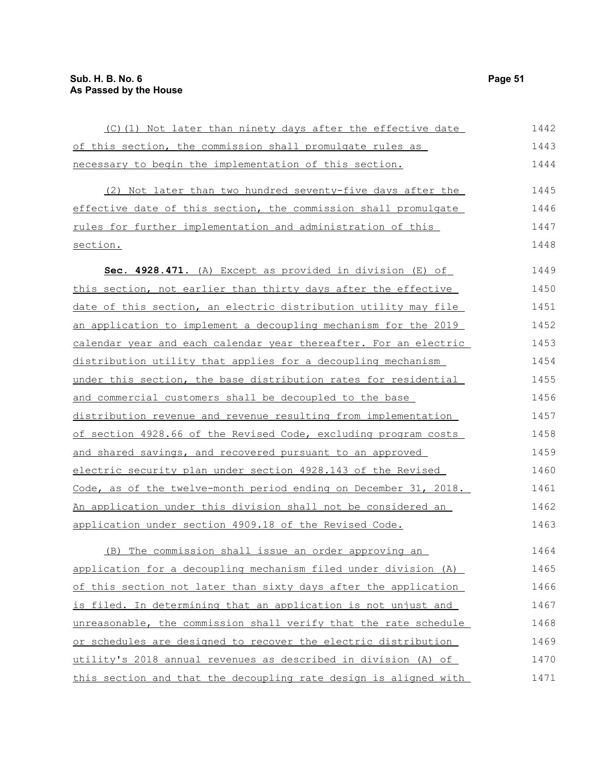| (C)(1) Not later than ninety days after the effective date       | 1442 |
|------------------------------------------------------------------|------|
| of this section, the commission shall promulgate rules as        | 1443 |
| necessary to begin the implementation of this section.           | 1444 |
| (2) Not later than two hundred seventy-five days after the       | 1445 |
| effective date of this section, the commission shall promulgate  | 1446 |
| rules for further implementation and administration of this      | 1447 |
| section.                                                         | 1448 |
| Sec. 4928.471. (A) Except as provided in division (E) of         | 1449 |
| this section, not earlier than thirty days after the effective   | 1450 |
| date of this section, an electric distribution utility may file  | 1451 |
| an application to implement a decoupling mechanism for the 2019  | 1452 |
| calendar year and each calendar year thereafter. For an electric | 1453 |
| distribution utility that applies for a decoupling mechanism     | 1454 |
| under this section, the base distribution rates for residential  | 1455 |
| and commercial customers shall be decoupled to the base          | 1456 |
| distribution revenue and revenue resulting from implementation   | 1457 |
| of section 4928.66 of the Revised Code, excluding program costs  | 1458 |
| and shared savings, and recovered pursuant to an approved        | 1459 |
| electric security plan under section 4928.143 of the Revised     | 1460 |
| Code, as of the twelve-month period ending on December 31, 2018. | 1461 |
| An application under this division shall not be considered an    | 1462 |
| application under section 4909.18 of the Revised Code.           | 1463 |
| (B) The commission shall issue an order approving an             | 1464 |
| application for a decoupling mechanism filed under division (A)  | 1465 |
| of this section not later than sixty days after the application  | 1466 |
| is filed. In determining that an application is not unjust and   | 1467 |
| unreasonable, the commission shall verify that the rate schedule | 1468 |
| or schedules are designed to recover the electric distribution   | 1469 |
| utility's 2018 annual revenues as described in division (A) of   | 1470 |
| this section and that the decoupling rate design is aligned with | 1471 |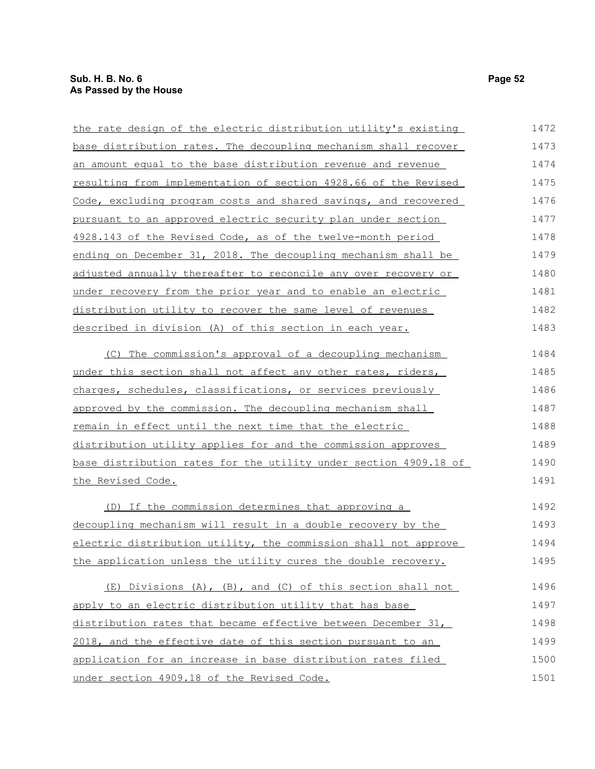| the rate design of the electric distribution utility's existing  | 1472 |
|------------------------------------------------------------------|------|
| base distribution rates. The decoupling mechanism shall recover  | 1473 |
| an amount equal to the base distribution revenue and revenue     | 1474 |
| resulting from implementation of section 4928.66 of the Revised  | 1475 |
| Code, excluding program costs and shared savings, and recovered  | 1476 |
| pursuant to an approved electric security plan under section     | 1477 |
| 4928.143 of the Revised Code, as of the twelve-month period      | 1478 |
| ending on December 31, 2018. The decoupling mechanism shall be   | 1479 |
| adjusted annually thereafter to reconcile any over recovery or   | 1480 |
| under recovery from the prior year and to enable an electric     | 1481 |
| distribution utility to recover the same level of revenues       | 1482 |
| described in division (A) of this section in each year.          | 1483 |
| (C) The commission's approval of a decoupling mechanism          | 1484 |
| under this section shall not affect any other rates, riders,     | 1485 |
| charges, schedules, classifications, or services previously      | 1486 |
| approved by the commission. The decoupling mechanism shall       | 1487 |
| remain in effect until the next time that the electric           | 1488 |
| distribution utility applies for and the commission approves     | 1489 |
| base distribution rates for the utility under section 4909.18 of | 1490 |
| the Revised Code.                                                | 1491 |
| (D) If the commission determines that approving a                | 1492 |
| decoupling mechanism will result in a double recovery by the     | 1493 |
| electric distribution utility, the commission shall not approve  | 1494 |
| the application unless the utility cures the double recovery.    | 1495 |
| (E) Divisions (A), (B), and (C) of this section shall not        | 1496 |
| apply to an electric distribution utility that has base          | 1497 |
| distribution rates that became effective between December 31,    | 1498 |
| 2018, and the effective date of this section pursuant to an      | 1499 |
| application for an increase in base distribution rates filed     | 1500 |
| under section 4909.18 of the Revised Code.                       | 1501 |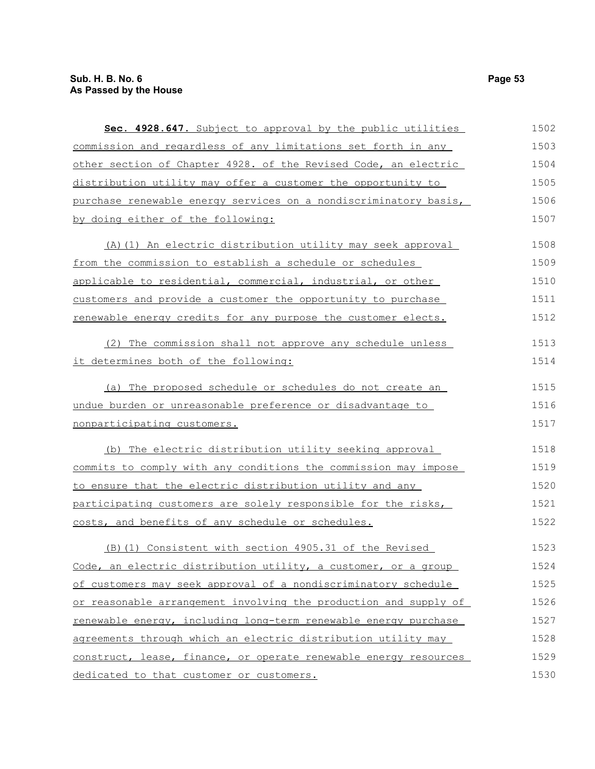| <b>Sec. 4928.647.</b> Subject to approval by the public utilities | 1502 |
|-------------------------------------------------------------------|------|
| commission and regardless of any limitations set forth in any     | 1503 |
| other section of Chapter 4928. of the Revised Code, an electric   | 1504 |
| distribution utility may offer a customer the opportunity to      | 1505 |
| purchase renewable energy services on a nondiscriminatory basis,  | 1506 |
| by doing either of the following:                                 | 1507 |
| (A) (1) An electric distribution utility may seek approval        | 1508 |
| from the commission to establish a schedule or schedules          | 1509 |
| applicable to residential, commercial, industrial, or other       | 1510 |
| customers and provide a customer the opportunity to purchase      | 1511 |
| renewable energy credits for any purpose the customer elects.     | 1512 |
| (2) The commission shall not approve any schedule unless          | 1513 |
| it determines both of the following:                              | 1514 |
| (a) The proposed schedule or schedules do not create an           | 1515 |
| undue burden or unreasonable preference or disadvantage to        | 1516 |
| nonparticipating customers.                                       | 1517 |
| (b) The electric distribution utility seeking approval            | 1518 |
| commits to comply with any conditions the commission may impose   | 1519 |
| to ensure that the electric distribution utility and any          | 1520 |
| participating customers are solely responsible for the risks,     | 1521 |
| costs, and benefits of any schedule or schedules.                 | 1522 |
| (B) (1) Consistent with section 4905.31 of the Revised            | 1523 |
| Code, an electric distribution utility, a customer, or a group    | 1524 |
| of customers may seek approval of a nondiscriminatory schedule    | 1525 |
| or reasonable arrangement involving the production and supply of  | 1526 |
| renewable energy, including long-term renewable energy purchase   | 1527 |
| agreements through which an electric distribution utility may     | 1528 |
| construct, lease, finance, or operate renewable energy resources  | 1529 |
| dedicated to that customer or customers.                          | 1530 |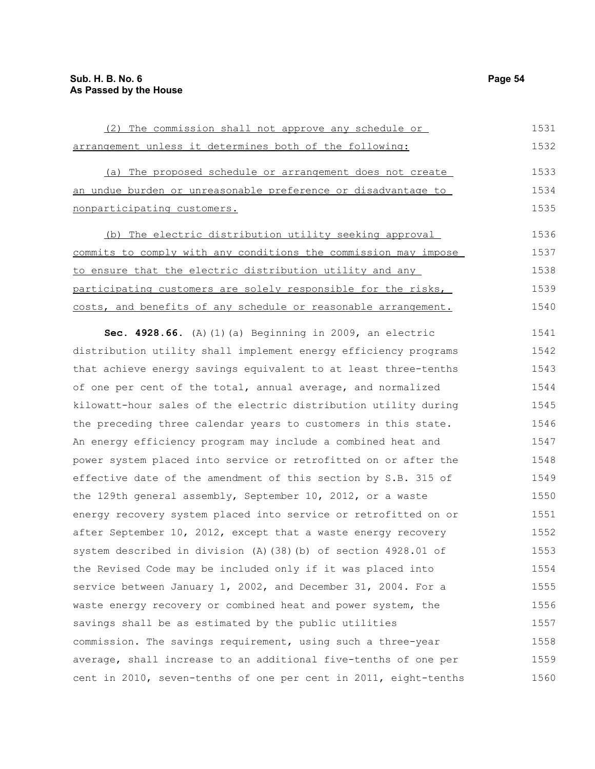| (2) The commission shall not approve any schedule or             | 1531 |
|------------------------------------------------------------------|------|
| arrangement unless it determines both of the following:          | 1532 |
| (a) The proposed schedule or arrangement does not create         | 1533 |
| an undue burden or unreasonable preference or disadvantage to    | 1534 |
| nonparticipating customers.                                      | 1535 |
| (b) The electric distribution utility seeking approval           | 1536 |
| commits to comply with any conditions the commission may impose  | 1537 |
| to ensure that the electric distribution utility and any         | 1538 |
| participating customers are solely responsible for the risks,    | 1539 |
| costs, and benefits of any schedule or reasonable arrangement.   | 1540 |
| Sec. $4928.66.$ (A) (1) (a) Beginning in 2009, an electric       | 1541 |
| distribution utility shall implement energy efficiency programs  | 1542 |
| that achieve energy savings equivalent to at least three-tenths  | 1543 |
| of one per cent of the total, annual average, and normalized     | 1544 |
| kilowatt-hour sales of the electric distribution utility during  | 1545 |
| the preceding three calendar years to customers in this state.   | 1546 |
| An energy efficiency program may include a combined heat and     | 1547 |
| power system placed into service or retrofitted on or after the  | 1548 |
| effective date of the amendment of this section by S.B. 315 of   | 1549 |
| the 129th general assembly, September 10, 2012, or a waste       | 1550 |
| energy recovery system placed into service or retrofitted on or  | 1551 |
| after September 10, 2012, except that a waste energy recovery    | 1552 |
| system described in division (A) (38) (b) of section 4928.01 of  | 1553 |
| the Revised Code may be included only if it was placed into      | 1554 |
| service between January 1, 2002, and December 31, 2004. For a    | 1555 |
| waste energy recovery or combined heat and power system, the     | 1556 |
| savings shall be as estimated by the public utilities            | 1557 |
| commission. The savings requirement, using such a three-year     | 1558 |
| average, shall increase to an additional five-tenths of one per  | 1559 |
| cent in 2010, seven-tenths of one per cent in 2011, eight-tenths | 1560 |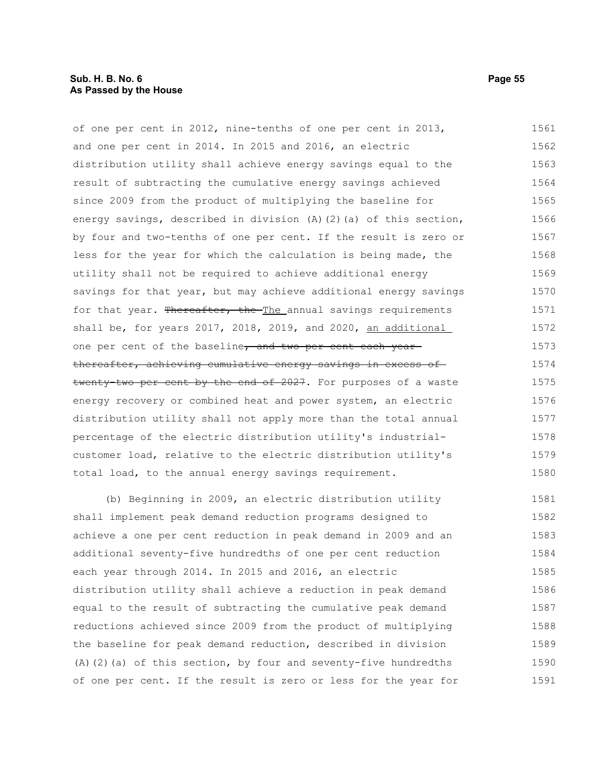| of one per cent in 2012, nine-tenths of one per cent in 2013,             | 1561 |
|---------------------------------------------------------------------------|------|
| and one per cent in 2014. In 2015 and 2016, an electric                   | 1562 |
| distribution utility shall achieve energy savings equal to the            | 1563 |
| result of subtracting the cumulative energy savings achieved              | 1564 |
| since 2009 from the product of multiplying the baseline for               | 1565 |
| energy savings, described in division $(A)$ $(2)$ $(a)$ of this section,  | 1566 |
| by four and two-tenths of one per cent. If the result is zero or          | 1567 |
| less for the year for which the calculation is being made, the            | 1568 |
| utility shall not be required to achieve additional energy                | 1569 |
| savings for that year, but may achieve additional energy savings          | 1570 |
| for that year. Thereafter, the The annual savings requirements            | 1571 |
| shall be, for years $2017$ , $2018$ , $2019$ , and $2020$ , an additional | 1572 |
| one per cent of the baseline, and two per cent each year-                 | 1573 |
| thereafter, achieving cumulative energy savings in excess of              | 1574 |
| twenty two per cent by the end of 2027. For purposes of a waste           | 1575 |
| energy recovery or combined heat and power system, an electric            | 1576 |
| distribution utility shall not apply more than the total annual           | 1577 |
| percentage of the electric distribution utility's industrial-             | 1578 |
| customer load, relative to the electric distribution utility's            | 1579 |
| total load, to the annual energy savings requirement.                     | 1580 |
| (b) Beginning in 2009, an electric distribution utility                   | 1581 |

shall implement peak demand reduction programs designed to achieve a one per cent reduction in peak demand in 2009 and an additional seventy-five hundredths of one per cent reduction each year through 2014. In 2015 and 2016, an electric distribution utility shall achieve a reduction in peak demand equal to the result of subtracting the cumulative peak demand reductions achieved since 2009 from the product of multiplying the baseline for peak demand reduction, described in division (A)(2)(a) of this section, by four and seventy-five hundredths of one per cent. If the result is zero or less for the year for 1582 1583 1584 1585 1586 1587 1588 1589 1590 1591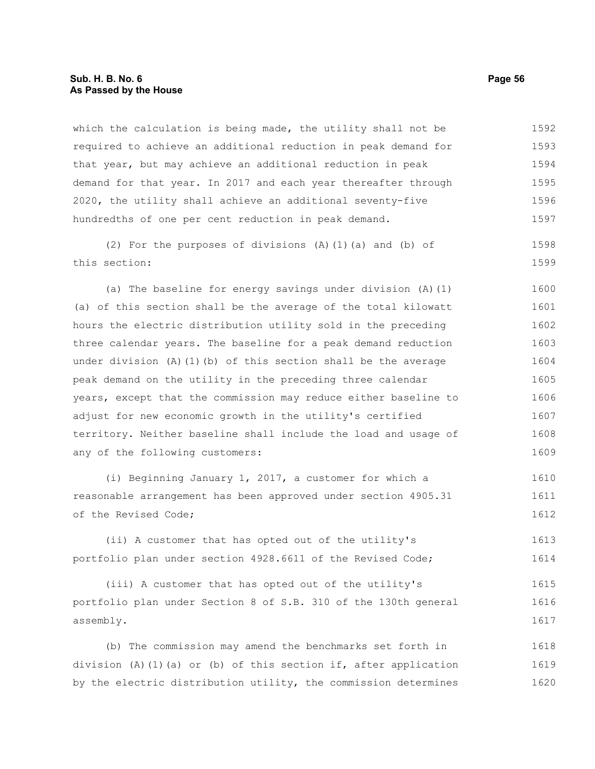# **Sub. H. B. No. 6 Page 56 As Passed by the House**

which the calculation is being made, the utility shall not be required to achieve an additional reduction in peak demand for that year, but may achieve an additional reduction in peak demand for that year. In 2017 and each year thereafter through 2020, the utility shall achieve an additional seventy-five hundredths of one per cent reduction in peak demand. 1592 1593 1594 1595 1596 1597

(2) For the purposes of divisions (A)(1)(a) and (b) of this section: 1598 1599

(a) The baseline for energy savings under division (A)(1) (a) of this section shall be the average of the total kilowatt hours the electric distribution utility sold in the preceding three calendar years. The baseline for a peak demand reduction under division  $(A)$   $(1)$   $(b)$  of this section shall be the average peak demand on the utility in the preceding three calendar years, except that the commission may reduce either baseline to adjust for new economic growth in the utility's certified territory. Neither baseline shall include the load and usage of any of the following customers: 1600 1601 1602 1603 1604 1605 1606 1607 1608 1609

(i) Beginning January 1, 2017, a customer for which a reasonable arrangement has been approved under section 4905.31 of the Revised Code; 1610 1611 1612

(ii) A customer that has opted out of the utility's portfolio plan under section 4928.6611 of the Revised Code; 1613 1614

(iii) A customer that has opted out of the utility's portfolio plan under Section 8 of S.B. 310 of the 130th general assembly. 1615 1616 1617

(b) The commission may amend the benchmarks set forth in division (A)(1)(a) or (b) of this section if, after application by the electric distribution utility, the commission determines 1618 1619 1620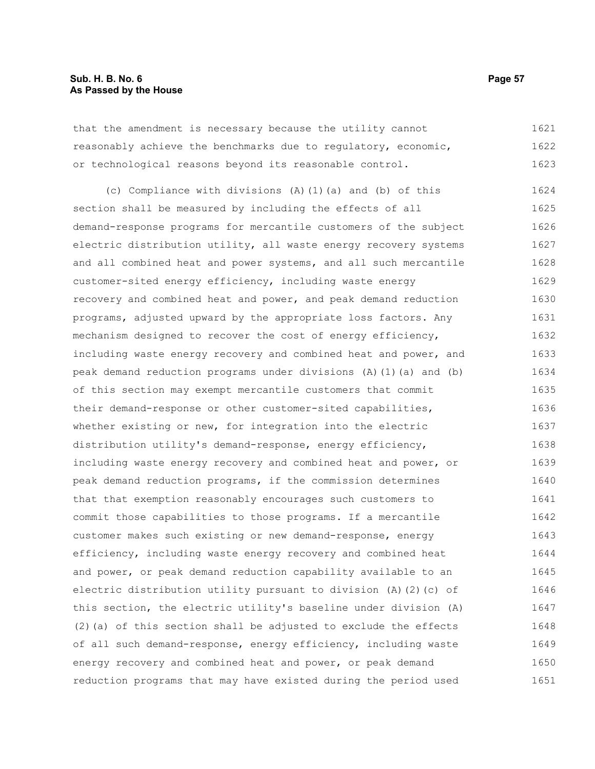# **Sub. H. B. No. 6 Page 57 As Passed by the House**

that the amendment is necessary because the utility cannot reasonably achieve the benchmarks due to regulatory, economic, or technological reasons beyond its reasonable control. 1621 1622 1623

(c) Compliance with divisions (A)(1)(a) and (b) of this section shall be measured by including the effects of all demand-response programs for mercantile customers of the subject electric distribution utility, all waste energy recovery systems and all combined heat and power systems, and all such mercantile customer-sited energy efficiency, including waste energy recovery and combined heat and power, and peak demand reduction programs, adjusted upward by the appropriate loss factors. Any mechanism designed to recover the cost of energy efficiency, including waste energy recovery and combined heat and power, and peak demand reduction programs under divisions (A)(1)(a) and (b) of this section may exempt mercantile customers that commit their demand-response or other customer-sited capabilities, whether existing or new, for integration into the electric distribution utility's demand-response, energy efficiency, including waste energy recovery and combined heat and power, or peak demand reduction programs, if the commission determines that that exemption reasonably encourages such customers to commit those capabilities to those programs. If a mercantile customer makes such existing or new demand-response, energy efficiency, including waste energy recovery and combined heat and power, or peak demand reduction capability available to an electric distribution utility pursuant to division (A)(2)(c) of this section, the electric utility's baseline under division (A)  $(2)$  (a) of this section shall be adjusted to exclude the effects of all such demand-response, energy efficiency, including waste energy recovery and combined heat and power, or peak demand reduction programs that may have existed during the period used 1624 1625 1626 1627 1628 1629 1630 1631 1632 1633 1634 1635 1636 1637 1638 1639 1640 1641 1642 1643 1644 1645 1646 1647 1648 1649 1650 1651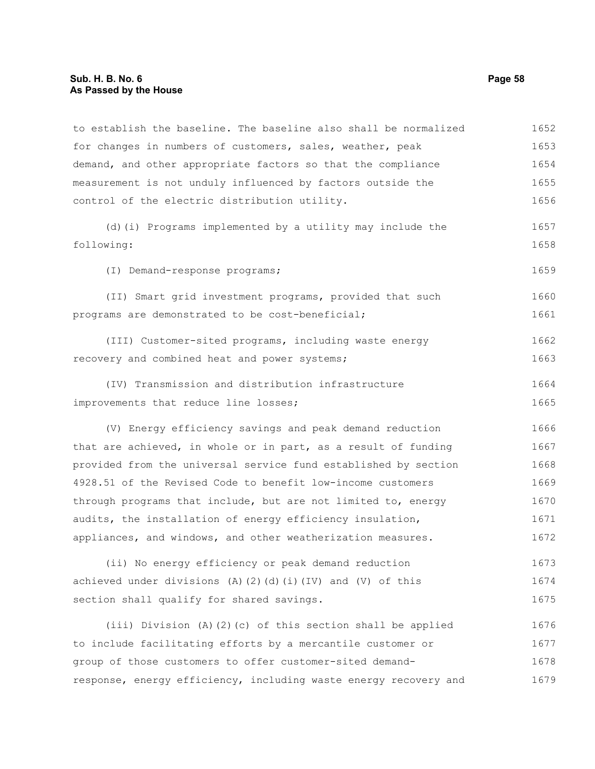| to establish the baseline. The baseline also shall be normalized | 1652 |
|------------------------------------------------------------------|------|
| for changes in numbers of customers, sales, weather, peak        | 1653 |
| demand, and other appropriate factors so that the compliance     | 1654 |
| measurement is not unduly influenced by factors outside the      | 1655 |
| control of the electric distribution utility.                    | 1656 |
| (d) (i) Programs implemented by a utility may include the        | 1657 |
| following:                                                       | 1658 |
| (I) Demand-response programs;                                    | 1659 |
| (II) Smart grid investment programs, provided that such          | 1660 |
| programs are demonstrated to be cost-beneficial;                 | 1661 |
| (III) Customer-sited programs, including waste energy            | 1662 |
| recovery and combined heat and power systems;                    | 1663 |
| (IV) Transmission and distribution infrastructure                | 1664 |
| improvements that reduce line losses;                            | 1665 |
| (V) Energy efficiency savings and peak demand reduction          | 1666 |
| that are achieved, in whole or in part, as a result of funding   | 1667 |
| provided from the universal service fund established by section  | 1668 |
| 4928.51 of the Revised Code to benefit low-income customers      | 1669 |
| through programs that include, but are not limited to, energy    | 1670 |
| audits, the installation of energy efficiency insulation,        | 1671 |
| appliances, and windows, and other weatherization measures.      | 1672 |
| (ii) No energy efficiency or peak demand reduction               | 1673 |
| achieved under divisions (A)(2)(d)(i)(IV) and (V) of this        | 1674 |
| section shall qualify for shared savings.                        | 1675 |
| (iii) Division (A)(2)(c) of this section shall be applied        | 1676 |
| to include facilitating efforts by a mercantile customer or      | 1677 |
| group of those customers to offer customer-sited demand-         | 1678 |
| response, energy efficiency, including waste energy recovery and | 1679 |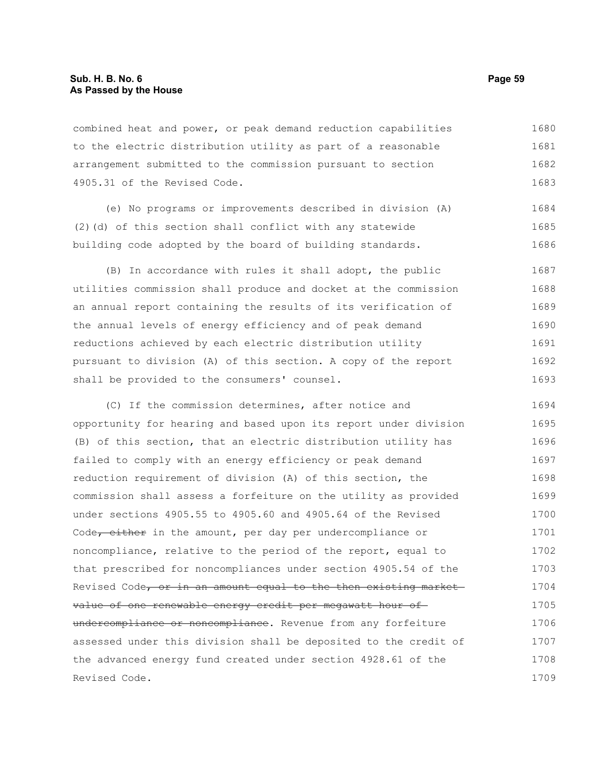combined heat and power, or peak demand reduction capabilities to the electric distribution utility as part of a reasonable arrangement submitted to the commission pursuant to section 4905.31 of the Revised Code. 1680 1681 1682 1683

(e) No programs or improvements described in division (A) (2)(d) of this section shall conflict with any statewide building code adopted by the board of building standards. 1684 1685 1686

(B) In accordance with rules it shall adopt, the public utilities commission shall produce and docket at the commission an annual report containing the results of its verification of the annual levels of energy efficiency and of peak demand reductions achieved by each electric distribution utility pursuant to division (A) of this section. A copy of the report shall be provided to the consumers' counsel. 1687 1688 1689 1690 1691 1692 1693

(C) If the commission determines, after notice and opportunity for hearing and based upon its report under division (B) of this section, that an electric distribution utility has failed to comply with an energy efficiency or peak demand reduction requirement of division (A) of this section, the commission shall assess a forfeiture on the utility as provided under sections 4905.55 to 4905.60 and 4905.64 of the Revised Code, either in the amount, per day per undercompliance or noncompliance, relative to the period of the report, equal to that prescribed for noncompliances under section 4905.54 of the Revised Code, or in an amount equal to the then existing market value of one renewable energy credit per megawatt hour of undercompliance or noncompliance. Revenue from any forfeiture assessed under this division shall be deposited to the credit of the advanced energy fund created under section 4928.61 of the Revised Code. 1694 1695 1696 1697 1698 1699 1700 1701 1702 1703 1704 1705 1706 1707 1708 1709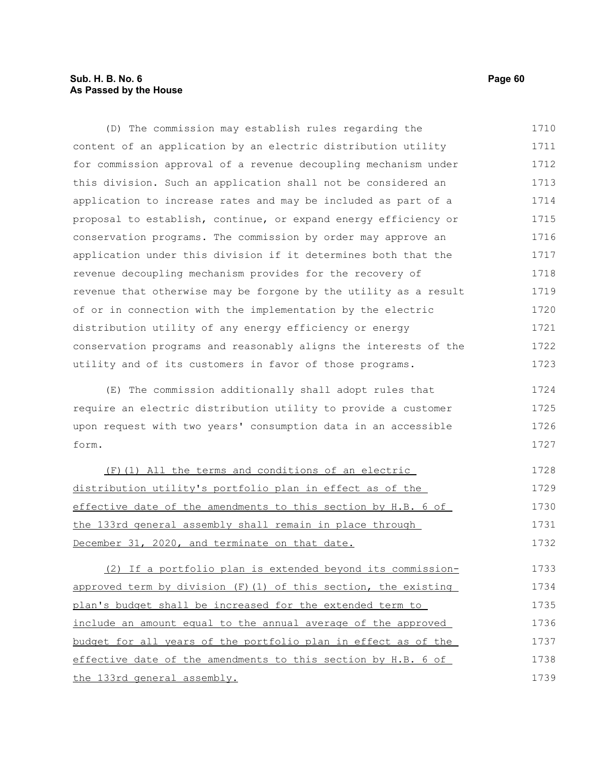# **Sub. H. B. No. 6 Page 60 As Passed by the House**

(D) The commission may establish rules regarding the content of an application by an electric distribution utility for commission approval of a revenue decoupling mechanism under this division. Such an application shall not be considered an application to increase rates and may be included as part of a proposal to establish, continue, or expand energy efficiency or conservation programs. The commission by order may approve an application under this division if it determines both that the revenue decoupling mechanism provides for the recovery of revenue that otherwise may be forgone by the utility as a result of or in connection with the implementation by the electric distribution utility of any energy efficiency or energy conservation programs and reasonably aligns the interests of the utility and of its customers in favor of those programs. 1710 1711 1712 1713 1714 1715 1716 1717 1718 1719 1720 1721 1722 1723

(E) The commission additionally shall adopt rules that require an electric distribution utility to provide a customer upon request with two years' consumption data in an accessible form. 1724 1725 1726 1727

| (F)(1) All the terms and conditions of an electric            | 1728 |
|---------------------------------------------------------------|------|
| distribution utility's portfolio plan in effect as of the     | 1729 |
| effective date of the amendments to this section by H.B. 6 of | 1730 |
| the 133rd general assembly shall remain in place through      | 1731 |
| December 31, 2020, and terminate on that date.                | 1732 |

(2) If a portfolio plan is extended beyond its commissionapproved term by division  $(F)(1)$  of this section, the existing plan's budget shall be increased for the extended term to include an amount equal to the annual average of the approved budget for all years of the portfolio plan in effect as of the effective date of the amendments to this section by H.B. 6 of the 133rd general assembly. 1733 1734 1735 1736 1737 1738 1739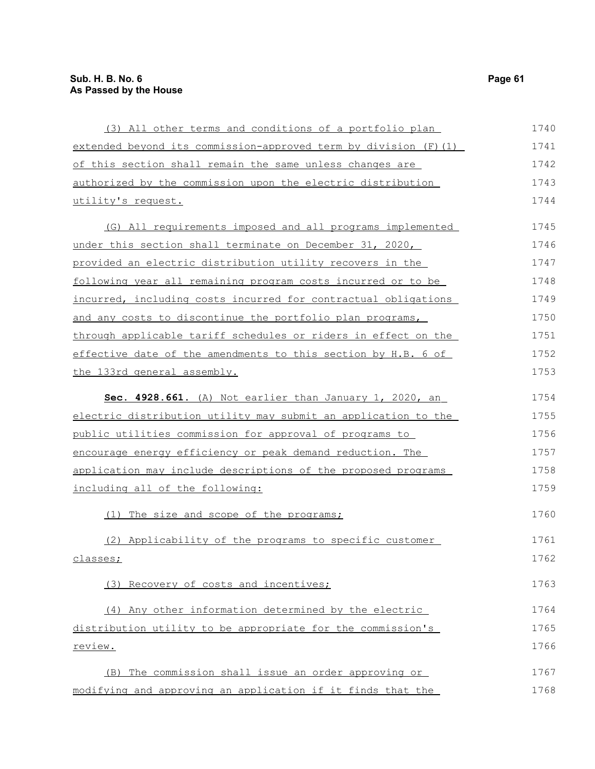| (3) All other terms and conditions of a portfolio plan          | 1740 |
|-----------------------------------------------------------------|------|
| extended beyond its commission-approved term by division (F)(1) | 1741 |
| of this section shall remain the same unless changes are        | 1742 |
| authorized by the commission upon the electric distribution     | 1743 |
| utility's request.                                              | 1744 |
| (G) All requirements imposed and all programs implemented       | 1745 |
| under this section shall terminate on December 31, 2020,        | 1746 |
| provided an electric distribution utility recovers in the       | 1747 |
| following year all remaining program costs incurred or to be    | 1748 |
| incurred, including costs incurred for contractual obligations  | 1749 |
| and any costs to discontinue the portfolio plan programs,       | 1750 |
| through applicable tariff schedules or riders in effect on the  | 1751 |
| effective date of the amendments to this section by H.B. 6 of   | 1752 |
| the 133rd general assembly.                                     | 1753 |
| Sec. 4928.661. (A) Not earlier than January 1, 2020, an         | 1754 |
| electric distribution utility may submit an application to the  | 1755 |
| public utilities commission for approval of programs to         | 1756 |
| encourage energy efficiency or peak demand reduction. The       | 1757 |
| application may include descriptions of the proposed programs   | 1758 |
| including all of the following:                                 | 1759 |
| (1) The size and scope of the programs;                         | 1760 |
| (2) Applicability of the programs to specific customer          | 1761 |
| <u>classes;</u>                                                 | 1762 |
| (3) Recovery of costs and incentives;                           | 1763 |
| (4) Any other information determined by the electric            | 1764 |
| distribution utility to be appropriate for the commission's     | 1765 |
| review.                                                         | 1766 |
| (B) The commission shall issue an order approving or            | 1767 |
| modifying and approving an application if it finds that the     | 1768 |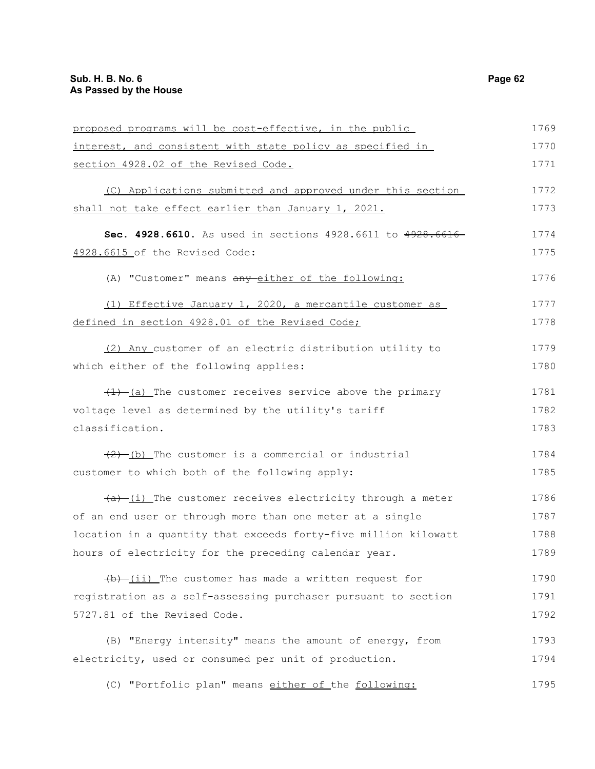| proposed programs will be cost-effective, in the public           | 1769 |
|-------------------------------------------------------------------|------|
| interest, and consistent with state policy as specified in        | 1770 |
| section 4928.02 of the Revised Code.                              | 1771 |
| (C) Applications submitted and approved under this section        | 1772 |
| shall not take effect earlier than January 1, 2021.               | 1773 |
| Sec. 4928.6610. As used in sections 4928.6611 to 4928.6616-       | 1774 |
| 4928.6615 of the Revised Code:                                    | 1775 |
| (A) "Customer" means any either of the following:                 | 1776 |
| (1) Effective January 1, 2020, a mercantile customer as           | 1777 |
| defined in section 4928.01 of the Revised Code;                   | 1778 |
| (2) Any customer of an electric distribution utility to           | 1779 |
| which either of the following applies:                            | 1780 |
| $\frac{1}{1}$ (a) The customer receives service above the primary | 1781 |
| voltage level as determined by the utility's tariff               | 1782 |
| classification.                                                   | 1783 |
| $(2)$ (b) The customer is a commercial or industrial              | 1784 |
| customer to which both of the following apply:                    | 1785 |
| $(a)$ (i) The customer receives electricity through a meter       | 1786 |
| of an end user or through more than one meter at a single         | 1787 |
| location in a quantity that exceeds forty-five million kilowatt   | 1788 |
| hours of electricity for the preceding calendar year.             | 1789 |
| $(b)$ (ii) The customer has made a written request for            | 1790 |
| registration as a self-assessing purchaser pursuant to section    | 1791 |
| 5727.81 of the Revised Code.                                      | 1792 |
| (B) "Energy intensity" means the amount of energy, from           | 1793 |
| electricity, used or consumed per unit of production.             | 1794 |
| (C) "Portfolio plan" means either of the following:               | 1795 |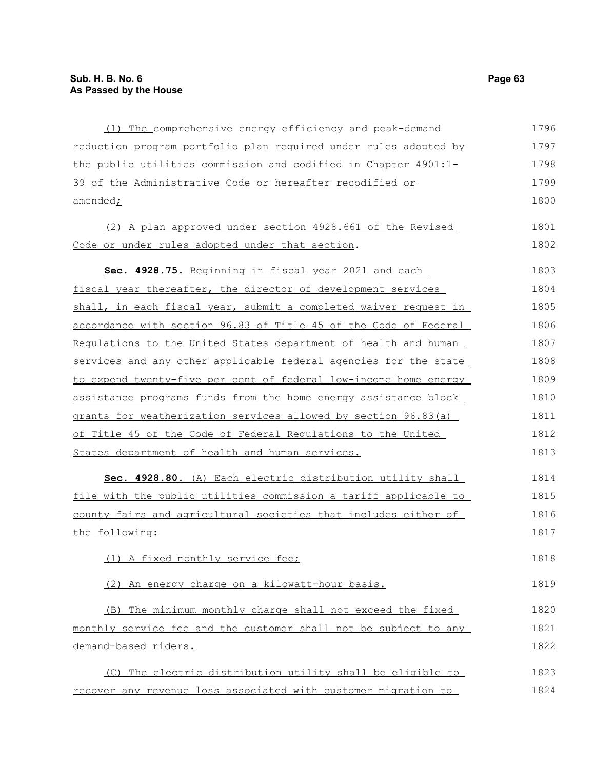(1) The comprehensive energy efficiency and peak-demand reduction program portfolio plan required under rules adopted by the public utilities commission and codified in Chapter 4901:1- 39 of the Administrative Code or hereafter recodified or amended; (2) A plan approved under section 4928.661 of the Revised Code or under rules adopted under that section. Sec. 4928.75. Beginning in fiscal year 2021 and each fiscal year thereafter, the director of development services shall, in each fiscal year, submit a completed waiver request in accordance with section 96.83 of Title 45 of the Code of Federal Regulations to the United States department of health and human services and any other applicable federal agencies for the state to expend twenty-five per cent of federal low-income home energy assistance programs funds from the home energy assistance block grants for weatherization services allowed by section 96.83(a) of Title 45 of the Code of Federal Regulations to the United States department of health and human services. **Sec. 4928.80.** (A) Each electric distribution utility shall file with the public utilities commission a tariff applicable to county fairs and agricultural societies that includes either of the following: (1) A fixed monthly service fee; (2) An energy charge on a kilowatt-hour basis. (B) The minimum monthly charge shall not exceed the fixed monthly service fee and the customer shall not be subject to any demand-based riders. (C) The electric distribution utility shall be eligible to recover any revenue loss associated with customer migration to 1796 1797 1798 1799 1800 1801 1802 1803 1804 1805 1806 1807 1808 1809 1810 1811 1812 1813 1814 1815 1816 1817 1818 1819 1820 1821 1822 1823 1824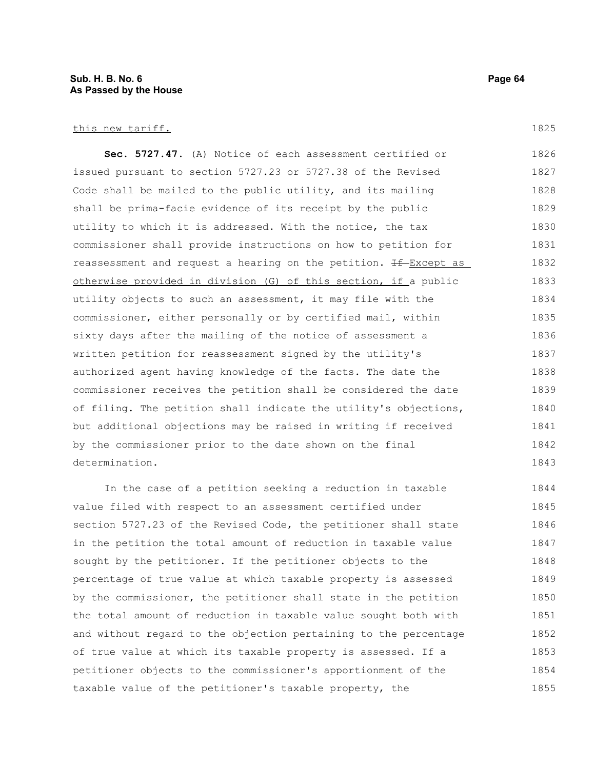# **Sub. H. B. No. 6 Page 64 As Passed by the House**

# this new tariff.

**Sec. 5727.47.** (A) Notice of each assessment certified or issued pursuant to section 5727.23 or 5727.38 of the Revised Code shall be mailed to the public utility, and its mailing shall be prima-facie evidence of its receipt by the public utility to which it is addressed. With the notice, the tax commissioner shall provide instructions on how to petition for reassessment and request a hearing on the petition.  $H = EXcept$  as otherwise provided in division (G) of this section, if a public utility objects to such an assessment, it may file with the commissioner, either personally or by certified mail, within sixty days after the mailing of the notice of assessment a written petition for reassessment signed by the utility's authorized agent having knowledge of the facts. The date the commissioner receives the petition shall be considered the date of filing. The petition shall indicate the utility's objections, but additional objections may be raised in writing if received by the commissioner prior to the date shown on the final determination. 1826 1827 1828 1829 1830 1831 1832 1833 1834 1835 1836 1837 1838 1839 1840 1841 1842 1843

In the case of a petition seeking a reduction in taxable value filed with respect to an assessment certified under section 5727.23 of the Revised Code, the petitioner shall state in the petition the total amount of reduction in taxable value sought by the petitioner. If the petitioner objects to the percentage of true value at which taxable property is assessed by the commissioner, the petitioner shall state in the petition the total amount of reduction in taxable value sought both with and without regard to the objection pertaining to the percentage of true value at which its taxable property is assessed. If a petitioner objects to the commissioner's apportionment of the taxable value of the petitioner's taxable property, the 1844 1845 1846 1847 1848 1849 1850 1851 1852 1853 1854 1855

1825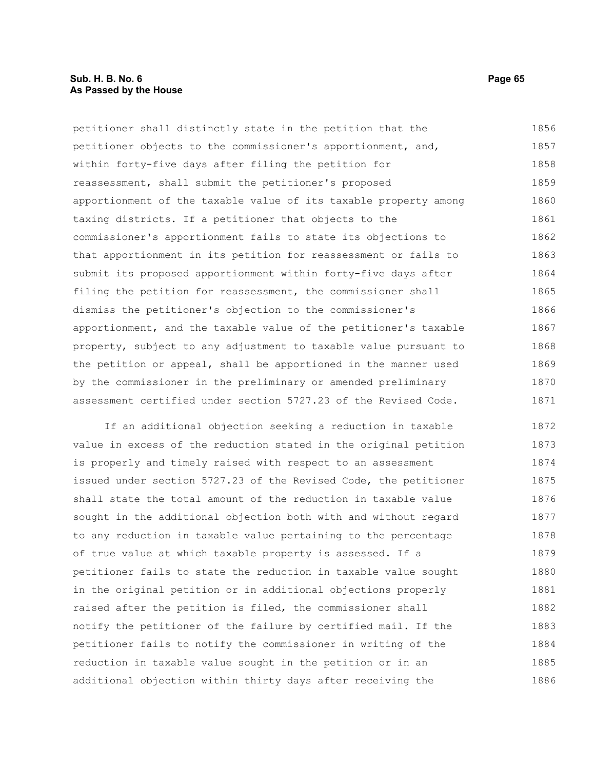petitioner shall distinctly state in the petition that the petitioner objects to the commissioner's apportionment, and, within forty-five days after filing the petition for reassessment, shall submit the petitioner's proposed apportionment of the taxable value of its taxable property among taxing districts. If a petitioner that objects to the commissioner's apportionment fails to state its objections to that apportionment in its petition for reassessment or fails to submit its proposed apportionment within forty-five days after filing the petition for reassessment, the commissioner shall dismiss the petitioner's objection to the commissioner's apportionment, and the taxable value of the petitioner's taxable property, subject to any adjustment to taxable value pursuant to the petition or appeal, shall be apportioned in the manner used by the commissioner in the preliminary or amended preliminary assessment certified under section 5727.23 of the Revised Code. 1856 1857 1858 1859 1860 1861 1862 1863 1864 1865 1866 1867 1868 1869 1870 1871

If an additional objection seeking a reduction in taxable value in excess of the reduction stated in the original petition is properly and timely raised with respect to an assessment issued under section 5727.23 of the Revised Code, the petitioner shall state the total amount of the reduction in taxable value sought in the additional objection both with and without regard to any reduction in taxable value pertaining to the percentage of true value at which taxable property is assessed. If a petitioner fails to state the reduction in taxable value sought in the original petition or in additional objections properly raised after the petition is filed, the commissioner shall notify the petitioner of the failure by certified mail. If the petitioner fails to notify the commissioner in writing of the reduction in taxable value sought in the petition or in an additional objection within thirty days after receiving the 1872 1873 1874 1875 1876 1877 1878 1879 1880 1881 1882 1883 1884 1885 1886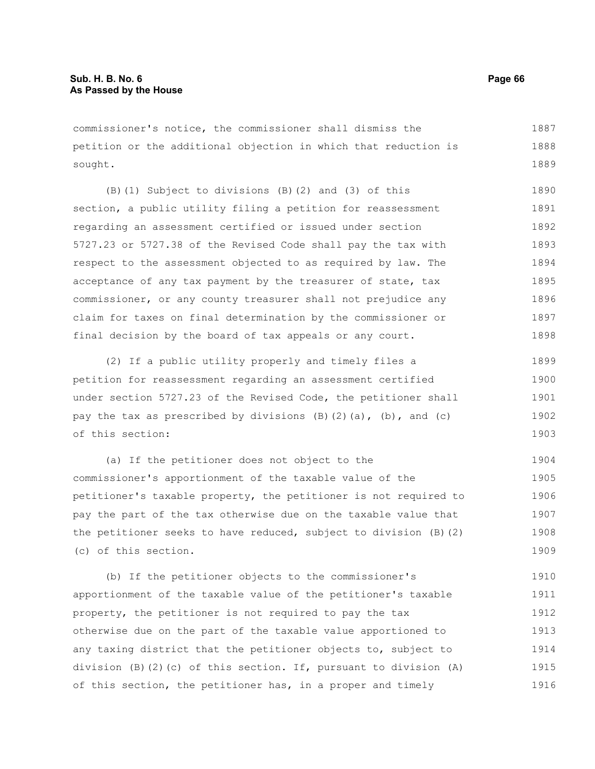commissioner's notice, the commissioner shall dismiss the petition or the additional objection in which that reduction is sought. 1887 1888 1889

(B)(1) Subject to divisions (B)(2) and (3) of this section, a public utility filing a petition for reassessment regarding an assessment certified or issued under section 5727.23 or 5727.38 of the Revised Code shall pay the tax with respect to the assessment objected to as required by law. The acceptance of any tax payment by the treasurer of state, tax commissioner, or any county treasurer shall not prejudice any claim for taxes on final determination by the commissioner or final decision by the board of tax appeals or any court. 1890 1891 1892 1893 1894 1895 1896 1897 1898

(2) If a public utility properly and timely files a petition for reassessment regarding an assessment certified under section 5727.23 of the Revised Code, the petitioner shall pay the tax as prescribed by divisions  $(B)(2)(a)$ ,  $(b)$ , and  $(c)$ of this section: 1899 1900 1901 1902 1903

(a) If the petitioner does not object to the commissioner's apportionment of the taxable value of the petitioner's taxable property, the petitioner is not required to pay the part of the tax otherwise due on the taxable value that the petitioner seeks to have reduced, subject to division  $(B)$  (2) (c) of this section. 1904 1905 1906 1907 1908 1909

(b) If the petitioner objects to the commissioner's apportionment of the taxable value of the petitioner's taxable property, the petitioner is not required to pay the tax otherwise due on the part of the taxable value apportioned to any taxing district that the petitioner objects to, subject to division (B)(2)(c) of this section. If, pursuant to division (A) of this section, the petitioner has, in a proper and timely 1910 1911 1912 1913 1914 1915 1916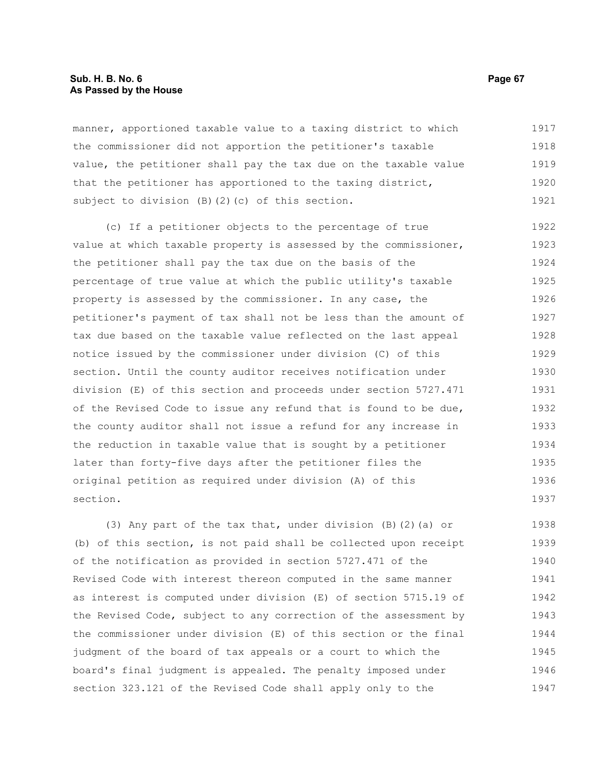# **Sub. H. B. No. 6 Page 67 As Passed by the House**

manner, apportioned taxable value to a taxing district to which the commissioner did not apportion the petitioner's taxable value, the petitioner shall pay the tax due on the taxable value that the petitioner has apportioned to the taxing district, subject to division (B)(2)(c) of this section. 1917 1918 1919 1920 1921

(c) If a petitioner objects to the percentage of true value at which taxable property is assessed by the commissioner, the petitioner shall pay the tax due on the basis of the percentage of true value at which the public utility's taxable property is assessed by the commissioner. In any case, the petitioner's payment of tax shall not be less than the amount of tax due based on the taxable value reflected on the last appeal notice issued by the commissioner under division (C) of this section. Until the county auditor receives notification under division (E) of this section and proceeds under section 5727.471 of the Revised Code to issue any refund that is found to be due, the county auditor shall not issue a refund for any increase in the reduction in taxable value that is sought by a petitioner later than forty-five days after the petitioner files the original petition as required under division (A) of this section. 1922 1923 1924 1925 1926 1927 1928 1929 1930 1931 1932 1933 1934 1935 1936 1937

(3) Any part of the tax that, under division (B)(2)(a) or (b) of this section, is not paid shall be collected upon receipt of the notification as provided in section 5727.471 of the Revised Code with interest thereon computed in the same manner as interest is computed under division (E) of section 5715.19 of the Revised Code, subject to any correction of the assessment by the commissioner under division (E) of this section or the final judgment of the board of tax appeals or a court to which the board's final judgment is appealed. The penalty imposed under section 323.121 of the Revised Code shall apply only to the 1938 1939 1940 1941 1942 1943 1944 1945 1946 1947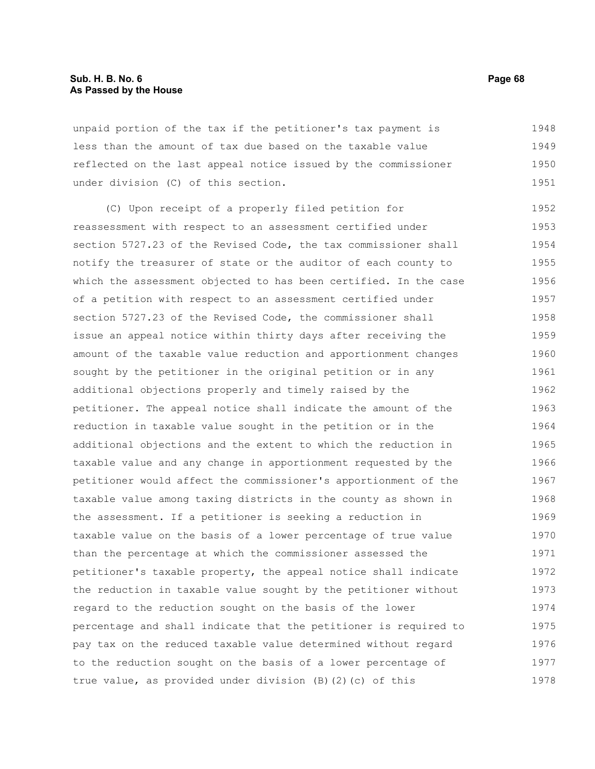# **Sub. H. B. No. 6 Page 68 As Passed by the House**

unpaid portion of the tax if the petitioner's tax payment is less than the amount of tax due based on the taxable value reflected on the last appeal notice issued by the commissioner under division (C) of this section. 1948 1949 1950 1951

(C) Upon receipt of a properly filed petition for reassessment with respect to an assessment certified under section 5727.23 of the Revised Code, the tax commissioner shall notify the treasurer of state or the auditor of each county to which the assessment objected to has been certified. In the case of a petition with respect to an assessment certified under section 5727.23 of the Revised Code, the commissioner shall issue an appeal notice within thirty days after receiving the amount of the taxable value reduction and apportionment changes sought by the petitioner in the original petition or in any additional objections properly and timely raised by the petitioner. The appeal notice shall indicate the amount of the reduction in taxable value sought in the petition or in the additional objections and the extent to which the reduction in taxable value and any change in apportionment requested by the petitioner would affect the commissioner's apportionment of the taxable value among taxing districts in the county as shown in the assessment. If a petitioner is seeking a reduction in taxable value on the basis of a lower percentage of true value than the percentage at which the commissioner assessed the petitioner's taxable property, the appeal notice shall indicate the reduction in taxable value sought by the petitioner without regard to the reduction sought on the basis of the lower percentage and shall indicate that the petitioner is required to pay tax on the reduced taxable value determined without regard to the reduction sought on the basis of a lower percentage of true value, as provided under division (B)(2)(c) of this 1952 1953 1954 1955 1956 1957 1958 1959 1960 1961 1962 1963 1964 1965 1966 1967 1968 1969 1970 1971 1972 1973 1974 1975 1976 1977 1978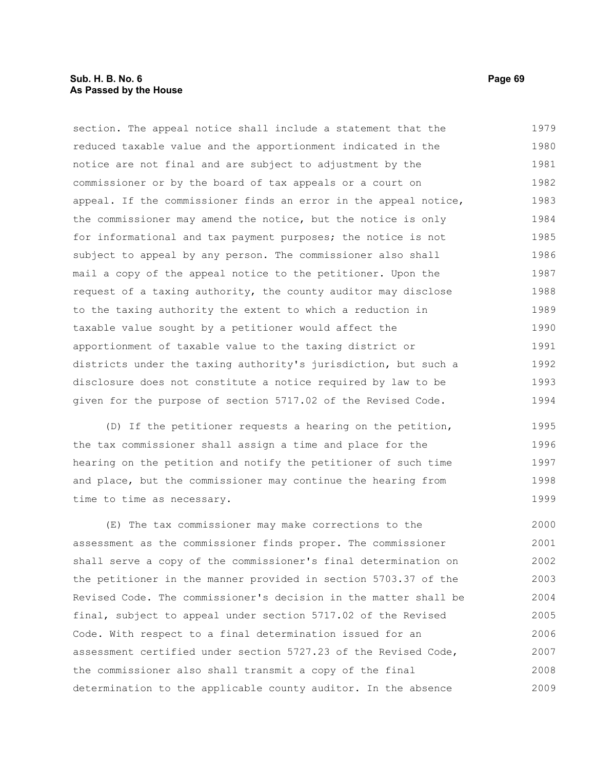# **Sub. H. B. No. 6 Page 69 As Passed by the House**

section. The appeal notice shall include a statement that the reduced taxable value and the apportionment indicated in the notice are not final and are subject to adjustment by the commissioner or by the board of tax appeals or a court on appeal. If the commissioner finds an error in the appeal notice, the commissioner may amend the notice, but the notice is only for informational and tax payment purposes; the notice is not subject to appeal by any person. The commissioner also shall mail a copy of the appeal notice to the petitioner. Upon the request of a taxing authority, the county auditor may disclose to the taxing authority the extent to which a reduction in taxable value sought by a petitioner would affect the apportionment of taxable value to the taxing district or districts under the taxing authority's jurisdiction, but such a disclosure does not constitute a notice required by law to be given for the purpose of section 5717.02 of the Revised Code. 1979 1980 1981 1982 1983 1984 1985 1986 1987 1988 1989 1990 1991 1992 1993 1994

(D) If the petitioner requests a hearing on the petition, the tax commissioner shall assign a time and place for the hearing on the petition and notify the petitioner of such time and place, but the commissioner may continue the hearing from time to time as necessary. 1995 1996 1997 1998 1999

(E) The tax commissioner may make corrections to the assessment as the commissioner finds proper. The commissioner shall serve a copy of the commissioner's final determination on the petitioner in the manner provided in section 5703.37 of the Revised Code. The commissioner's decision in the matter shall be final, subject to appeal under section 5717.02 of the Revised Code. With respect to a final determination issued for an assessment certified under section 5727.23 of the Revised Code, the commissioner also shall transmit a copy of the final determination to the applicable county auditor. In the absence 2000 2001 2002 2003 2004 2005 2006 2007 2008 2009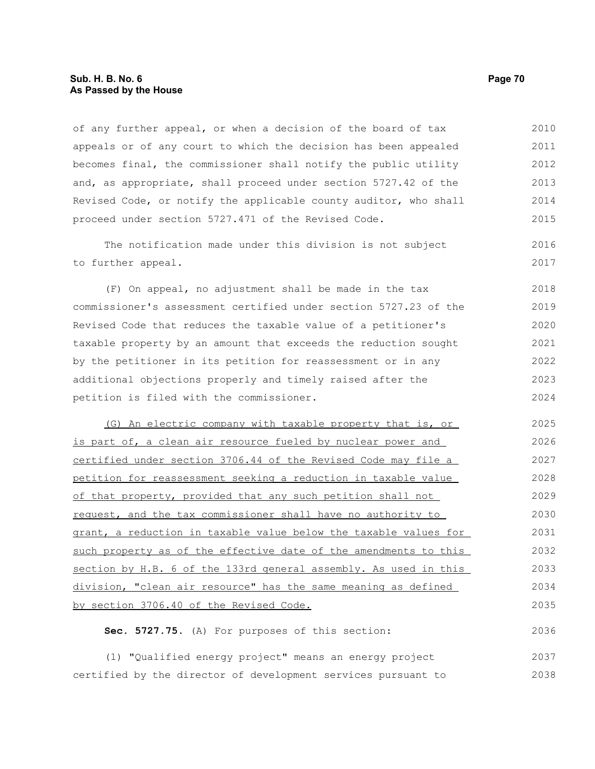### **Sub. H. B. No. 6 Page 70 As Passed by the House**

of any further appeal, or when a decision of the board of tax appeals or of any court to which the decision has been appealed becomes final, the commissioner shall notify the public utility and, as appropriate, shall proceed under section 5727.42 of the Revised Code, or notify the applicable county auditor, who shall proceed under section 5727.471 of the Revised Code. 2010 2011 2012 2013 2014 2015

The notification made under this division is not subject to further appeal.

(F) On appeal, no adjustment shall be made in the tax commissioner's assessment certified under section 5727.23 of the Revised Code that reduces the taxable value of a petitioner's taxable property by an amount that exceeds the reduction sought by the petitioner in its petition for reassessment or in any additional objections properly and timely raised after the petition is filed with the commissioner. 2018 2019 2020 2021 2022 2023 2024

(G) An electric company with taxable property that is, or is part of, a clean air resource fueled by nuclear power and certified under section 3706.44 of the Revised Code may file a petition for reassessment seeking a reduction in taxable value of that property, provided that any such petition shall not request, and the tax commissioner shall have no authority to grant, a reduction in taxable value below the taxable values for such property as of the effective date of the amendments to this section by H.B. 6 of the 133rd general assembly. As used in this division, "clean air resource" has the same meaning as defined by section 3706.40 of the Revised Code. 2025 2026 2027 2028 2029 2030 2031 2032 2033 2034 2035

**Sec. 5727.75.** (A) For purposes of this section: (1) "Qualified energy project" means an energy project 2036 2037

certified by the director of development services pursuant to

2016 2017

2038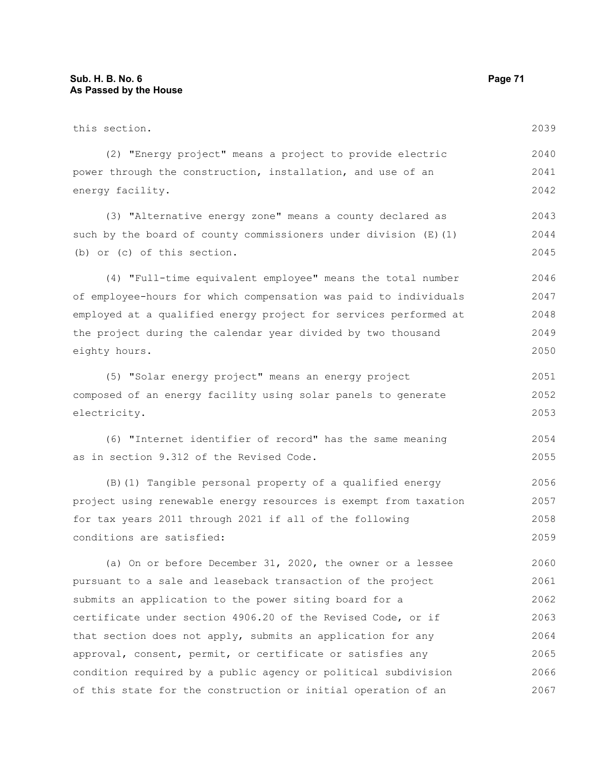| this section.                                                    | 2039 |
|------------------------------------------------------------------|------|
| (2) "Energy project" means a project to provide electric         | 2040 |
| power through the construction, installation, and use of an      | 2041 |
| energy facility.                                                 | 2042 |
| (3) "Alternative energy zone" means a county declared as         | 2043 |
| such by the board of county commissioners under division (E) (1) | 2044 |
| (b) or (c) of this section.                                      | 2045 |
| (4) "Full-time equivalent employee" means the total number       | 2046 |
| of employee-hours for which compensation was paid to individuals | 2047 |
| employed at a qualified energy project for services performed at | 2048 |
| the project during the calendar year divided by two thousand     | 2049 |
| eighty hours.                                                    | 2050 |
| (5) "Solar energy project" means an energy project               | 2051 |
| composed of an energy facility using solar panels to generate    | 2052 |
| electricity.                                                     | 2053 |
| (6) "Internet identifier of record" has the same meaning         | 2054 |
| as in section 9.312 of the Revised Code.                         | 2055 |
| (B) (1) Tangible personal property of a qualified energy         | 2056 |
| project using renewable energy resources is exempt from taxation | 2057 |
| for tax years 2011 through 2021 if all of the following          | 2058 |
| conditions are satisfied:                                        | 2059 |
| (a) On or before December 31, 2020, the owner or a lessee        | 2060 |
| pursuant to a sale and leaseback transaction of the project      | 2061 |
| submits an application to the power siting board for a           | 2062 |
| certificate under section 4906.20 of the Revised Code, or if     | 2063 |

that section does not apply, submits an application for any approval, consent, permit, or certificate or satisfies any condition required by a public agency or political subdivision of this state for the construction or initial operation of an 2064 2065 2066 2067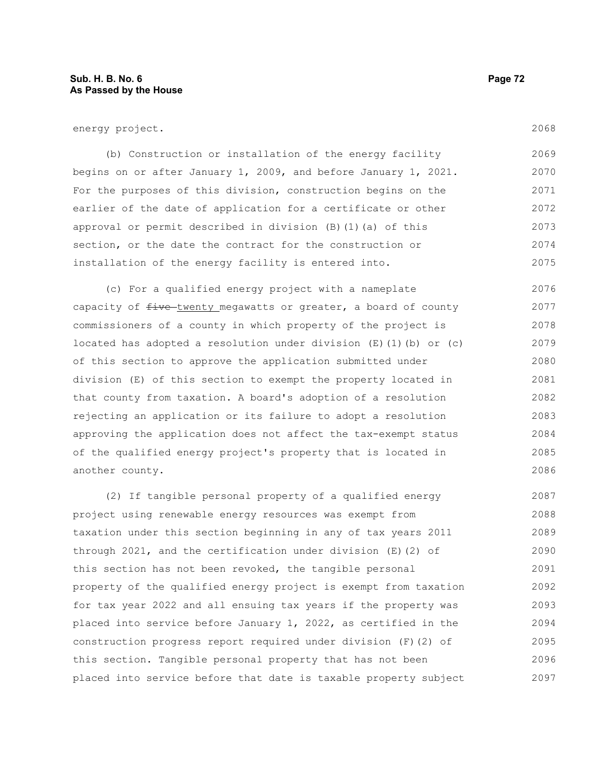energy project.

(b) Construction or installation of the energy facility begins on or after January 1, 2009, and before January 1, 2021. For the purposes of this division, construction begins on the earlier of the date of application for a certificate or other approval or permit described in division (B)(1)(a) of this section, or the date the contract for the construction or installation of the energy facility is entered into. 2069 2070 2071 2072 2073 2074 2075

(c) For a qualified energy project with a nameplate capacity of  $f$ ive-twenty megawatts or greater, a board of county commissioners of a county in which property of the project is located has adopted a resolution under division  $(E)$  (1)(b) or (c) of this section to approve the application submitted under division (E) of this section to exempt the property located in that county from taxation. A board's adoption of a resolution rejecting an application or its failure to adopt a resolution approving the application does not affect the tax-exempt status of the qualified energy project's property that is located in another county. 2076 2077 2078 2079 2080 2081 2082 2083 2084 2085 2086

(2) If tangible personal property of a qualified energy project using renewable energy resources was exempt from taxation under this section beginning in any of tax years 2011 through 2021, and the certification under division (E)(2) of this section has not been revoked, the tangible personal property of the qualified energy project is exempt from taxation for tax year 2022 and all ensuing tax years if the property was placed into service before January 1, 2022, as certified in the construction progress report required under division (F)(2) of this section. Tangible personal property that has not been placed into service before that date is taxable property subject 2087 2088 2089 2090 2091 2092 2093 2094 2095 2096 2097

2068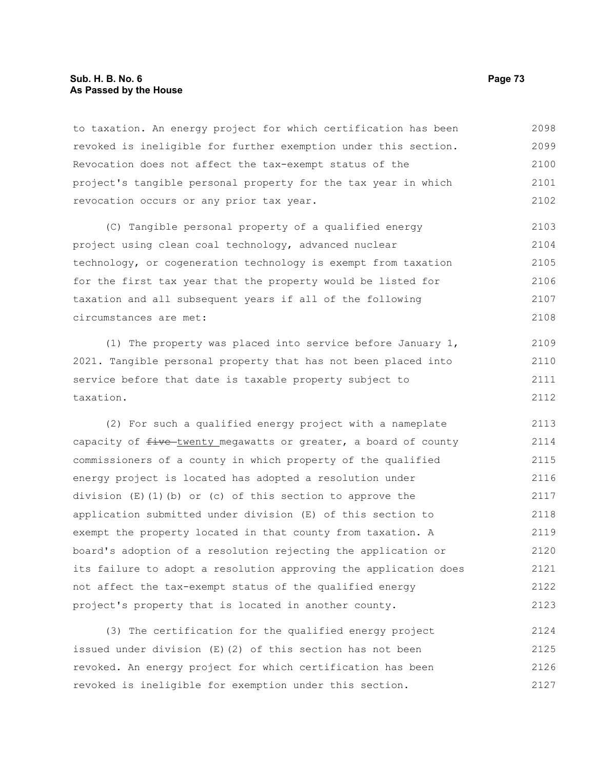### **Sub. H. B. No. 6 Page 73 As Passed by the House**

to taxation. An energy project for which certification has been revoked is ineligible for further exemption under this section. Revocation does not affect the tax-exempt status of the project's tangible personal property for the tax year in which revocation occurs or any prior tax year. 2098 2099 2100 2101 2102

(C) Tangible personal property of a qualified energy project using clean coal technology, advanced nuclear technology, or cogeneration technology is exempt from taxation for the first tax year that the property would be listed for taxation and all subsequent years if all of the following circumstances are met: 2103 2104 2105 2106 2107 2108

(1) The property was placed into service before January 1, 2021. Tangible personal property that has not been placed into service before that date is taxable property subject to taxation. 2109 2110 2111 2112

(2) For such a qualified energy project with a nameplate capacity of  $f$ ive-twenty megawatts or greater, a board of county commissioners of a county in which property of the qualified energy project is located has adopted a resolution under division (E)(1)(b) or (c) of this section to approve the application submitted under division (E) of this section to exempt the property located in that county from taxation. A board's adoption of a resolution rejecting the application or its failure to adopt a resolution approving the application does not affect the tax-exempt status of the qualified energy project's property that is located in another county. 2113 2114 2115 2116 2117 2118 2119 2120 2121 2122 2123

(3) The certification for the qualified energy project issued under division (E)(2) of this section has not been revoked. An energy project for which certification has been revoked is ineligible for exemption under this section. 2124 2125 2126 2127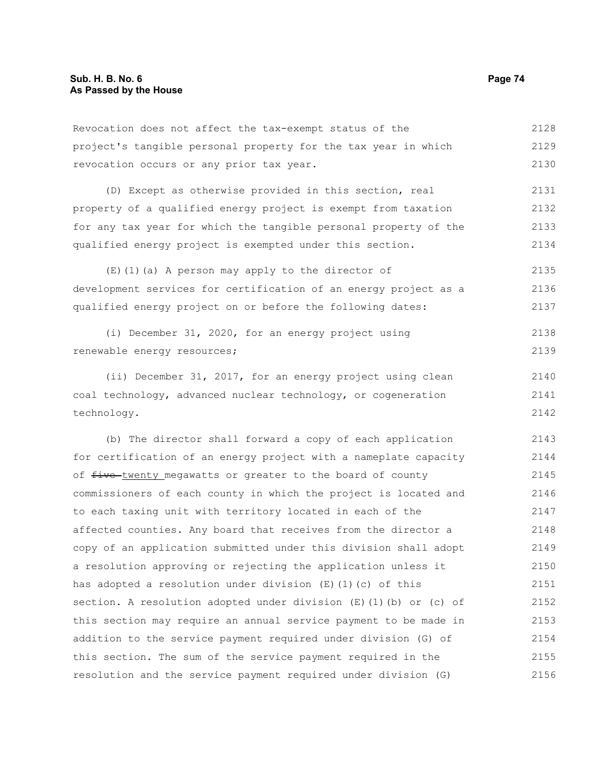Revocation does not affect the tax-exempt status of the project's tangible personal property for the tax year in which revocation occurs or any prior tax year. 2128 2129 2130

(D) Except as otherwise provided in this section, real property of a qualified energy project is exempt from taxation for any tax year for which the tangible personal property of the qualified energy project is exempted under this section. 2131 2132 2133 2134

(E)(1)(a) A person may apply to the director of development services for certification of an energy project as a qualified energy project on or before the following dates: 2135 2136 2137

(i) December 31, 2020, for an energy project using renewable energy resources; 2138 2139

(ii) December 31, 2017, for an energy project using clean coal technology, advanced nuclear technology, or cogeneration technology. 2140 2141 2142

(b) The director shall forward a copy of each application for certification of an energy project with a nameplate capacity of five-twenty megawatts or greater to the board of county commissioners of each county in which the project is located and to each taxing unit with territory located in each of the affected counties. Any board that receives from the director a copy of an application submitted under this division shall adopt a resolution approving or rejecting the application unless it has adopted a resolution under division (E)(1)(c) of this section. A resolution adopted under division (E)(1)(b) or (c) of this section may require an annual service payment to be made in addition to the service payment required under division (G) of this section. The sum of the service payment required in the resolution and the service payment required under division (G) 2143 2144 2145 2146 2147 2148 2149 2150 2151 2152 2153 2154 2155 2156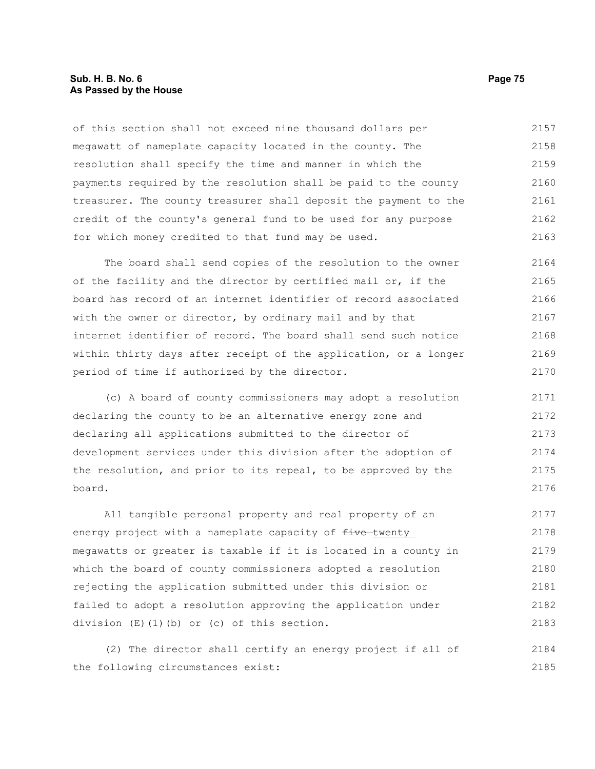## **Sub. H. B. No. 6 Page 75 As Passed by the House**

of this section shall not exceed nine thousand dollars per megawatt of nameplate capacity located in the county. The resolution shall specify the time and manner in which the payments required by the resolution shall be paid to the county treasurer. The county treasurer shall deposit the payment to the credit of the county's general fund to be used for any purpose for which money credited to that fund may be used. 2157 2158 2159 2160 2161 2162 2163

The board shall send copies of the resolution to the owner of the facility and the director by certified mail or, if the board has record of an internet identifier of record associated with the owner or director, by ordinary mail and by that internet identifier of record. The board shall send such notice within thirty days after receipt of the application, or a longer period of time if authorized by the director. 2164 2165 2166 2167 2168 2169 2170

(c) A board of county commissioners may adopt a resolution declaring the county to be an alternative energy zone and declaring all applications submitted to the director of development services under this division after the adoption of the resolution, and prior to its repeal, to be approved by the board. 2171 2172 2173 2174 2175 2176

All tangible personal property and real property of an energy project with a nameplate capacity of  $f$ ive twenty megawatts or greater is taxable if it is located in a county in which the board of county commissioners adopted a resolution rejecting the application submitted under this division or failed to adopt a resolution approving the application under division (E)(1)(b) or (c) of this section. 2177 2178 2179 2180 2181 2182 2183

(2) The director shall certify an energy project if all of the following circumstances exist: 2184 2185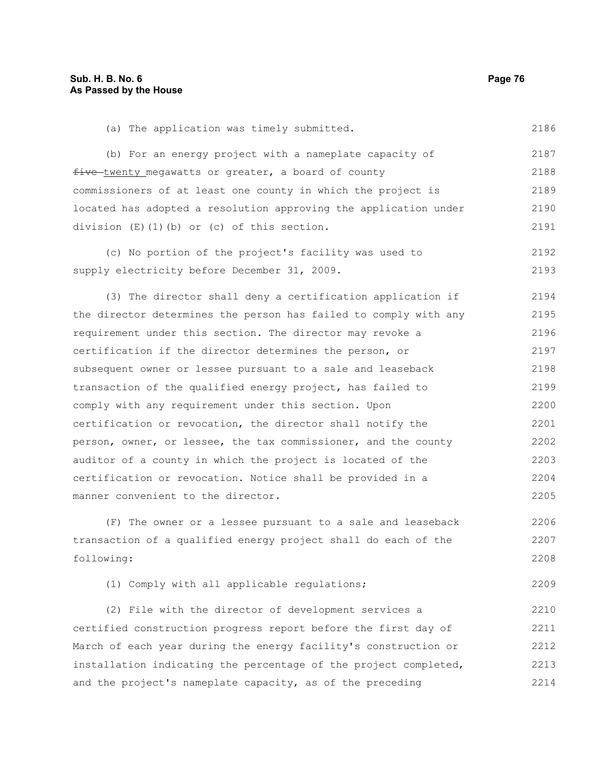(a) The application was timely submitted. (b) For an energy project with a nameplate capacity of five twenty megawatts or greater, a board of county commissioners of at least one county in which the project is located has adopted a resolution approving the application under division (E)(1)(b) or (c) of this section. (c) No portion of the project's facility was used to supply electricity before December 31, 2009. (3) The director shall deny a certification application if the director determines the person has failed to comply with any requirement under this section. The director may revoke a 2186 2187 2188 2189 2190 2191 2192 2193 2194 2195 2196

certification if the director determines the person, or subsequent owner or lessee pursuant to a sale and leaseback transaction of the qualified energy project, has failed to comply with any requirement under this section. Upon certification or revocation, the director shall notify the person, owner, or lessee, the tax commissioner, and the county auditor of a county in which the project is located of the certification or revocation. Notice shall be provided in a manner convenient to the director. 2197 2198 2199 2200 2201 2202 2203 2204 2205

(F) The owner or a lessee pursuant to a sale and leaseback transaction of a qualified energy project shall do each of the following: 2206 2207 2208

(1) Comply with all applicable regulations; 2209

(2) File with the director of development services a certified construction progress report before the first day of March of each year during the energy facility's construction or installation indicating the percentage of the project completed, and the project's nameplate capacity, as of the preceding 2210 2211 2212 2213 2214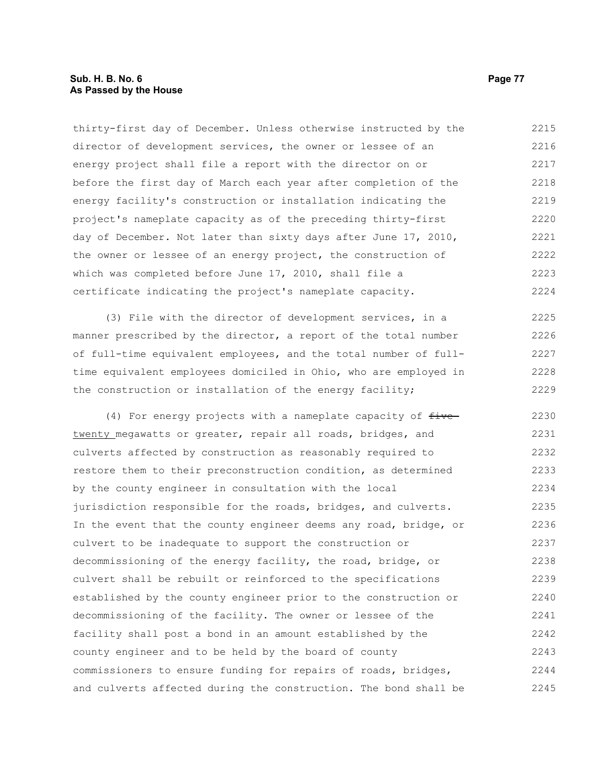thirty-first day of December. Unless otherwise instructed by the director of development services, the owner or lessee of an energy project shall file a report with the director on or before the first day of March each year after completion of the energy facility's construction or installation indicating the project's nameplate capacity as of the preceding thirty-first day of December. Not later than sixty days after June 17, 2010, the owner or lessee of an energy project, the construction of which was completed before June 17, 2010, shall file a certificate indicating the project's nameplate capacity. 2215 2216 2217 2218 2219 2220 2221 2222 2223 2224

(3) File with the director of development services, in a manner prescribed by the director, a report of the total number of full-time equivalent employees, and the total number of fulltime equivalent employees domiciled in Ohio, who are employed in the construction or installation of the energy facility; 2225 2226 2227 2228 2229

(4) For energy projects with a nameplate capacity of  $f$ ive twenty megawatts or greater, repair all roads, bridges, and culverts affected by construction as reasonably required to restore them to their preconstruction condition, as determined by the county engineer in consultation with the local jurisdiction responsible for the roads, bridges, and culverts. In the event that the county engineer deems any road, bridge, or culvert to be inadequate to support the construction or decommissioning of the energy facility, the road, bridge, or culvert shall be rebuilt or reinforced to the specifications established by the county engineer prior to the construction or decommissioning of the facility. The owner or lessee of the facility shall post a bond in an amount established by the county engineer and to be held by the board of county commissioners to ensure funding for repairs of roads, bridges, and culverts affected during the construction. The bond shall be 2230 2231 2232 2233 2234 2235 2236 2237 2238 2239 2240 2241 2242 2243 2244 2245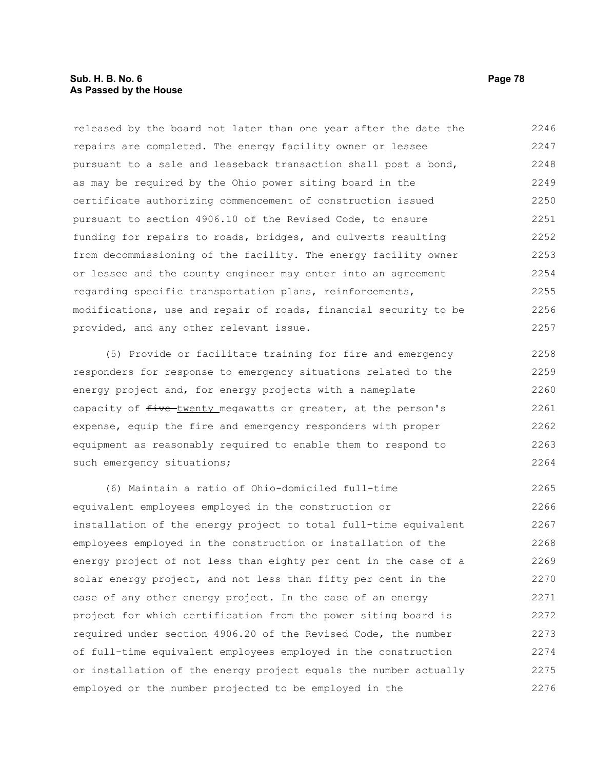# **Sub. H. B. No. 6 Page 78 As Passed by the House**

released by the board not later than one year after the date the repairs are completed. The energy facility owner or lessee pursuant to a sale and leaseback transaction shall post a bond, as may be required by the Ohio power siting board in the certificate authorizing commencement of construction issued pursuant to section 4906.10 of the Revised Code, to ensure funding for repairs to roads, bridges, and culverts resulting from decommissioning of the facility. The energy facility owner or lessee and the county engineer may enter into an agreement regarding specific transportation plans, reinforcements, modifications, use and repair of roads, financial security to be provided, and any other relevant issue. 2246 2247 2248 2249 2250 2251 2252 2253 2254 2255 2256 2257

(5) Provide or facilitate training for fire and emergency responders for response to emergency situations related to the energy project and, for energy projects with a nameplate capacity of  $f$ ive twenty megawatts or greater, at the person's expense, equip the fire and emergency responders with proper equipment as reasonably required to enable them to respond to such emergency situations;

(6) Maintain a ratio of Ohio-domiciled full-time equivalent employees employed in the construction or installation of the energy project to total full-time equivalent employees employed in the construction or installation of the energy project of not less than eighty per cent in the case of a solar energy project, and not less than fifty per cent in the case of any other energy project. In the case of an energy project for which certification from the power siting board is required under section 4906.20 of the Revised Code, the number of full-time equivalent employees employed in the construction or installation of the energy project equals the number actually employed or the number projected to be employed in the 2265 2266 2267 2268 2269 2270 2271 2272 2273 2274 2275 2276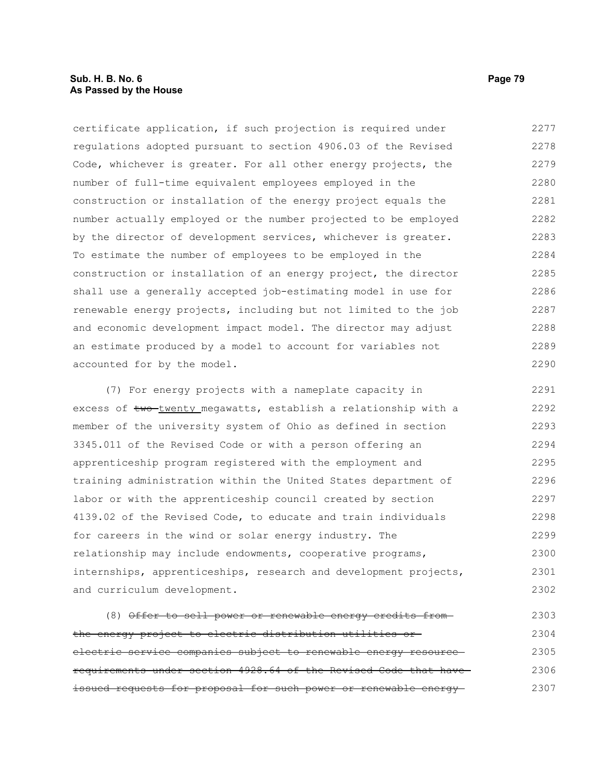# **Sub. H. B. No. 6 Page 79 As Passed by the House**

certificate application, if such projection is required under regulations adopted pursuant to section 4906.03 of the Revised Code, whichever is greater. For all other energy projects, the number of full-time equivalent employees employed in the construction or installation of the energy project equals the number actually employed or the number projected to be employed by the director of development services, whichever is greater. To estimate the number of employees to be employed in the construction or installation of an energy project, the director shall use a generally accepted job-estimating model in use for renewable energy projects, including but not limited to the job and economic development impact model. The director may adjust an estimate produced by a model to account for variables not accounted for by the model. 2277 2278 2279 2280 2281 2282 2283 2284 2285 2286 2287 2288 2289 2290

(7) For energy projects with a nameplate capacity in excess of two twenty megawatts, establish a relationship with a member of the university system of Ohio as defined in section 3345.011 of the Revised Code or with a person offering an apprenticeship program registered with the employment and training administration within the United States department of labor or with the apprenticeship council created by section 4139.02 of the Revised Code, to educate and train individuals for careers in the wind or solar energy industry. The relationship may include endowments, cooperative programs, internships, apprenticeships, research and development projects, and curriculum development. 2291 2292 2293 2294 2295 2296 2297 2298 2299 2300 2301 2302

(8) Offer to sell power or renewable energy credits fromthe energy project to electric distribution utilities or electric service companies subject to renewable energy resource requirements under section 4928.64 of the Revised Code that have issued requests for proposal for such power or renewable energy 2303 2304 2305 2306 2307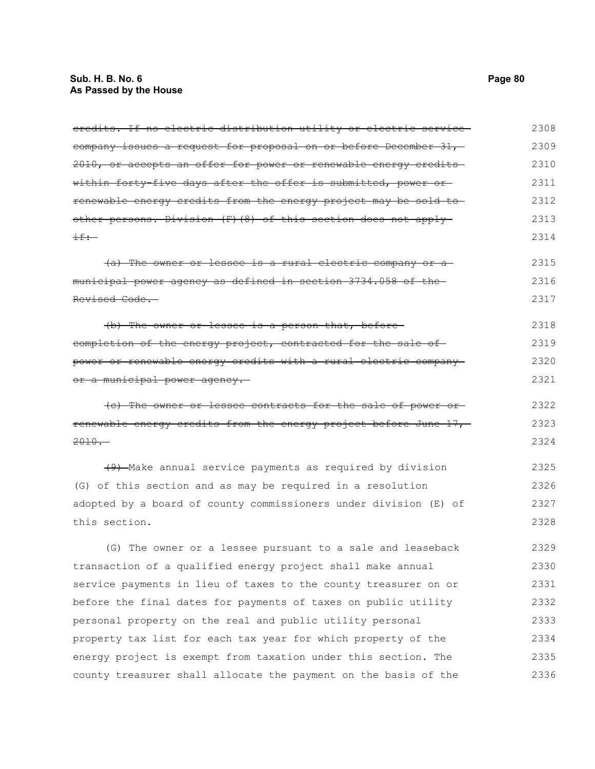| eredits. If no electric distribution utility or electric service<br>eompany issues a request for proposal on or before December 31,<br>2010, or accepts an offer for power or renewable energy credits<br>within forty-five days after the offer is submitted, power or-<br>renewable energy credits from the energy project may be sold to<br>other persons. Division (F)(8) of this section does not apply-<br>$\pm$ f $\pm$<br>(a) The owner or lessee is a rural electric company or a<br>municipal power agency as defined in section 3734.058 of the<br>Revised Code.<br>(b) The owner or lessee is a person that, before-<br>eompletion of the energy project, contracted for the sale of<br>power or renewable energy credits with a rural electric company<br>or a municipal power agency.<br>(c) The owner or lessee contracts for the sale of power or-<br>renewable energy credits from the energy project before June 17,<br>$2010 -$<br>(9) Make annual service payments as required by division<br>(G) of this section and as may be required in a resolution<br>adopted by a board of county commissioners under division (E) of<br>this section.<br>(G) The owner or a lessee pursuant to a sale and leaseback<br>transaction of a qualified energy project shall make annual<br>service payments in lieu of taxes to the county treasurer on or<br>before the final dates for payments of taxes on public utility<br>personal property on the real and public utility personal<br>property tax list for each tax year for which property of the<br>energy project is exempt from taxation under this section. The |      |
|-------------------------------------------------------------------------------------------------------------------------------------------------------------------------------------------------------------------------------------------------------------------------------------------------------------------------------------------------------------------------------------------------------------------------------------------------------------------------------------------------------------------------------------------------------------------------------------------------------------------------------------------------------------------------------------------------------------------------------------------------------------------------------------------------------------------------------------------------------------------------------------------------------------------------------------------------------------------------------------------------------------------------------------------------------------------------------------------------------------------------------------------------------------------------------------------------------------------------------------------------------------------------------------------------------------------------------------------------------------------------------------------------------------------------------------------------------------------------------------------------------------------------------------------------------------------------------------------------------------------------------------|------|
|                                                                                                                                                                                                                                                                                                                                                                                                                                                                                                                                                                                                                                                                                                                                                                                                                                                                                                                                                                                                                                                                                                                                                                                                                                                                                                                                                                                                                                                                                                                                                                                                                                     | 2308 |
|                                                                                                                                                                                                                                                                                                                                                                                                                                                                                                                                                                                                                                                                                                                                                                                                                                                                                                                                                                                                                                                                                                                                                                                                                                                                                                                                                                                                                                                                                                                                                                                                                                     | 2309 |
|                                                                                                                                                                                                                                                                                                                                                                                                                                                                                                                                                                                                                                                                                                                                                                                                                                                                                                                                                                                                                                                                                                                                                                                                                                                                                                                                                                                                                                                                                                                                                                                                                                     | 2310 |
|                                                                                                                                                                                                                                                                                                                                                                                                                                                                                                                                                                                                                                                                                                                                                                                                                                                                                                                                                                                                                                                                                                                                                                                                                                                                                                                                                                                                                                                                                                                                                                                                                                     | 2311 |
|                                                                                                                                                                                                                                                                                                                                                                                                                                                                                                                                                                                                                                                                                                                                                                                                                                                                                                                                                                                                                                                                                                                                                                                                                                                                                                                                                                                                                                                                                                                                                                                                                                     | 2312 |
|                                                                                                                                                                                                                                                                                                                                                                                                                                                                                                                                                                                                                                                                                                                                                                                                                                                                                                                                                                                                                                                                                                                                                                                                                                                                                                                                                                                                                                                                                                                                                                                                                                     | 2313 |
|                                                                                                                                                                                                                                                                                                                                                                                                                                                                                                                                                                                                                                                                                                                                                                                                                                                                                                                                                                                                                                                                                                                                                                                                                                                                                                                                                                                                                                                                                                                                                                                                                                     | 2314 |
|                                                                                                                                                                                                                                                                                                                                                                                                                                                                                                                                                                                                                                                                                                                                                                                                                                                                                                                                                                                                                                                                                                                                                                                                                                                                                                                                                                                                                                                                                                                                                                                                                                     | 2315 |
|                                                                                                                                                                                                                                                                                                                                                                                                                                                                                                                                                                                                                                                                                                                                                                                                                                                                                                                                                                                                                                                                                                                                                                                                                                                                                                                                                                                                                                                                                                                                                                                                                                     | 2316 |
|                                                                                                                                                                                                                                                                                                                                                                                                                                                                                                                                                                                                                                                                                                                                                                                                                                                                                                                                                                                                                                                                                                                                                                                                                                                                                                                                                                                                                                                                                                                                                                                                                                     | 2317 |
|                                                                                                                                                                                                                                                                                                                                                                                                                                                                                                                                                                                                                                                                                                                                                                                                                                                                                                                                                                                                                                                                                                                                                                                                                                                                                                                                                                                                                                                                                                                                                                                                                                     | 2318 |
|                                                                                                                                                                                                                                                                                                                                                                                                                                                                                                                                                                                                                                                                                                                                                                                                                                                                                                                                                                                                                                                                                                                                                                                                                                                                                                                                                                                                                                                                                                                                                                                                                                     | 2319 |
|                                                                                                                                                                                                                                                                                                                                                                                                                                                                                                                                                                                                                                                                                                                                                                                                                                                                                                                                                                                                                                                                                                                                                                                                                                                                                                                                                                                                                                                                                                                                                                                                                                     | 2320 |
|                                                                                                                                                                                                                                                                                                                                                                                                                                                                                                                                                                                                                                                                                                                                                                                                                                                                                                                                                                                                                                                                                                                                                                                                                                                                                                                                                                                                                                                                                                                                                                                                                                     | 2321 |
|                                                                                                                                                                                                                                                                                                                                                                                                                                                                                                                                                                                                                                                                                                                                                                                                                                                                                                                                                                                                                                                                                                                                                                                                                                                                                                                                                                                                                                                                                                                                                                                                                                     | 2322 |
|                                                                                                                                                                                                                                                                                                                                                                                                                                                                                                                                                                                                                                                                                                                                                                                                                                                                                                                                                                                                                                                                                                                                                                                                                                                                                                                                                                                                                                                                                                                                                                                                                                     | 2323 |
|                                                                                                                                                                                                                                                                                                                                                                                                                                                                                                                                                                                                                                                                                                                                                                                                                                                                                                                                                                                                                                                                                                                                                                                                                                                                                                                                                                                                                                                                                                                                                                                                                                     | 2324 |
|                                                                                                                                                                                                                                                                                                                                                                                                                                                                                                                                                                                                                                                                                                                                                                                                                                                                                                                                                                                                                                                                                                                                                                                                                                                                                                                                                                                                                                                                                                                                                                                                                                     |      |
|                                                                                                                                                                                                                                                                                                                                                                                                                                                                                                                                                                                                                                                                                                                                                                                                                                                                                                                                                                                                                                                                                                                                                                                                                                                                                                                                                                                                                                                                                                                                                                                                                                     | 2325 |
|                                                                                                                                                                                                                                                                                                                                                                                                                                                                                                                                                                                                                                                                                                                                                                                                                                                                                                                                                                                                                                                                                                                                                                                                                                                                                                                                                                                                                                                                                                                                                                                                                                     | 2326 |
|                                                                                                                                                                                                                                                                                                                                                                                                                                                                                                                                                                                                                                                                                                                                                                                                                                                                                                                                                                                                                                                                                                                                                                                                                                                                                                                                                                                                                                                                                                                                                                                                                                     | 2327 |
|                                                                                                                                                                                                                                                                                                                                                                                                                                                                                                                                                                                                                                                                                                                                                                                                                                                                                                                                                                                                                                                                                                                                                                                                                                                                                                                                                                                                                                                                                                                                                                                                                                     | 2328 |
|                                                                                                                                                                                                                                                                                                                                                                                                                                                                                                                                                                                                                                                                                                                                                                                                                                                                                                                                                                                                                                                                                                                                                                                                                                                                                                                                                                                                                                                                                                                                                                                                                                     | 2329 |
|                                                                                                                                                                                                                                                                                                                                                                                                                                                                                                                                                                                                                                                                                                                                                                                                                                                                                                                                                                                                                                                                                                                                                                                                                                                                                                                                                                                                                                                                                                                                                                                                                                     | 2330 |
|                                                                                                                                                                                                                                                                                                                                                                                                                                                                                                                                                                                                                                                                                                                                                                                                                                                                                                                                                                                                                                                                                                                                                                                                                                                                                                                                                                                                                                                                                                                                                                                                                                     | 2331 |
|                                                                                                                                                                                                                                                                                                                                                                                                                                                                                                                                                                                                                                                                                                                                                                                                                                                                                                                                                                                                                                                                                                                                                                                                                                                                                                                                                                                                                                                                                                                                                                                                                                     | 2332 |
|                                                                                                                                                                                                                                                                                                                                                                                                                                                                                                                                                                                                                                                                                                                                                                                                                                                                                                                                                                                                                                                                                                                                                                                                                                                                                                                                                                                                                                                                                                                                                                                                                                     | 2333 |
|                                                                                                                                                                                                                                                                                                                                                                                                                                                                                                                                                                                                                                                                                                                                                                                                                                                                                                                                                                                                                                                                                                                                                                                                                                                                                                                                                                                                                                                                                                                                                                                                                                     | 2334 |
|                                                                                                                                                                                                                                                                                                                                                                                                                                                                                                                                                                                                                                                                                                                                                                                                                                                                                                                                                                                                                                                                                                                                                                                                                                                                                                                                                                                                                                                                                                                                                                                                                                     | 2335 |
| county treasurer shall allocate the payment on the basis of the                                                                                                                                                                                                                                                                                                                                                                                                                                                                                                                                                                                                                                                                                                                                                                                                                                                                                                                                                                                                                                                                                                                                                                                                                                                                                                                                                                                                                                                                                                                                                                     | 2336 |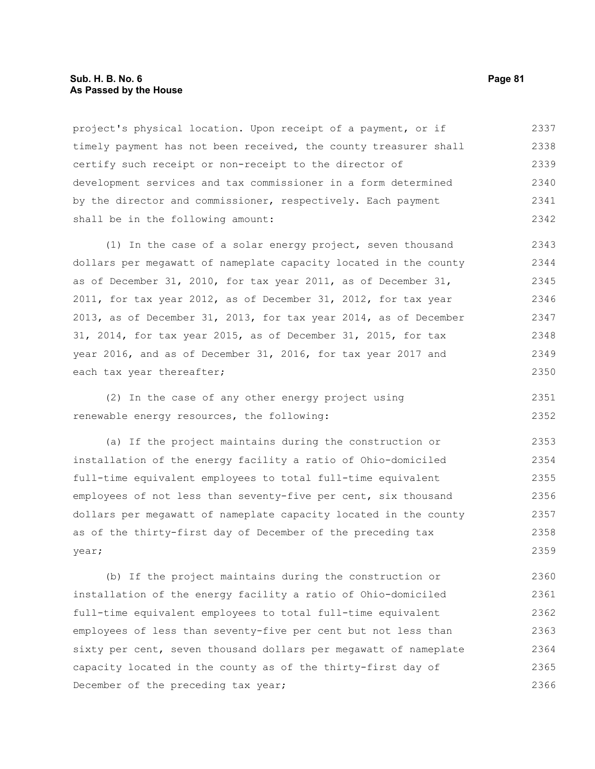## **Sub. H. B. No. 6 Page 81 As Passed by the House**

project's physical location. Upon receipt of a payment, or if timely payment has not been received, the county treasurer shall certify such receipt or non-receipt to the director of development services and tax commissioner in a form determined by the director and commissioner, respectively. Each payment shall be in the following amount: 2337 2338 2339 2340 2341 2342

(1) In the case of a solar energy project, seven thousand dollars per megawatt of nameplate capacity located in the county as of December 31, 2010, for tax year 2011, as of December 31, 2011, for tax year 2012, as of December 31, 2012, for tax year 2013, as of December 31, 2013, for tax year 2014, as of December 31, 2014, for tax year 2015, as of December 31, 2015, for tax year 2016, and as of December 31, 2016, for tax year 2017 and each tax year thereafter; 2343 2344 2345 2346 2347 2348 2349 2350

(2) In the case of any other energy project using renewable energy resources, the following:

(a) If the project maintains during the construction or installation of the energy facility a ratio of Ohio-domiciled full-time equivalent employees to total full-time equivalent employees of not less than seventy-five per cent, six thousand dollars per megawatt of nameplate capacity located in the county as of the thirty-first day of December of the preceding tax year; 2353 2354 2355 2356 2357 2358 2359

(b) If the project maintains during the construction or installation of the energy facility a ratio of Ohio-domiciled full-time equivalent employees to total full-time equivalent employees of less than seventy-five per cent but not less than sixty per cent, seven thousand dollars per megawatt of nameplate capacity located in the county as of the thirty-first day of December of the preceding tax year; 2360 2361 2362 2363 2364 2365 2366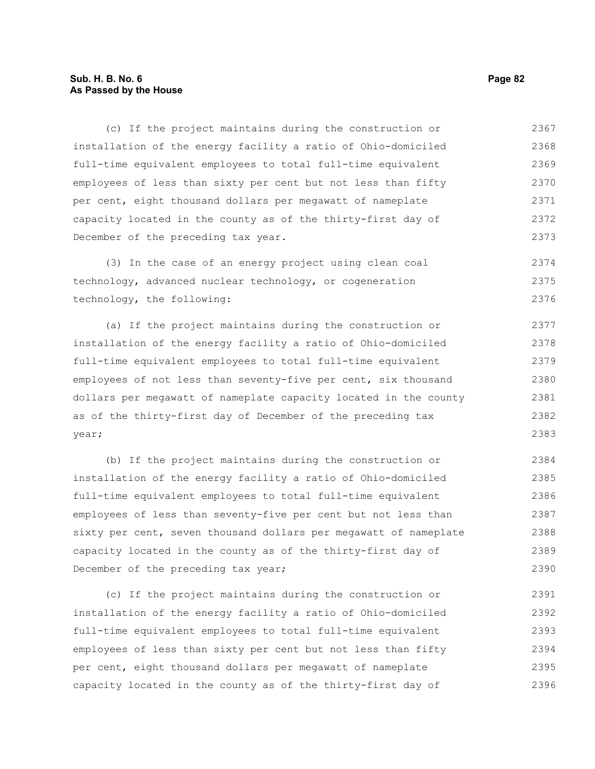# **Sub. H. B. No. 6 Page 82 As Passed by the House**

(c) If the project maintains during the construction or installation of the energy facility a ratio of Ohio-domiciled full-time equivalent employees to total full-time equivalent employees of less than sixty per cent but not less than fifty per cent, eight thousand dollars per megawatt of nameplate capacity located in the county as of the thirty-first day of December of the preceding tax year. 2367 2368 2369 2370 2371 2372 2373

(3) In the case of an energy project using clean coal technology, advanced nuclear technology, or cogeneration technology, the following: 2374 2375 2376

(a) If the project maintains during the construction or installation of the energy facility a ratio of Ohio-domiciled full-time equivalent employees to total full-time equivalent employees of not less than seventy-five per cent, six thousand dollars per megawatt of nameplate capacity located in the county as of the thirty-first day of December of the preceding tax year; 2377 2378 2379 2380 2381 2382 2383

(b) If the project maintains during the construction or installation of the energy facility a ratio of Ohio-domiciled full-time equivalent employees to total full-time equivalent employees of less than seventy-five per cent but not less than sixty per cent, seven thousand dollars per megawatt of nameplate capacity located in the county as of the thirty-first day of December of the preceding tax year; 2384 2385 2386 2387 2388 2389 2390

(c) If the project maintains during the construction or installation of the energy facility a ratio of Ohio-domiciled full-time equivalent employees to total full-time equivalent employees of less than sixty per cent but not less than fifty per cent, eight thousand dollars per megawatt of nameplate capacity located in the county as of the thirty-first day of 2391 2392 2393 2394 2395 2396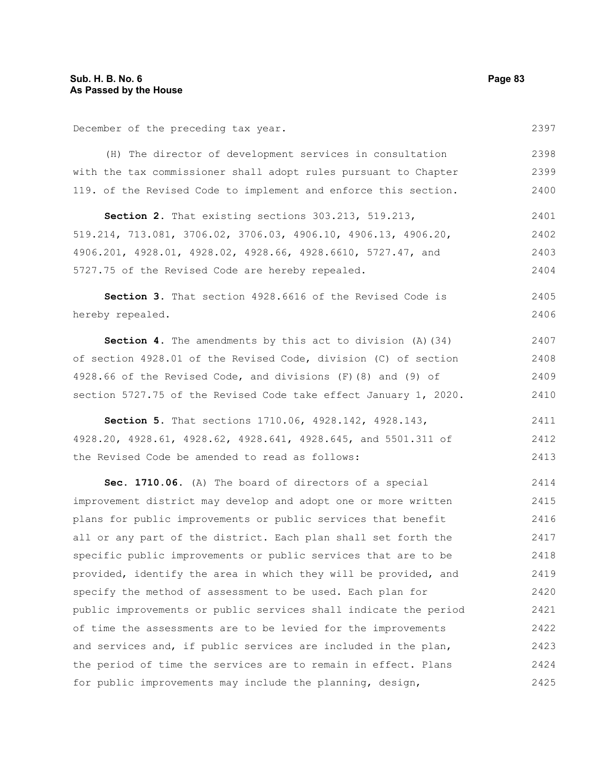December of the preceding tax year.

(H) The director of development services in consultation with the tax commissioner shall adopt rules pursuant to Chapter 119. of the Revised Code to implement and enforce this section. 2398 2399 2400

**Section 2.** That existing sections 303.213, 519.213, 519.214, 713.081, 3706.02, 3706.03, 4906.10, 4906.13, 4906.20, 4906.201, 4928.01, 4928.02, 4928.66, 4928.6610, 5727.47, and 5727.75 of the Revised Code are hereby repealed. 2401 2402 2403 2404

**Section 3.** That section 4928.6616 of the Revised Code is hereby repealed. 2405 2406

**Section 4.** The amendments by this act to division (A)(34) of section 4928.01 of the Revised Code, division (C) of section 4928.66 of the Revised Code, and divisions (F)(8) and (9) of section 5727.75 of the Revised Code take effect January 1, 2020. 2407 2408 2409 2410

**Section 5.** That sections 1710.06, 4928.142, 4928.143, 4928.20, 4928.61, 4928.62, 4928.641, 4928.645, and 5501.311 of the Revised Code be amended to read as follows: 2411 2412 2413

**Sec. 1710.06.** (A) The board of directors of a special improvement district may develop and adopt one or more written plans for public improvements or public services that benefit all or any part of the district. Each plan shall set forth the specific public improvements or public services that are to be provided, identify the area in which they will be provided, and specify the method of assessment to be used. Each plan for public improvements or public services shall indicate the period of time the assessments are to be levied for the improvements and services and, if public services are included in the plan, the period of time the services are to remain in effect. Plans for public improvements may include the planning, design, 2414 2415 2416 2417 2418 2419 2420 2421 2422 2423 2424 2425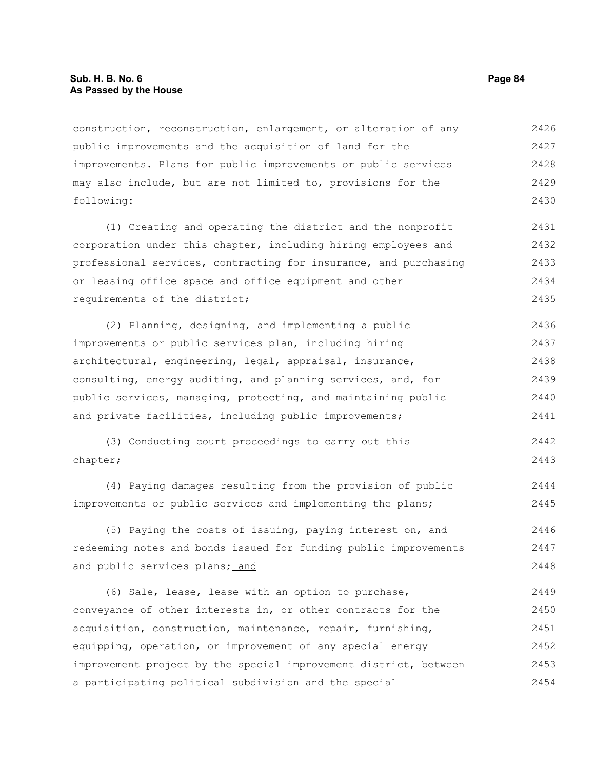construction, reconstruction, enlargement, or alteration of any public improvements and the acquisition of land for the improvements. Plans for public improvements or public services may also include, but are not limited to, provisions for the following: 2426 2427 2428 2429 2430

(1) Creating and operating the district and the nonprofit corporation under this chapter, including hiring employees and professional services, contracting for insurance, and purchasing or leasing office space and office equipment and other requirements of the district; 2431 2432 2433 2434 2435

(2) Planning, designing, and implementing a public improvements or public services plan, including hiring architectural, engineering, legal, appraisal, insurance, consulting, energy auditing, and planning services, and, for public services, managing, protecting, and maintaining public and private facilities, including public improvements; 2436 2437 2438 2439 2440 2441

(3) Conducting court proceedings to carry out this chapter; 2442 2443

(4) Paying damages resulting from the provision of public improvements or public services and implementing the plans; 2444 2445

(5) Paying the costs of issuing, paying interest on, and redeeming notes and bonds issued for funding public improvements and public services plans; and 2446 2447 2448

(6) Sale, lease, lease with an option to purchase, conveyance of other interests in, or other contracts for the acquisition, construction, maintenance, repair, furnishing, equipping, operation, or improvement of any special energy improvement project by the special improvement district, between a participating political subdivision and the special 2449 2450 2451 2452 2453 2454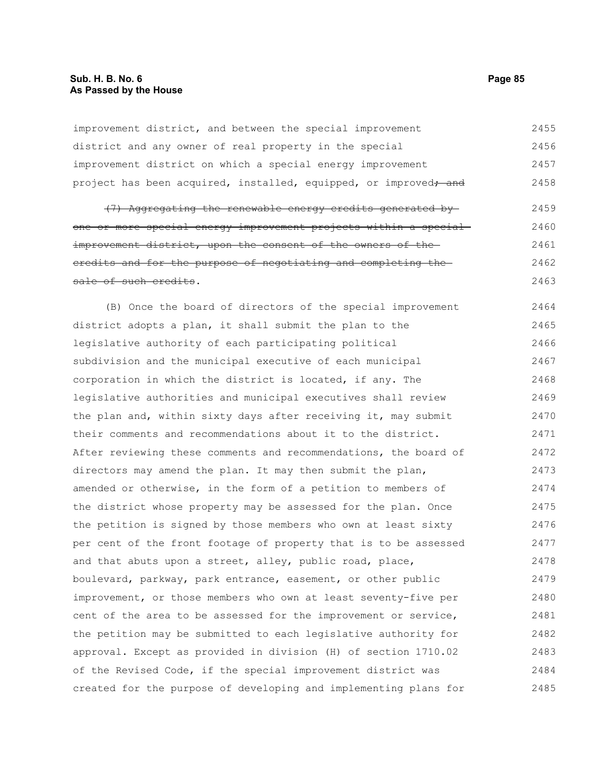# **Sub. H. B. No. 6 Page 85 As Passed by the House**

improvement district, and between the special improvement district and any owner of real property in the special improvement district on which a special energy improvement project has been acquired, installed, equipped, or improved, and 2455 2456 2457 2458

(7) Aggregating the renewable energy credits generated by one or more special energy improvement projects within a special improvement district, upon the consent of the owners of the credits and for the purpose of negotiating and completing the sale of such credits. 2459 2460 2461 2462 2463

(B) Once the board of directors of the special improvement district adopts a plan, it shall submit the plan to the legislative authority of each participating political subdivision and the municipal executive of each municipal corporation in which the district is located, if any. The legislative authorities and municipal executives shall review the plan and, within sixty days after receiving it, may submit their comments and recommendations about it to the district. After reviewing these comments and recommendations, the board of directors may amend the plan. It may then submit the plan, amended or otherwise, in the form of a petition to members of the district whose property may be assessed for the plan. Once the petition is signed by those members who own at least sixty per cent of the front footage of property that is to be assessed and that abuts upon a street, alley, public road, place, boulevard, parkway, park entrance, easement, or other public improvement, or those members who own at least seventy-five per cent of the area to be assessed for the improvement or service, the petition may be submitted to each legislative authority for approval. Except as provided in division (H) of section 1710.02 of the Revised Code, if the special improvement district was created for the purpose of developing and implementing plans for 2464 2465 2466 2467 2468 2469 2470 2471 2472 2473 2474 2475 2476 2477 2478 2479 2480 2481 2482 2483 2484 2485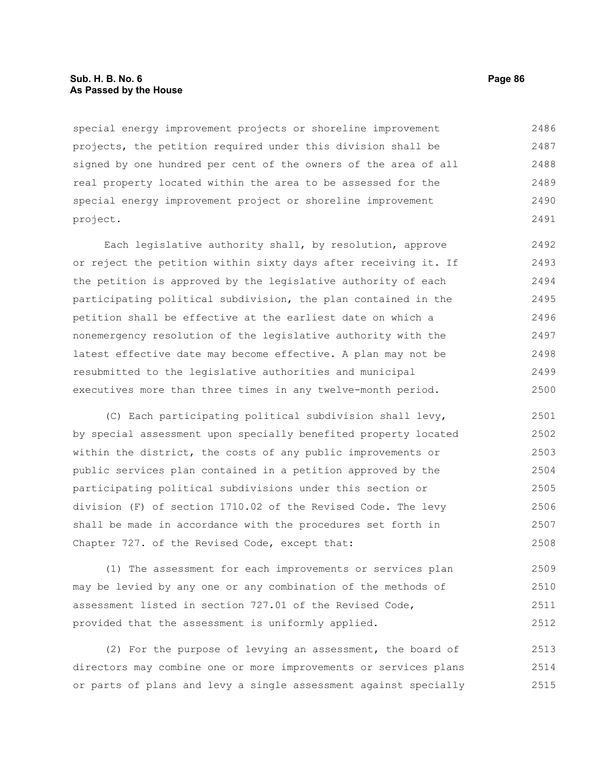# **Sub. H. B. No. 6 Page 86 As Passed by the House**

special energy improvement projects or shoreline improvement projects, the petition required under this division shall be signed by one hundred per cent of the owners of the area of all real property located within the area to be assessed for the special energy improvement project or shoreline improvement project. 2486 2487 2488 2489 2490 2491

Each legislative authority shall, by resolution, approve or reject the petition within sixty days after receiving it. If the petition is approved by the legislative authority of each participating political subdivision, the plan contained in the petition shall be effective at the earliest date on which a nonemergency resolution of the legislative authority with the latest effective date may become effective. A plan may not be resubmitted to the legislative authorities and municipal executives more than three times in any twelve-month period. 2492 2493 2494 2495 2496 2497 2498 2499 2500

(C) Each participating political subdivision shall levy, by special assessment upon specially benefited property located within the district, the costs of any public improvements or public services plan contained in a petition approved by the participating political subdivisions under this section or division (F) of section 1710.02 of the Revised Code. The levy shall be made in accordance with the procedures set forth in Chapter 727. of the Revised Code, except that: 2501 2502 2503 2504 2505 2506 2507 2508

(1) The assessment for each improvements or services plan may be levied by any one or any combination of the methods of assessment listed in section 727.01 of the Revised Code, provided that the assessment is uniformly applied. 2509 2510 2511 2512

(2) For the purpose of levying an assessment, the board of directors may combine one or more improvements or services plans or parts of plans and levy a single assessment against specially 2513 2514 2515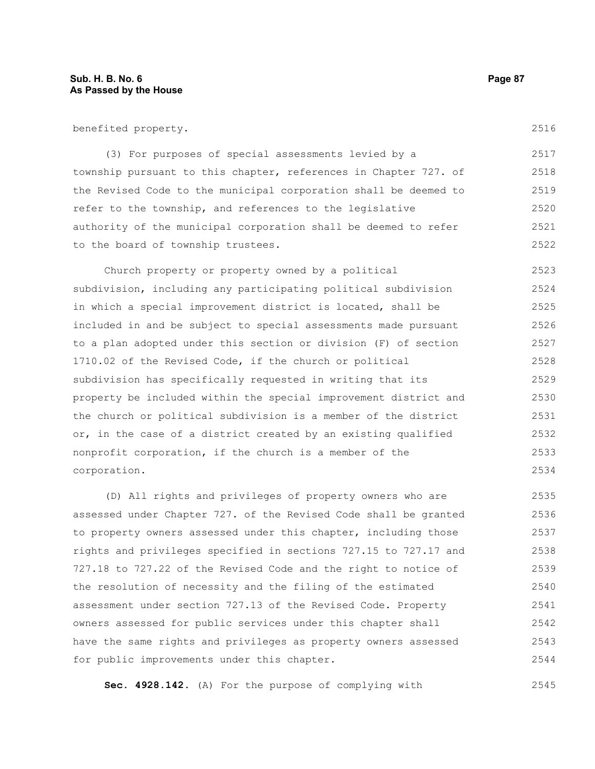benefited property.

(3) For purposes of special assessments levied by a township pursuant to this chapter, references in Chapter 727. of the Revised Code to the municipal corporation shall be deemed to refer to the township, and references to the legislative authority of the municipal corporation shall be deemed to refer to the board of township trustees. 2517 2518 2519 2520 2521 2522

Church property or property owned by a political subdivision, including any participating political subdivision in which a special improvement district is located, shall be included in and be subject to special assessments made pursuant to a plan adopted under this section or division (F) of section 1710.02 of the Revised Code, if the church or political subdivision has specifically requested in writing that its property be included within the special improvement district and the church or political subdivision is a member of the district or, in the case of a district created by an existing qualified nonprofit corporation, if the church is a member of the corporation. 2523 2524 2525 2526 2527 2528 2529 2530 2531 2532 2533 2534

(D) All rights and privileges of property owners who are assessed under Chapter 727. of the Revised Code shall be granted to property owners assessed under this chapter, including those rights and privileges specified in sections 727.15 to 727.17 and 727.18 to 727.22 of the Revised Code and the right to notice of the resolution of necessity and the filing of the estimated assessment under section 727.13 of the Revised Code. Property owners assessed for public services under this chapter shall have the same rights and privileges as property owners assessed for public improvements under this chapter. 2535 2536 2537 2538 2539 2540 2541 2542 2543 2544

**Sec. 4928.142.** (A) For the purpose of complying with 2545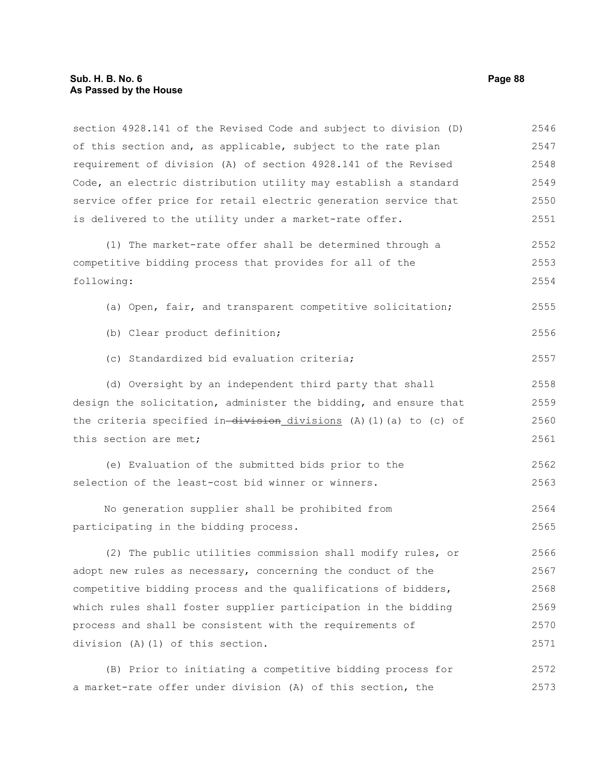section 4928.141 of the Revised Code and subject to division (D) of this section and, as applicable, subject to the rate plan requirement of division (A) of section 4928.141 of the Revised Code, an electric distribution utility may establish a standard service offer price for retail electric generation service that is delivered to the utility under a market-rate offer. 2546 2547 2548 2549 2550 2551

(1) The market-rate offer shall be determined through a competitive bidding process that provides for all of the following: 2552 2553 2554

(a) Open, fair, and transparent competitive solicitation; 2555

```
(b) Clear product definition;
```
(c) Standardized bid evaluation criteria;

(d) Oversight by an independent third party that shall design the solicitation, administer the bidding, and ensure that the criteria specified in-division divisions (A)(1)(a) to (c) of this section are met; 2558 2559 2560 2561

(e) Evaluation of the submitted bids prior to the selection of the least-cost bid winner or winners. 2562 2563

No generation supplier shall be prohibited from participating in the bidding process. 2564 2565

(2) The public utilities commission shall modify rules, or adopt new rules as necessary, concerning the conduct of the competitive bidding process and the qualifications of bidders, which rules shall foster supplier participation in the bidding process and shall be consistent with the requirements of division (A)(1) of this section. 2566 2567 2568 2569 2570 2571

(B) Prior to initiating a competitive bidding process for a market-rate offer under division (A) of this section, the 2572 2573

2556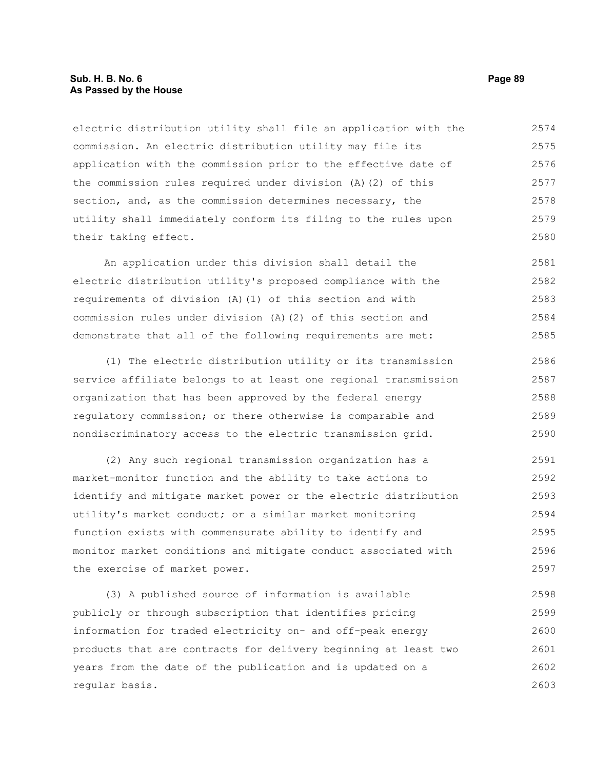## **Sub. H. B. No. 6 Page 89 As Passed by the House**

electric distribution utility shall file an application with the commission. An electric distribution utility may file its application with the commission prior to the effective date of the commission rules required under division (A)(2) of this section, and, as the commission determines necessary, the utility shall immediately conform its filing to the rules upon their taking effect. 2574 2575 2576 2577 2578 2579 2580

An application under this division shall detail the electric distribution utility's proposed compliance with the requirements of division (A)(1) of this section and with commission rules under division (A)(2) of this section and demonstrate that all of the following requirements are met: 2581 2582 2583 2584 2585

(1) The electric distribution utility or its transmission service affiliate belongs to at least one regional transmission organization that has been approved by the federal energy regulatory commission; or there otherwise is comparable and nondiscriminatory access to the electric transmission grid. 2586 2587 2588 2589 2590

(2) Any such regional transmission organization has a market-monitor function and the ability to take actions to identify and mitigate market power or the electric distribution utility's market conduct; or a similar market monitoring function exists with commensurate ability to identify and monitor market conditions and mitigate conduct associated with the exercise of market power. 2591 2592 2593 2594 2595 2596 2597

(3) A published source of information is available publicly or through subscription that identifies pricing information for traded electricity on- and off-peak energy products that are contracts for delivery beginning at least two years from the date of the publication and is updated on a regular basis. 2598 2599 2600 2601 2602 2603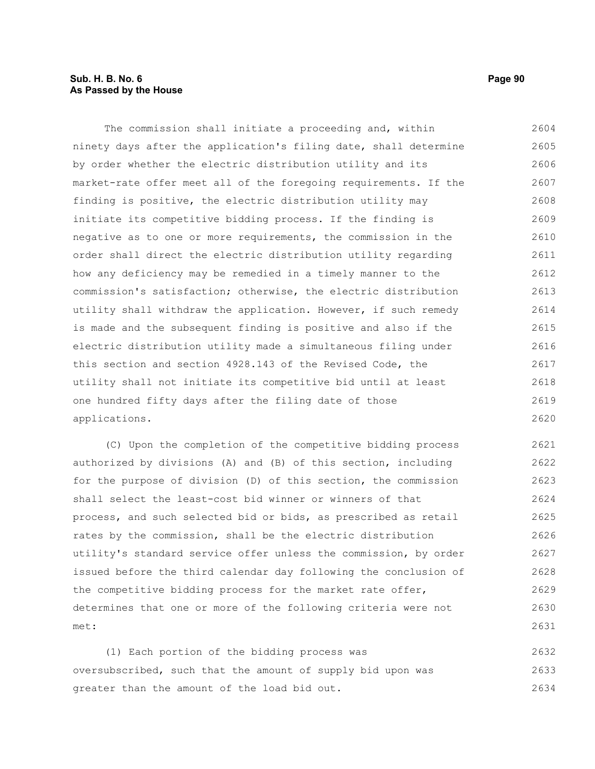# **Sub. H. B. No. 6 Page 90 As Passed by the House**

The commission shall initiate a proceeding and, within ninety days after the application's filing date, shall determine by order whether the electric distribution utility and its market-rate offer meet all of the foregoing requirements. If the finding is positive, the electric distribution utility may initiate its competitive bidding process. If the finding is negative as to one or more requirements, the commission in the order shall direct the electric distribution utility regarding how any deficiency may be remedied in a timely manner to the commission's satisfaction; otherwise, the electric distribution utility shall withdraw the application. However, if such remedy is made and the subsequent finding is positive and also if the electric distribution utility made a simultaneous filing under this section and section 4928.143 of the Revised Code, the utility shall not initiate its competitive bid until at least one hundred fifty days after the filing date of those applications. 2604 2605 2606 2607 2608 2609 2610 2611 2612 2613 2614 2615 2616 2617 2618 2619 2620

(C) Upon the completion of the competitive bidding process authorized by divisions (A) and (B) of this section, including for the purpose of division (D) of this section, the commission shall select the least-cost bid winner or winners of that process, and such selected bid or bids, as prescribed as retail rates by the commission, shall be the electric distribution utility's standard service offer unless the commission, by order issued before the third calendar day following the conclusion of the competitive bidding process for the market rate offer, determines that one or more of the following criteria were not met: 2621 2622 2623 2624 2625 2626 2627 2628 2629 2630 2631

(1) Each portion of the bidding process was oversubscribed, such that the amount of supply bid upon was greater than the amount of the load bid out. 2632 2633 2634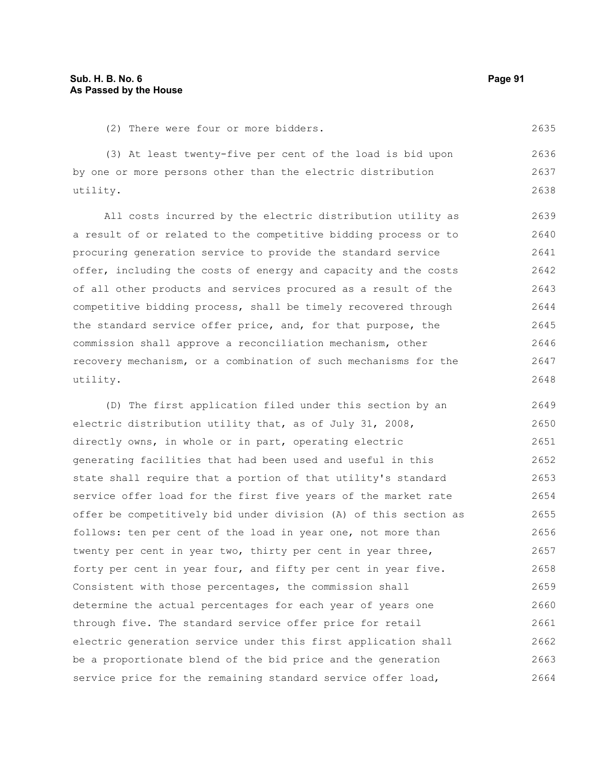(2) There were four or more bidders.

(3) At least twenty-five per cent of the load is bid upon by one or more persons other than the electric distribution utility. 2636 2637 2638

All costs incurred by the electric distribution utility as a result of or related to the competitive bidding process or to procuring generation service to provide the standard service offer, including the costs of energy and capacity and the costs of all other products and services procured as a result of the competitive bidding process, shall be timely recovered through the standard service offer price, and, for that purpose, the commission shall approve a reconciliation mechanism, other recovery mechanism, or a combination of such mechanisms for the utility. 2639 2640 2641 2642 2643 2644 2645 2646 2647 2648

(D) The first application filed under this section by an electric distribution utility that, as of July 31, 2008, directly owns, in whole or in part, operating electric generating facilities that had been used and useful in this state shall require that a portion of that utility's standard service offer load for the first five years of the market rate offer be competitively bid under division (A) of this section as follows: ten per cent of the load in year one, not more than twenty per cent in year two, thirty per cent in year three, forty per cent in year four, and fifty per cent in year five. Consistent with those percentages, the commission shall determine the actual percentages for each year of years one through five. The standard service offer price for retail electric generation service under this first application shall be a proportionate blend of the bid price and the generation service price for the remaining standard service offer load, 2649 2650 2651 2652 2653 2654 2655 2656 2657 2658 2659 2660 2661 2662 2663 2664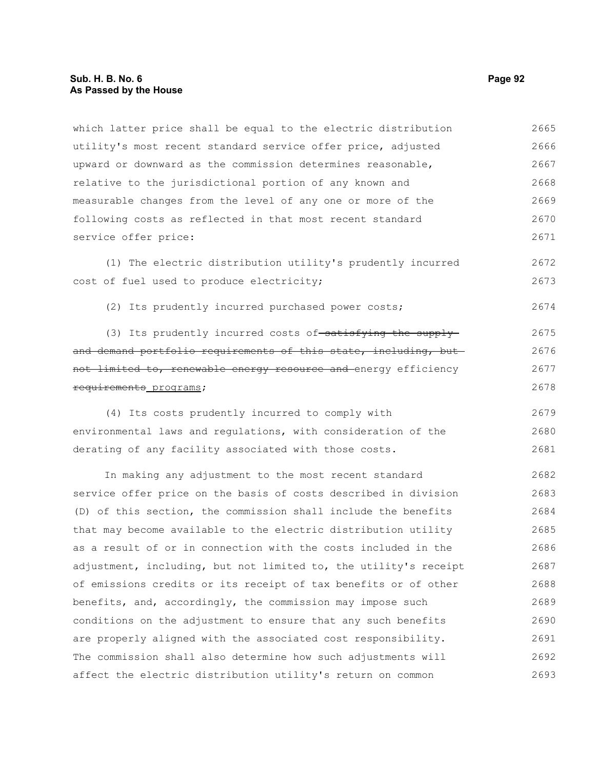which latter price shall be equal to the electric distribution utility's most recent standard service offer price, adjusted upward or downward as the commission determines reasonable, relative to the jurisdictional portion of any known and measurable changes from the level of any one or more of the following costs as reflected in that most recent standard service offer price: 2665 2666 2667 2668 2669 2670 2671

(1) The electric distribution utility's prudently incurred cost of fuel used to produce electricity; 2672 2673

(2) Its prudently incurred purchased power costs;

(3) Its prudently incurred costs of satisfying the supplyand demand portfolio requirements of this state, including, butnot limited to, renewable energy resource and energy efficiency requirements programs; 2675 2676 2677 2678

(4) Its costs prudently incurred to comply with environmental laws and regulations, with consideration of the derating of any facility associated with those costs. 2679 2680 2681

In making any adjustment to the most recent standard service offer price on the basis of costs described in division (D) of this section, the commission shall include the benefits that may become available to the electric distribution utility as a result of or in connection with the costs included in the adjustment, including, but not limited to, the utility's receipt of emissions credits or its receipt of tax benefits or of other benefits, and, accordingly, the commission may impose such conditions on the adjustment to ensure that any such benefits are properly aligned with the associated cost responsibility. The commission shall also determine how such adjustments will affect the electric distribution utility's return on common 2682 2683 2684 2685 2686 2687 2688 2689 2690 2691 2692 2693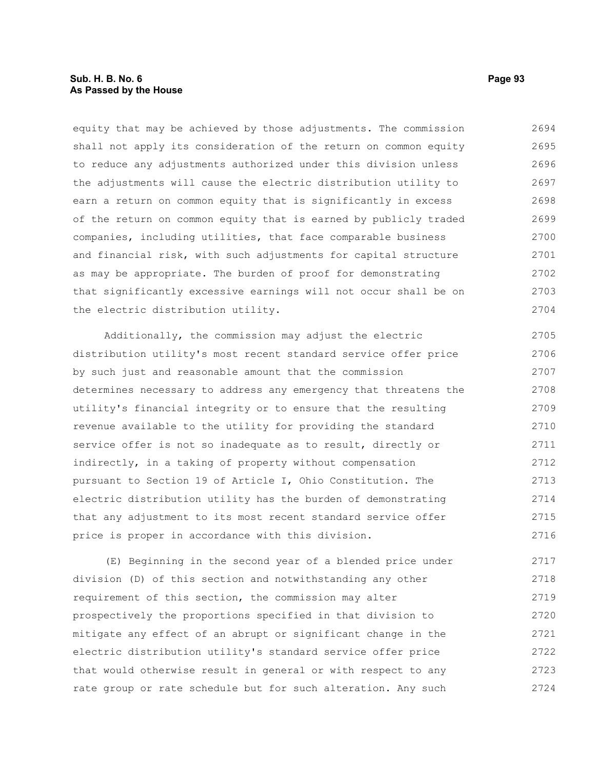# **Sub. H. B. No. 6 Page 93 As Passed by the House**

equity that may be achieved by those adjustments. The commission shall not apply its consideration of the return on common equity to reduce any adjustments authorized under this division unless the adjustments will cause the electric distribution utility to earn a return on common equity that is significantly in excess of the return on common equity that is earned by publicly traded companies, including utilities, that face comparable business and financial risk, with such adjustments for capital structure as may be appropriate. The burden of proof for demonstrating that significantly excessive earnings will not occur shall be on the electric distribution utility. 2694 2695 2696 2697 2698 2699 2700 2701 2702 2703 2704

Additionally, the commission may adjust the electric distribution utility's most recent standard service offer price by such just and reasonable amount that the commission determines necessary to address any emergency that threatens the utility's financial integrity or to ensure that the resulting revenue available to the utility for providing the standard service offer is not so inadequate as to result, directly or indirectly, in a taking of property without compensation pursuant to Section 19 of Article I, Ohio Constitution. The electric distribution utility has the burden of demonstrating that any adjustment to its most recent standard service offer price is proper in accordance with this division. 2705 2706 2707 2708 2709 2710 2711 2712 2713 2714 2715 2716

(E) Beginning in the second year of a blended price under division (D) of this section and notwithstanding any other requirement of this section, the commission may alter prospectively the proportions specified in that division to mitigate any effect of an abrupt or significant change in the electric distribution utility's standard service offer price that would otherwise result in general or with respect to any rate group or rate schedule but for such alteration. Any such 2717 2718 2719 2720 2721 2722 2723 2724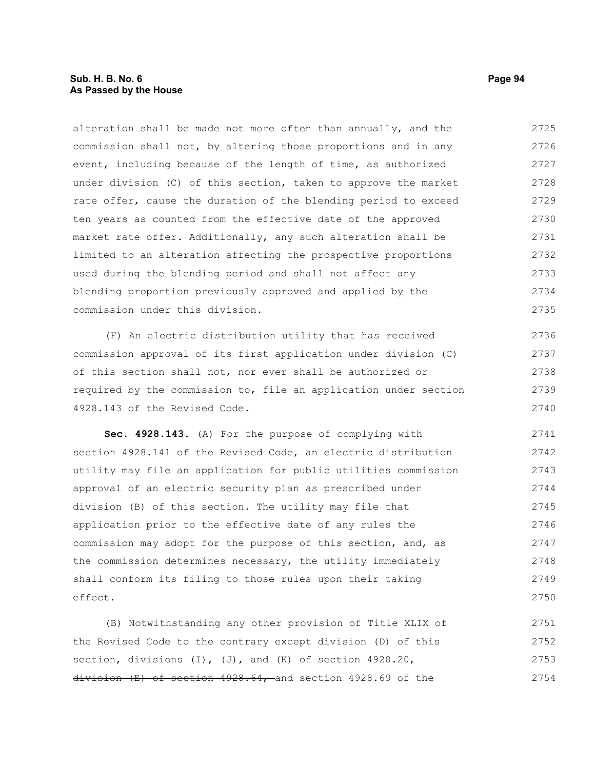# **Sub. H. B. No. 6 Page 94 As Passed by the House**

alteration shall be made not more often than annually, and the commission shall not, by altering those proportions and in any event, including because of the length of time, as authorized under division (C) of this section, taken to approve the market rate offer, cause the duration of the blending period to exceed ten years as counted from the effective date of the approved market rate offer. Additionally, any such alteration shall be limited to an alteration affecting the prospective proportions used during the blending period and shall not affect any blending proportion previously approved and applied by the commission under this division. 2725 2726 2727 2728 2729 2730 2731 2732 2733 2734 2735

(F) An electric distribution utility that has received commission approval of its first application under division (C) of this section shall not, nor ever shall be authorized or required by the commission to, file an application under section 4928.143 of the Revised Code.

**Sec. 4928.143.** (A) For the purpose of complying with section 4928.141 of the Revised Code, an electric distribution utility may file an application for public utilities commission approval of an electric security plan as prescribed under division (B) of this section. The utility may file that application prior to the effective date of any rules the commission may adopt for the purpose of this section, and, as the commission determines necessary, the utility immediately shall conform its filing to those rules upon their taking effect. 2741 2742 2743 2744 2745 2746 2747 2748 2749 2750

(B) Notwithstanding any other provision of Title XLIX of the Revised Code to the contrary except division (D) of this section, divisions (I), (J), and (K) of section 4928.20, division (E) of section 4928.64, and section 4928.69 of the 2751 2752 2753 2754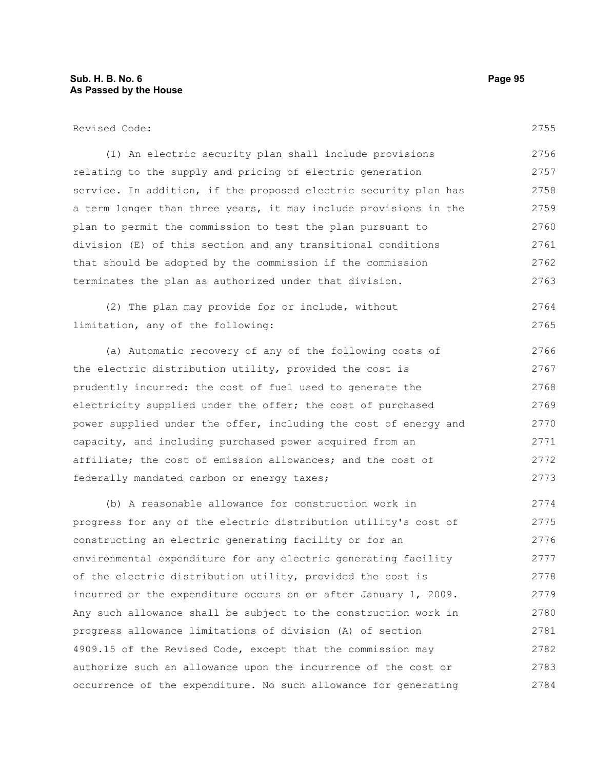| Revised Code:                                                    | 2755 |
|------------------------------------------------------------------|------|
| (1) An electric security plan shall include provisions           | 2756 |
| relating to the supply and pricing of electric generation        | 2757 |
| service. In addition, if the proposed electric security plan has | 2758 |
| a term longer than three years, it may include provisions in the | 2759 |
| plan to permit the commission to test the plan pursuant to       | 2760 |
| division (E) of this section and any transitional conditions     | 2761 |
| that should be adopted by the commission if the commission       | 2762 |
| terminates the plan as authorized under that division.           | 2763 |
| (2) The plan may provide for or include, without                 | 2764 |
| limitation, any of the following:                                | 2765 |
| (a) Automatic recovery of any of the following costs of          | 2766 |
| the electric distribution utility, provided the cost is          | 2767 |
| prudently incurred: the cost of fuel used to generate the        | 2768 |
| electricity supplied under the offer; the cost of purchased      | 2769 |
| power supplied under the offer, including the cost of energy and | 2770 |
| capacity, and including purchased power acquired from an         | 2771 |
| affiliate; the cost of emission allowances; and the cost of      | 2772 |
| federally mandated carbon or energy taxes;                       | 2773 |
| (b) A reasonable allowance for construction work in              | 2774 |
| progress for any of the electric distribution utility's cost of  | 2775 |
| constructing an electric generating facility or for an           | 2776 |
| environmental expenditure for any electric generating facility   | 2777 |
| of the electric distribution utility, provided the cost is       | 2778 |
| incurred or the expenditure occurs on or after January 1, 2009.  | 2779 |
| Any such allowance shall be subject to the construction work in  | 2780 |
| progress allowance limitations of division (A) of section        | 2781 |
| 4909.15 of the Revised Code, except that the commission may      | 2782 |
| authorize such an allowance upon the incurrence of the cost or   | 2783 |
| occurrence of the expenditure. No such allowance for generating  | 2784 |
|                                                                  |      |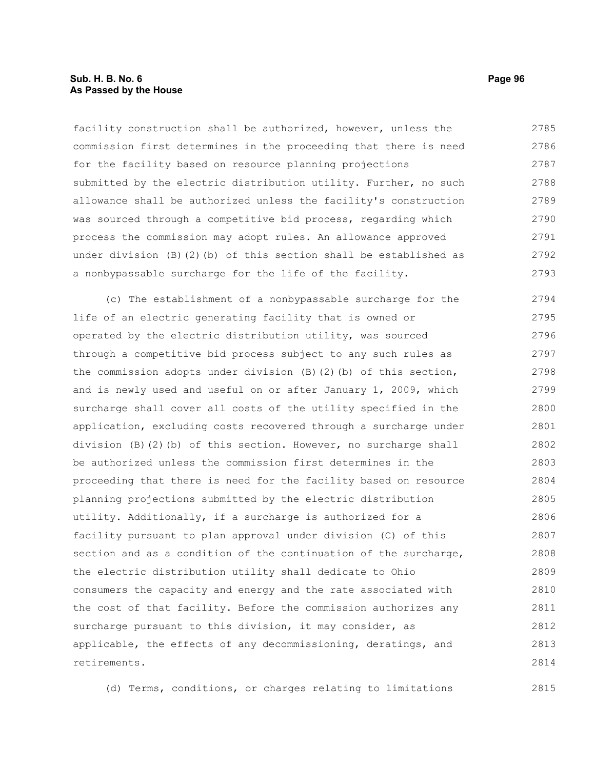## **Sub. H. B. No. 6 Page 96 As Passed by the House**

facility construction shall be authorized, however, unless the commission first determines in the proceeding that there is need for the facility based on resource planning projections submitted by the electric distribution utility. Further, no such allowance shall be authorized unless the facility's construction was sourced through a competitive bid process, regarding which process the commission may adopt rules. An allowance approved under division (B)(2)(b) of this section shall be established as a nonbypassable surcharge for the life of the facility. 2785 2786 2787 2788 2789 2790 2791 2792 2793

(c) The establishment of a nonbypassable surcharge for the life of an electric generating facility that is owned or operated by the electric distribution utility, was sourced through a competitive bid process subject to any such rules as the commission adopts under division (B)(2)(b) of this section, and is newly used and useful on or after January 1, 2009, which surcharge shall cover all costs of the utility specified in the application, excluding costs recovered through a surcharge under division (B)(2)(b) of this section. However, no surcharge shall be authorized unless the commission first determines in the proceeding that there is need for the facility based on resource planning projections submitted by the electric distribution utility. Additionally, if a surcharge is authorized for a facility pursuant to plan approval under division (C) of this section and as a condition of the continuation of the surcharge, the electric distribution utility shall dedicate to Ohio consumers the capacity and energy and the rate associated with the cost of that facility. Before the commission authorizes any surcharge pursuant to this division, it may consider, as applicable, the effects of any decommissioning, deratings, and retirements. 2794 2795 2796 2797 2798 2799 2800 2801 2802 2803 2804 2805 2806 2807 2808 2809 2810 2811 2812 2813 2814

(d) Terms, conditions, or charges relating to limitations 2815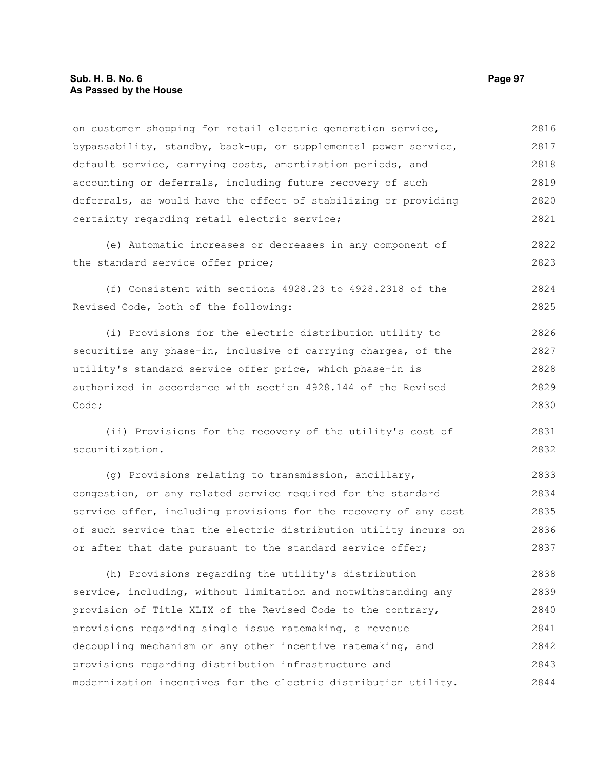on customer shopping for retail electric generation service, bypassability, standby, back-up, or supplemental power service, default service, carrying costs, amortization periods, and accounting or deferrals, including future recovery of such deferrals, as would have the effect of stabilizing or providing certainty regarding retail electric service; 2816 2817 2818 2819 2820 2821

(e) Automatic increases or decreases in any component of the standard service offer price;

(f) Consistent with sections 4928.23 to 4928.2318 of the Revised Code, both of the following:

(i) Provisions for the electric distribution utility to securitize any phase-in, inclusive of carrying charges, of the utility's standard service offer price, which phase-in is authorized in accordance with section 4928.144 of the Revised Code; 2826 2827 2828 2829 2830

(ii) Provisions for the recovery of the utility's cost of securitization. 2831 2832

(g) Provisions relating to transmission, ancillary, congestion, or any related service required for the standard service offer, including provisions for the recovery of any cost of such service that the electric distribution utility incurs on or after that date pursuant to the standard service offer; 2833 2834 2835 2836 2837

(h) Provisions regarding the utility's distribution service, including, without limitation and notwithstanding any provision of Title XLIX of the Revised Code to the contrary, provisions regarding single issue ratemaking, a revenue decoupling mechanism or any other incentive ratemaking, and provisions regarding distribution infrastructure and modernization incentives for the electric distribution utility. 2838 2839 2840 2841 2842 2843 2844

2822 2823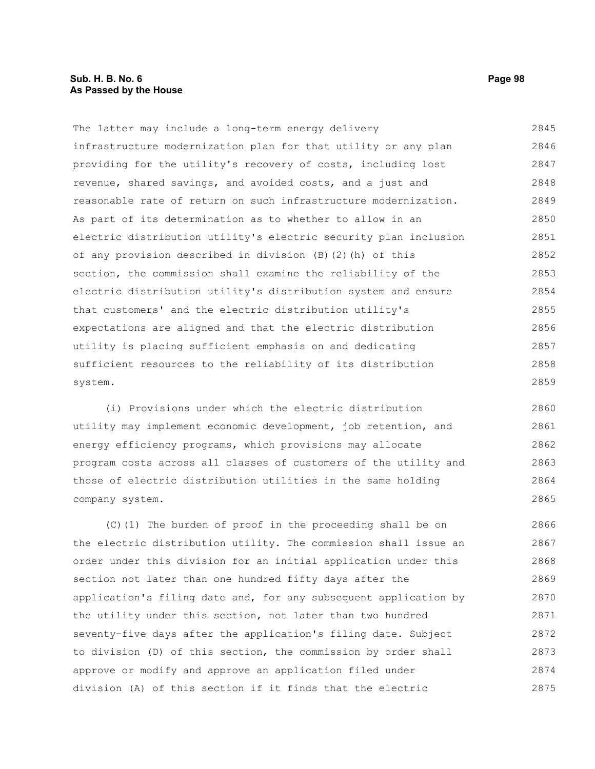The latter may include a long-term energy delivery infrastructure modernization plan for that utility or any plan providing for the utility's recovery of costs, including lost revenue, shared savings, and avoided costs, and a just and reasonable rate of return on such infrastructure modernization. As part of its determination as to whether to allow in an electric distribution utility's electric security plan inclusion of any provision described in division (B)(2)(h) of this section, the commission shall examine the reliability of the electric distribution utility's distribution system and ensure that customers' and the electric distribution utility's expectations are aligned and that the electric distribution utility is placing sufficient emphasis on and dedicating sufficient resources to the reliability of its distribution system. 2845 2846 2847 2848 2849 2850 2851 2852 2853 2854 2855 2856 2857 2858 2859

(i) Provisions under which the electric distribution utility may implement economic development, job retention, and energy efficiency programs, which provisions may allocate program costs across all classes of customers of the utility and those of electric distribution utilities in the same holding company system. 2860 2861 2862 2863 2864 2865

(C)(1) The burden of proof in the proceeding shall be on the electric distribution utility. The commission shall issue an order under this division for an initial application under this section not later than one hundred fifty days after the application's filing date and, for any subsequent application by the utility under this section, not later than two hundred seventy-five days after the application's filing date. Subject to division (D) of this section, the commission by order shall approve or modify and approve an application filed under division (A) of this section if it finds that the electric 2866 2867 2868 2869 2870 2871 2872 2873 2874 2875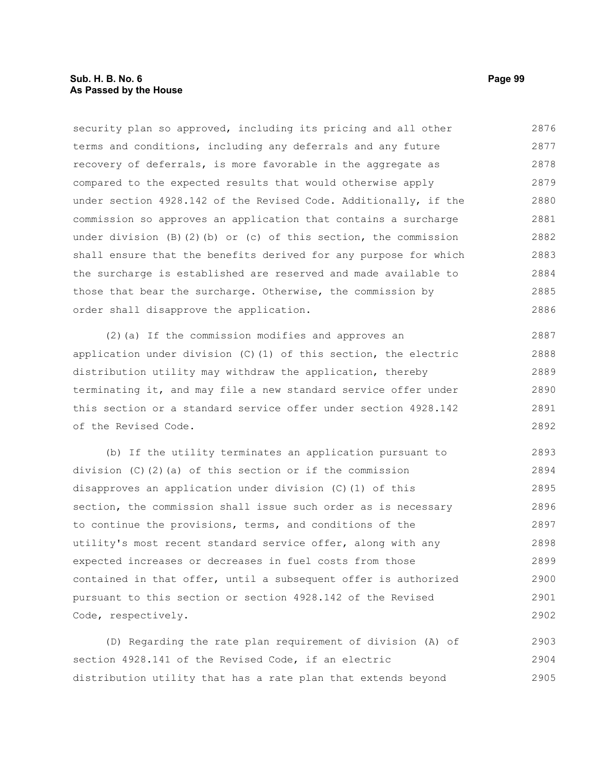security plan so approved, including its pricing and all other terms and conditions, including any deferrals and any future recovery of deferrals, is more favorable in the aggregate as compared to the expected results that would otherwise apply under section 4928.142 of the Revised Code. Additionally, if the commission so approves an application that contains a surcharge under division (B)(2)(b) or (c) of this section, the commission shall ensure that the benefits derived for any purpose for which the surcharge is established are reserved and made available to those that bear the surcharge. Otherwise, the commission by order shall disapprove the application. 2876 2877 2878 2879 2880 2881 2882 2883 2884 2885 2886

(2)(a) If the commission modifies and approves an application under division (C)(1) of this section, the electric distribution utility may withdraw the application, thereby terminating it, and may file a new standard service offer under this section or a standard service offer under section 4928.142 of the Revised Code.

(b) If the utility terminates an application pursuant to division  $(C)$   $(2)$   $(a)$  of this section or if the commission disapproves an application under division (C)(1) of this section, the commission shall issue such order as is necessary to continue the provisions, terms, and conditions of the utility's most recent standard service offer, along with any expected increases or decreases in fuel costs from those contained in that offer, until a subsequent offer is authorized pursuant to this section or section 4928.142 of the Revised Code, respectively. 2893 2894 2895 2896 2897 2898 2899 2900 2901 2902

(D) Regarding the rate plan requirement of division (A) of section 4928.141 of the Revised Code, if an electric distribution utility that has a rate plan that extends beyond 2903 2904 2905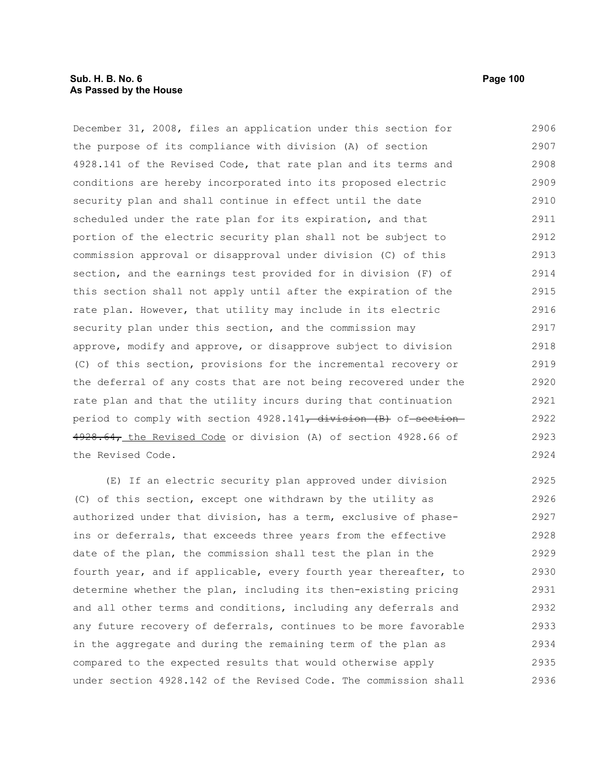# **Sub. H. B. No. 6 Page 100 As Passed by the House**

December 31, 2008, files an application under this section for the purpose of its compliance with division (A) of section 4928.141 of the Revised Code, that rate plan and its terms and conditions are hereby incorporated into its proposed electric security plan and shall continue in effect until the date scheduled under the rate plan for its expiration, and that portion of the electric security plan shall not be subject to commission approval or disapproval under division (C) of this section, and the earnings test provided for in division (F) of this section shall not apply until after the expiration of the rate plan. However, that utility may include in its electric security plan under this section, and the commission may approve, modify and approve, or disapprove subject to division (C) of this section, provisions for the incremental recovery or the deferral of any costs that are not being recovered under the rate plan and that the utility incurs during that continuation period to comply with section  $4928.141$ , division (B) of section 4928.64, the Revised Code or division (A) of section 4928.66 of the Revised Code. 2906 2907 2908 2909 2910 2911 2912 2913 2914 2915 2916 2917 2918 2919 2920 2921 2922 2923 2924

(E) If an electric security plan approved under division (C) of this section, except one withdrawn by the utility as authorized under that division, has a term, exclusive of phaseins or deferrals, that exceeds three years from the effective date of the plan, the commission shall test the plan in the fourth year, and if applicable, every fourth year thereafter, to determine whether the plan, including its then-existing pricing and all other terms and conditions, including any deferrals and any future recovery of deferrals, continues to be more favorable in the aggregate and during the remaining term of the plan as compared to the expected results that would otherwise apply under section 4928.142 of the Revised Code. The commission shall 2925 2926 2927 2928 2929 2930 2931 2932 2933 2934 2935 2936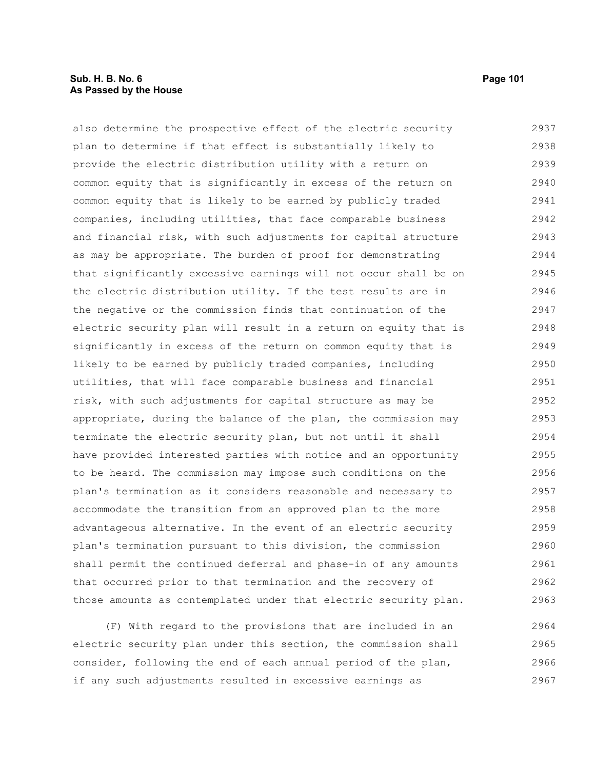### **Sub. H. B. No. 6 Page 101 As Passed by the House**

also determine the prospective effect of the electric security plan to determine if that effect is substantially likely to provide the electric distribution utility with a return on common equity that is significantly in excess of the return on common equity that is likely to be earned by publicly traded companies, including utilities, that face comparable business and financial risk, with such adjustments for capital structure as may be appropriate. The burden of proof for demonstrating that significantly excessive earnings will not occur shall be on the electric distribution utility. If the test results are in the negative or the commission finds that continuation of the electric security plan will result in a return on equity that is significantly in excess of the return on common equity that is likely to be earned by publicly traded companies, including utilities, that will face comparable business and financial risk, with such adjustments for capital structure as may be appropriate, during the balance of the plan, the commission may terminate the electric security plan, but not until it shall have provided interested parties with notice and an opportunity to be heard. The commission may impose such conditions on the plan's termination as it considers reasonable and necessary to accommodate the transition from an approved plan to the more advantageous alternative. In the event of an electric security plan's termination pursuant to this division, the commission shall permit the continued deferral and phase-in of any amounts that occurred prior to that termination and the recovery of those amounts as contemplated under that electric security plan. 2937 2938 2939 2940 2941 2942 2943 2944 2945 2946 2947 2948 2949 2950 2951 2952 2953 2954 2955 2956 2957 2958 2959 2960 2961 2962 2963

(F) With regard to the provisions that are included in an electric security plan under this section, the commission shall consider, following the end of each annual period of the plan, if any such adjustments resulted in excessive earnings as 2964 2965 2966 2967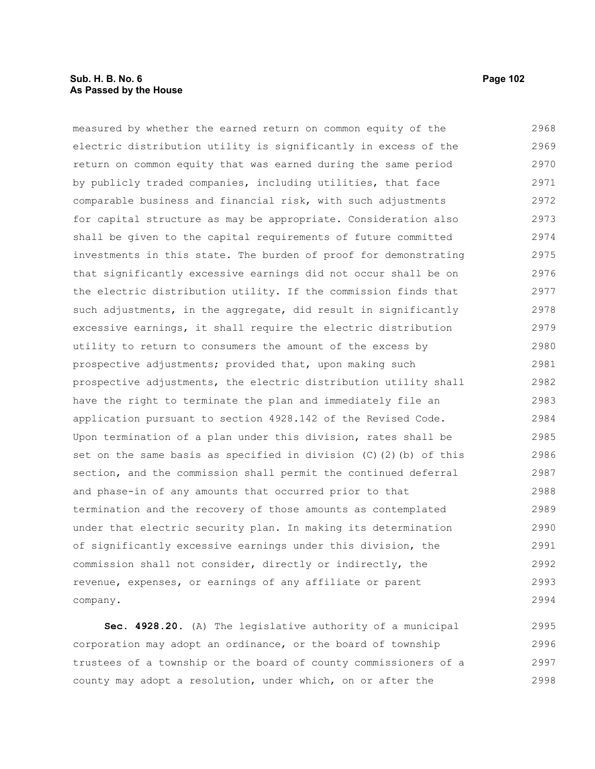## **Sub. H. B. No. 6 Page 102 As Passed by the House**

measured by whether the earned return on common equity of the electric distribution utility is significantly in excess of the return on common equity that was earned during the same period by publicly traded companies, including utilities, that face comparable business and financial risk, with such adjustments for capital structure as may be appropriate. Consideration also shall be given to the capital requirements of future committed investments in this state. The burden of proof for demonstrating that significantly excessive earnings did not occur shall be on the electric distribution utility. If the commission finds that such adjustments, in the aggregate, did result in significantly excessive earnings, it shall require the electric distribution utility to return to consumers the amount of the excess by prospective adjustments; provided that, upon making such prospective adjustments, the electric distribution utility shall have the right to terminate the plan and immediately file an application pursuant to section 4928.142 of the Revised Code. Upon termination of a plan under this division, rates shall be set on the same basis as specified in division  $(C)$   $(2)$   $(b)$  of this section, and the commission shall permit the continued deferral and phase-in of any amounts that occurred prior to that termination and the recovery of those amounts as contemplated under that electric security plan. In making its determination of significantly excessive earnings under this division, the commission shall not consider, directly or indirectly, the revenue, expenses, or earnings of any affiliate or parent company. 2968 2969 2970 2971 2972 2973 2974 2975 2976 2977 2978 2979 2980 2981 2982 2983 2984 2985 2986 2987 2988 2989 2990 2991 2992 2993 2994

**Sec. 4928.20.** (A) The legislative authority of a municipal corporation may adopt an ordinance, or the board of township trustees of a township or the board of county commissioners of a county may adopt a resolution, under which, on or after the 2995 2996 2997 2998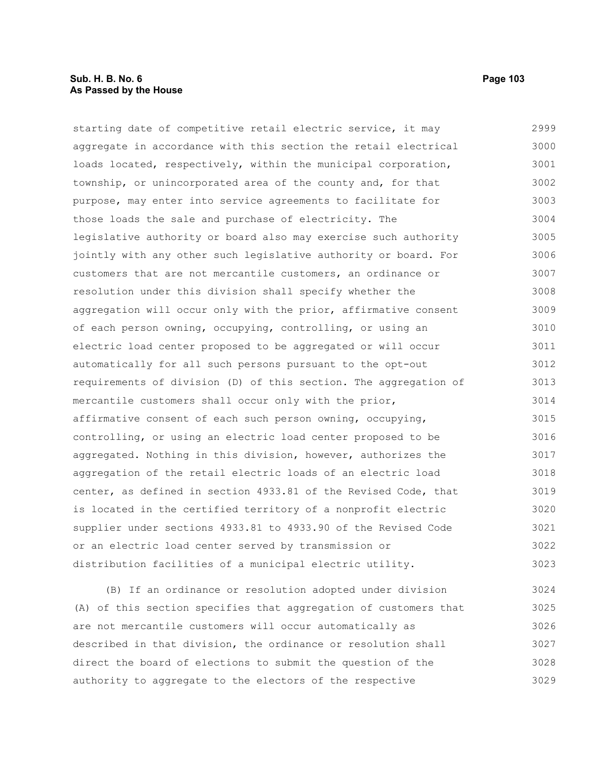### **Sub. H. B. No. 6 Page 103 As Passed by the House**

starting date of competitive retail electric service, it may aggregate in accordance with this section the retail electrical loads located, respectively, within the municipal corporation, township, or unincorporated area of the county and, for that purpose, may enter into service agreements to facilitate for those loads the sale and purchase of electricity. The legislative authority or board also may exercise such authority jointly with any other such legislative authority or board. For customers that are not mercantile customers, an ordinance or resolution under this division shall specify whether the aggregation will occur only with the prior, affirmative consent of each person owning, occupying, controlling, or using an electric load center proposed to be aggregated or will occur automatically for all such persons pursuant to the opt-out requirements of division (D) of this section. The aggregation of mercantile customers shall occur only with the prior, affirmative consent of each such person owning, occupying, controlling, or using an electric load center proposed to be aggregated. Nothing in this division, however, authorizes the aggregation of the retail electric loads of an electric load center, as defined in section 4933.81 of the Revised Code, that is located in the certified territory of a nonprofit electric supplier under sections 4933.81 to 4933.90 of the Revised Code or an electric load center served by transmission or distribution facilities of a municipal electric utility. 2999 3000 3001 3002 3003 3004 3005 3006 3007 3008 3009 3010 3011 3012 3013 3014 3015 3016 3017 3018 3019 3020 3021 3022 3023

(B) If an ordinance or resolution adopted under division (A) of this section specifies that aggregation of customers that are not mercantile customers will occur automatically as described in that division, the ordinance or resolution shall direct the board of elections to submit the question of the authority to aggregate to the electors of the respective 3024 3025 3026 3027 3028 3029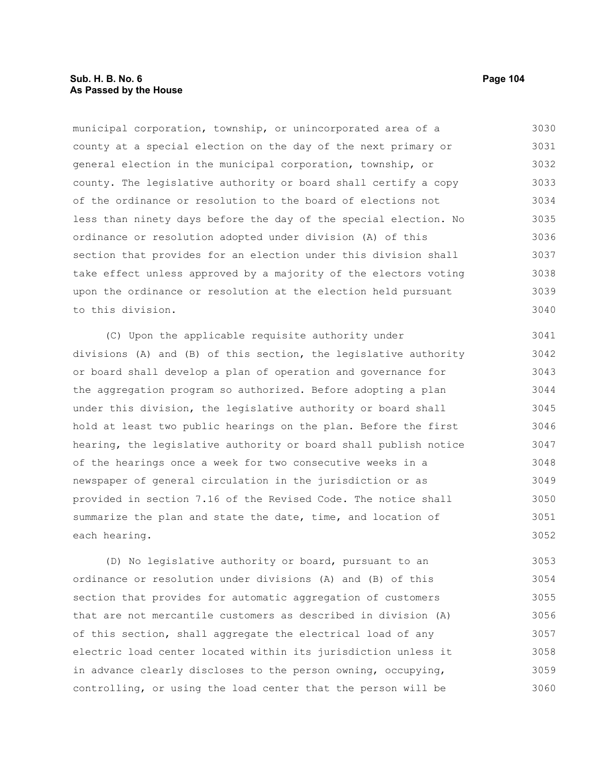# **Sub. H. B. No. 6 Page 104 As Passed by the House**

municipal corporation, township, or unincorporated area of a county at a special election on the day of the next primary or general election in the municipal corporation, township, or county. The legislative authority or board shall certify a copy of the ordinance or resolution to the board of elections not less than ninety days before the day of the special election. No ordinance or resolution adopted under division (A) of this section that provides for an election under this division shall take effect unless approved by a majority of the electors voting upon the ordinance or resolution at the election held pursuant to this division. 3030 3031 3032 3033 3034 3035 3036 3037 3038 3039 3040

(C) Upon the applicable requisite authority under divisions (A) and (B) of this section, the legislative authority or board shall develop a plan of operation and governance for the aggregation program so authorized. Before adopting a plan under this division, the legislative authority or board shall hold at least two public hearings on the plan. Before the first hearing, the legislative authority or board shall publish notice of the hearings once a week for two consecutive weeks in a newspaper of general circulation in the jurisdiction or as provided in section 7.16 of the Revised Code. The notice shall summarize the plan and state the date, time, and location of each hearing. 3041 3042 3043 3044 3045 3046 3047 3048 3049 3050 3051 3052

(D) No legislative authority or board, pursuant to an ordinance or resolution under divisions (A) and (B) of this section that provides for automatic aggregation of customers that are not mercantile customers as described in division (A) of this section, shall aggregate the electrical load of any electric load center located within its jurisdiction unless it in advance clearly discloses to the person owning, occupying, controlling, or using the load center that the person will be 3053 3054 3055 3056 3057 3058 3059 3060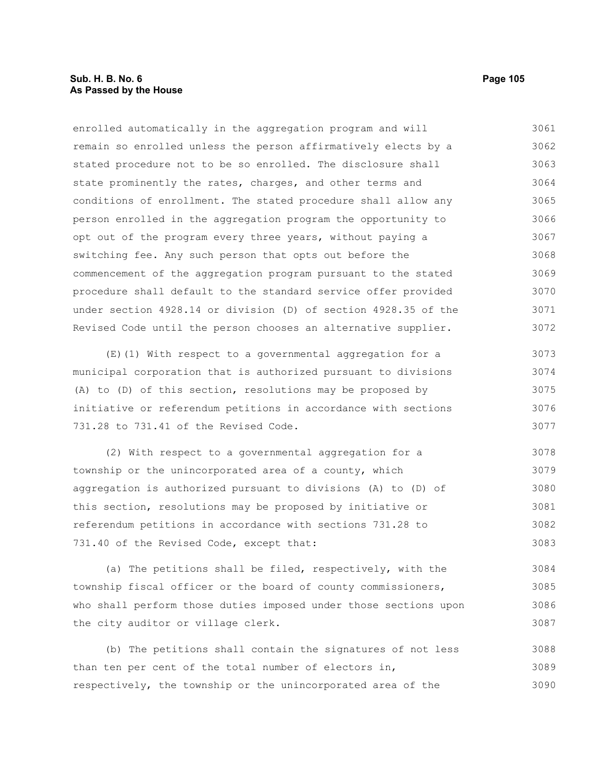enrolled automatically in the aggregation program and will remain so enrolled unless the person affirmatively elects by a stated procedure not to be so enrolled. The disclosure shall state prominently the rates, charges, and other terms and conditions of enrollment. The stated procedure shall allow any person enrolled in the aggregation program the opportunity to opt out of the program every three years, without paying a switching fee. Any such person that opts out before the commencement of the aggregation program pursuant to the stated procedure shall default to the standard service offer provided under section 4928.14 or division (D) of section 4928.35 of the Revised Code until the person chooses an alternative supplier. 3061 3062 3063 3064 3065 3066 3067 3068 3069 3070 3071 3072

(E)(1) With respect to a governmental aggregation for a municipal corporation that is authorized pursuant to divisions (A) to (D) of this section, resolutions may be proposed by initiative or referendum petitions in accordance with sections 731.28 to 731.41 of the Revised Code. 3073 3074 3075 3076 3077

(2) With respect to a governmental aggregation for a township or the unincorporated area of a county, which aggregation is authorized pursuant to divisions (A) to (D) of this section, resolutions may be proposed by initiative or referendum petitions in accordance with sections 731.28 to 731.40 of the Revised Code, except that: 3078 3079 3080 3081 3082 3083

(a) The petitions shall be filed, respectively, with the township fiscal officer or the board of county commissioners, who shall perform those duties imposed under those sections upon the city auditor or village clerk. 3084 3085 3086 3087

(b) The petitions shall contain the signatures of not less than ten per cent of the total number of electors in, respectively, the township or the unincorporated area of the 3088 3089 3090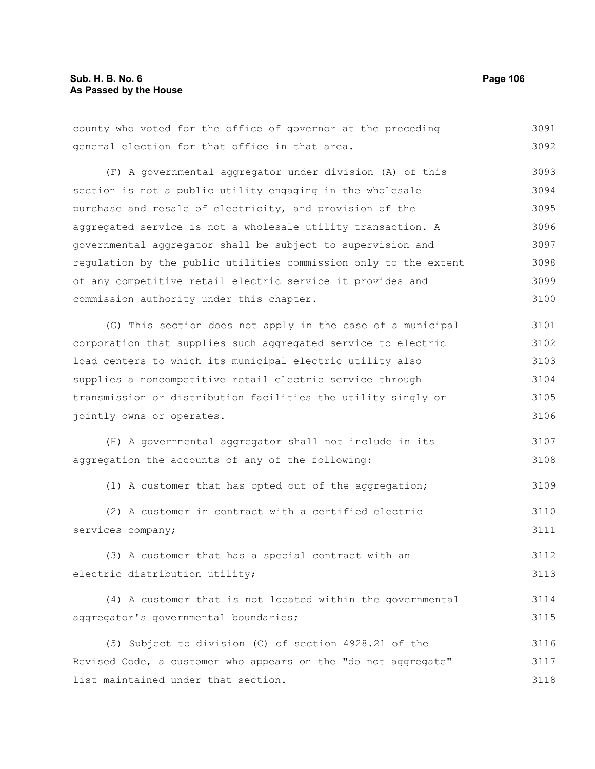3091

| general election for that office in that area.                   | 3092 |
|------------------------------------------------------------------|------|
| (F) A governmental aggregator under division (A) of this         | 3093 |
| section is not a public utility engaging in the wholesale        | 3094 |
| purchase and resale of electricity, and provision of the         | 3095 |
| aggregated service is not a wholesale utility transaction. A     | 3096 |
| governmental aggregator shall be subject to supervision and      | 3097 |
| regulation by the public utilities commission only to the extent | 3098 |
| of any competitive retail electric service it provides and       | 3099 |
| commission authority under this chapter.                         | 3100 |
| (G) This section does not apply in the case of a municipal       | 3101 |
| corporation that supplies such aggregated service to electric    | 3102 |
| load centers to which its municipal electric utility also        | 3103 |
| supplies a noncompetitive retail electric service through        | 3104 |
| transmission or distribution facilities the utility singly or    | 3105 |
| jointly owns or operates.                                        | 3106 |
| (H) A governmental aggregator shall not include in its           | 3107 |
| aggregation the accounts of any of the following:                | 3108 |
| (1) A customer that has opted out of the aggregation;            | 3109 |
| (2) A customer in contract with a certified electric             | 3110 |
| services company;                                                | 3111 |
| (3) A customer that has a special contract with an               | 3112 |
| electric distribution utility;                                   | 3113 |
| (4) A customer that is not located within the governmental       | 3114 |
| aggregator's governmental boundaries;                            | 3115 |
| (5) Subject to division (C) of section 4928.21 of the            | 3116 |
| Revised Code, a customer who appears on the "do not aggregate"   | 3117 |
| list maintained under that section.                              | 3118 |

county who voted for the office of governor at the preceding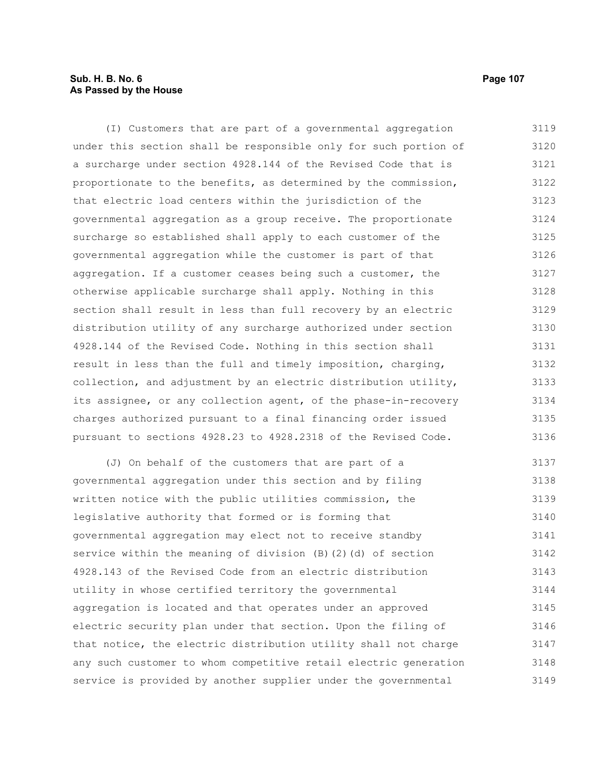# **Sub. H. B. No. 6 Page 107 As Passed by the House**

(I) Customers that are part of a governmental aggregation under this section shall be responsible only for such portion of a surcharge under section 4928.144 of the Revised Code that is proportionate to the benefits, as determined by the commission, that electric load centers within the jurisdiction of the governmental aggregation as a group receive. The proportionate surcharge so established shall apply to each customer of the governmental aggregation while the customer is part of that aggregation. If a customer ceases being such a customer, the otherwise applicable surcharge shall apply. Nothing in this section shall result in less than full recovery by an electric distribution utility of any surcharge authorized under section 4928.144 of the Revised Code. Nothing in this section shall result in less than the full and timely imposition, charging, collection, and adjustment by an electric distribution utility, its assignee, or any collection agent, of the phase-in-recovery charges authorized pursuant to a final financing order issued pursuant to sections 4928.23 to 4928.2318 of the Revised Code. 3119 3120 3121 3122 3123 3124 3125 3126 3127 3128 3129 3130 3131 3132 3133 3134 3135 3136

(J) On behalf of the customers that are part of a governmental aggregation under this section and by filing written notice with the public utilities commission, the legislative authority that formed or is forming that governmental aggregation may elect not to receive standby service within the meaning of division (B)(2)(d) of section 4928.143 of the Revised Code from an electric distribution utility in whose certified territory the governmental aggregation is located and that operates under an approved electric security plan under that section. Upon the filing of that notice, the electric distribution utility shall not charge any such customer to whom competitive retail electric generation service is provided by another supplier under the governmental 3137 3138 3139 3140 3141 3142 3143 3144 3145 3146 3147 3148 3149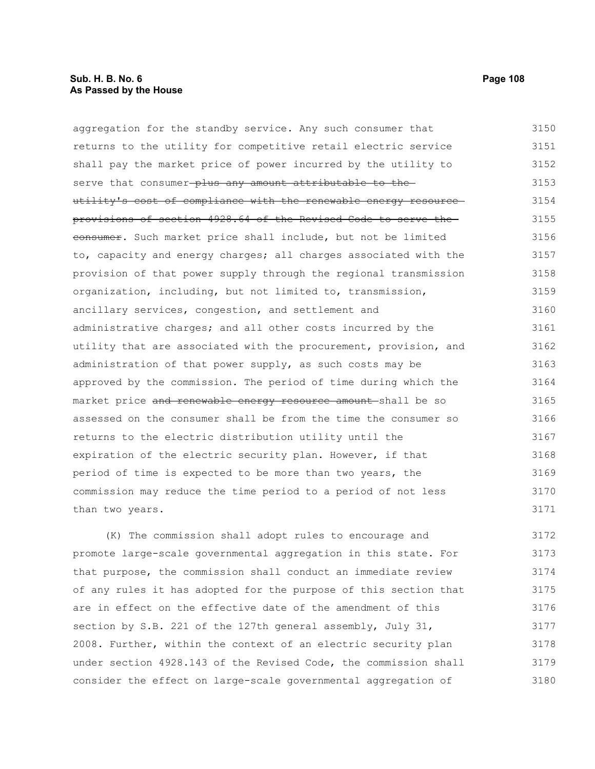| aggregation for the standby service. Any such consumer that      | 3150 |
|------------------------------------------------------------------|------|
| returns to the utility for competitive retail electric service   | 3151 |
| shall pay the market price of power incurred by the utility to   | 3152 |
| serve that consumer-plus any amount attributable to the-         | 3153 |
| utility's cost of compliance with the renewable energy resource- | 3154 |
| provisions of section 4928.64 of the Revised Code to serve the   | 3155 |
| consumer. Such market price shall include, but not be limited    | 3156 |
| to, capacity and energy charges; all charges associated with the | 3157 |
| provision of that power supply through the regional transmission | 3158 |
| organization, including, but not limited to, transmission,       | 3159 |
| ancillary services, congestion, and settlement and               | 3160 |
| administrative charges; and all other costs incurred by the      | 3161 |
| utility that are associated with the procurement, provision, and | 3162 |
| administration of that power supply, as such costs may be        | 3163 |
| approved by the commission. The period of time during which the  | 3164 |
| market price and renewable energy resource amount-shall be so    | 3165 |
| assessed on the consumer shall be from the time the consumer so  | 3166 |
| returns to the electric distribution utility until the           | 3167 |
| expiration of the electric security plan. However, if that       | 3168 |
| period of time is expected to be more than two years, the        | 3169 |
| commission may reduce the time period to a period of not less    | 3170 |
| than two years.                                                  | 3171 |

(K) The commission shall adopt rules to encourage and promote large-scale governmental aggregation in this state. For that purpose, the commission shall conduct an immediate review of any rules it has adopted for the purpose of this section that are in effect on the effective date of the amendment of this section by S.B. 221 of the 127th general assembly, July 31, 2008. Further, within the context of an electric security plan under section 4928.143 of the Revised Code, the commission shall consider the effect on large-scale governmental aggregation of 3172 3173 3174 3175 3176 3177 3178 3179 3180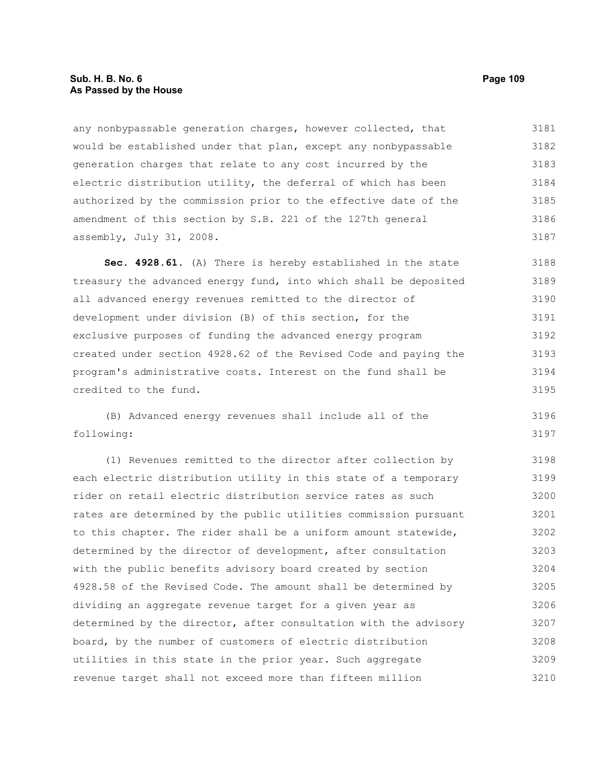## **Sub. H. B. No. 6 Page 109 As Passed by the House**

any nonbypassable generation charges, however collected, that would be established under that plan, except any nonbypassable generation charges that relate to any cost incurred by the electric distribution utility, the deferral of which has been authorized by the commission prior to the effective date of the amendment of this section by S.B. 221 of the 127th general assembly, July 31, 2008. 3181 3182 3183 3184 3185 3186 3187

**Sec. 4928.61.** (A) There is hereby established in the state treasury the advanced energy fund, into which shall be deposited all advanced energy revenues remitted to the director of development under division (B) of this section, for the exclusive purposes of funding the advanced energy program created under section 4928.62 of the Revised Code and paying the program's administrative costs. Interest on the fund shall be credited to the fund. 3188 3189 3190 3191 3192 3193 3194 3195

(B) Advanced energy revenues shall include all of the following: 3196 3197

(1) Revenues remitted to the director after collection by each electric distribution utility in this state of a temporary rider on retail electric distribution service rates as such rates are determined by the public utilities commission pursuant to this chapter. The rider shall be a uniform amount statewide, determined by the director of development, after consultation with the public benefits advisory board created by section 4928.58 of the Revised Code. The amount shall be determined by dividing an aggregate revenue target for a given year as determined by the director, after consultation with the advisory board, by the number of customers of electric distribution utilities in this state in the prior year. Such aggregate revenue target shall not exceed more than fifteen million 3198 3199 3200 3201 3202 3203 3204 3205 3206 3207 3208 3209 3210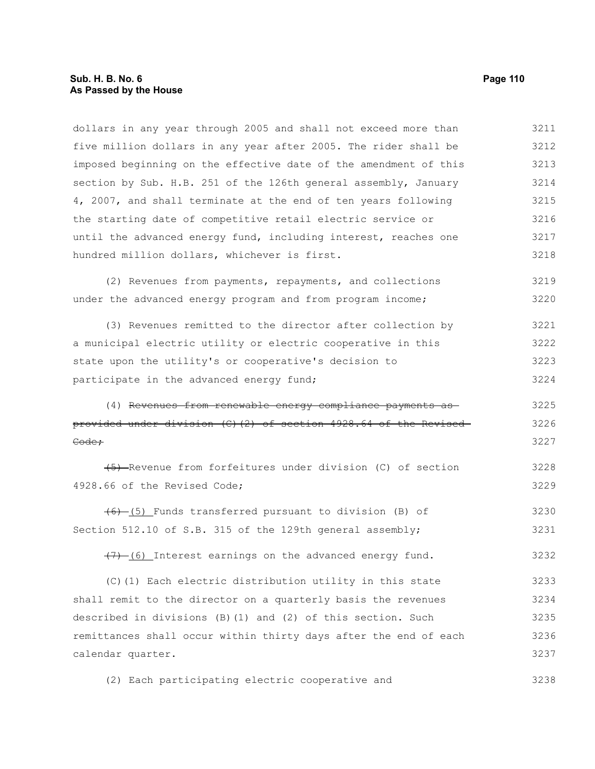## **Sub. H. B. No. 6 Page 110 As Passed by the House**

dollars in any year through 2005 and shall not exceed more than five million dollars in any year after 2005. The rider shall be imposed beginning on the effective date of the amendment of this section by Sub. H.B. 251 of the 126th general assembly, January 4, 2007, and shall terminate at the end of ten years following the starting date of competitive retail electric service or until the advanced energy fund, including interest, reaches one hundred million dollars, whichever is first. 3211 3212 3213 3214 3215 3216 3217 3218

(2) Revenues from payments, repayments, and collections under the advanced energy program and from program income; 3219 3220

(3) Revenues remitted to the director after collection by a municipal electric utility or electric cooperative in this state upon the utility's or cooperative's decision to participate in the advanced energy fund; 3221 3222 3223 3224

(4) Revenues from renewable energy compliance payments as provided under division (C)(2) of section 4928.64 of the Revised Code; 3225 3226 3227

(5) Revenue from forfeitures under division (C) of section 4928.66 of the Revised Code; 3228 3229

(6) (5) Funds transferred pursuant to division (B) of Section 512.10 of S.B. 315 of the 129th general assembly; 3230 3231

(7) (6) Interest earnings on the advanced energy fund. 3232

(C)(1) Each electric distribution utility in this state shall remit to the director on a quarterly basis the revenues described in divisions (B)(1) and (2) of this section. Such remittances shall occur within thirty days after the end of each calendar quarter. 3233 3234 3235 3236 3237

(2) Each participating electric cooperative and 3238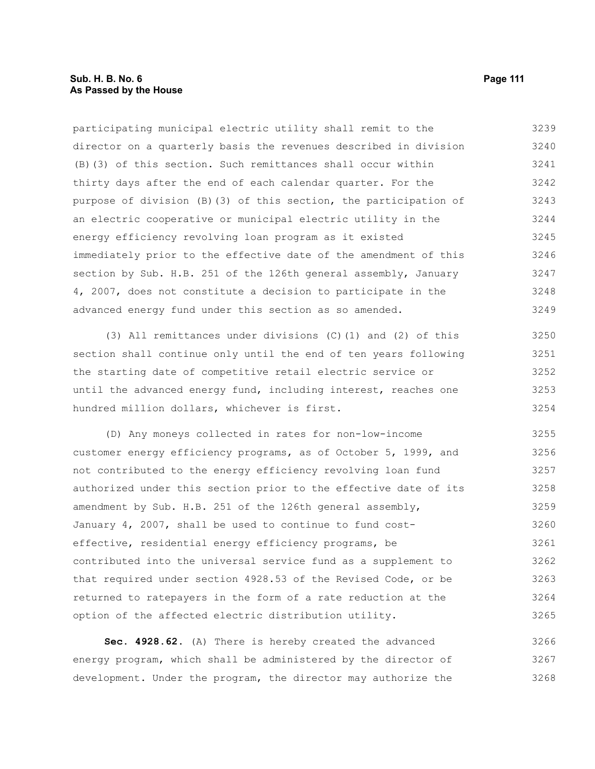participating municipal electric utility shall remit to the director on a quarterly basis the revenues described in division (B)(3) of this section. Such remittances shall occur within thirty days after the end of each calendar quarter. For the purpose of division (B)(3) of this section, the participation of an electric cooperative or municipal electric utility in the energy efficiency revolving loan program as it existed immediately prior to the effective date of the amendment of this section by Sub. H.B. 251 of the 126th general assembly, January 4, 2007, does not constitute a decision to participate in the advanced energy fund under this section as so amended. 3239 3240 3241 3242 3243 3244 3245 3246 3247 3248 3249

(3) All remittances under divisions (C)(1) and (2) of this section shall continue only until the end of ten years following the starting date of competitive retail electric service or until the advanced energy fund, including interest, reaches one hundred million dollars, whichever is first. 3250 3251 3252 3253 3254

(D) Any moneys collected in rates for non-low-income customer energy efficiency programs, as of October 5, 1999, and not contributed to the energy efficiency revolving loan fund authorized under this section prior to the effective date of its amendment by Sub. H.B. 251 of the 126th general assembly, January 4, 2007, shall be used to continue to fund costeffective, residential energy efficiency programs, be contributed into the universal service fund as a supplement to that required under section 4928.53 of the Revised Code, or be returned to ratepayers in the form of a rate reduction at the option of the affected electric distribution utility. 3255 3256 3257 3258 3259 3260 3261 3262 3263 3264 3265

**Sec. 4928.62.** (A) There is hereby created the advanced energy program, which shall be administered by the director of development. Under the program, the director may authorize the 3266 3267 3268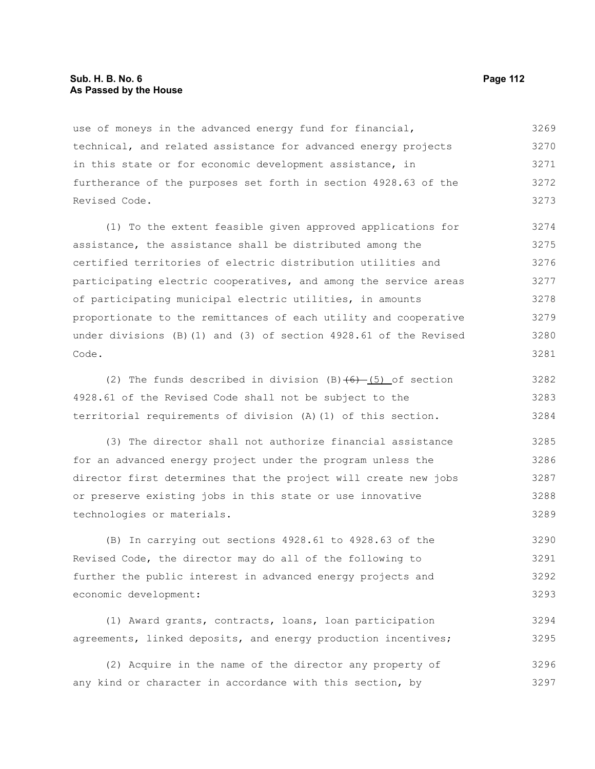## **Sub. H. B. No. 6 Page 112 As Passed by the House**

use of moneys in the advanced energy fund for financial, technical, and related assistance for advanced energy projects in this state or for economic development assistance, in furtherance of the purposes set forth in section 4928.63 of the Revised Code. 3269 3270 3271 3272 3273

(1) To the extent feasible given approved applications for assistance, the assistance shall be distributed among the certified territories of electric distribution utilities and participating electric cooperatives, and among the service areas of participating municipal electric utilities, in amounts proportionate to the remittances of each utility and cooperative under divisions (B)(1) and (3) of section 4928.61 of the Revised Code. 3274 3275 3276 3277 3278 3279 3280 3281

(2) The funds described in division  $(B)$   $(6)$   $(5)$  of section 4928.61 of the Revised Code shall not be subject to the territorial requirements of division (A)(1) of this section. 3282 3283 3284

(3) The director shall not authorize financial assistance for an advanced energy project under the program unless the director first determines that the project will create new jobs or preserve existing jobs in this state or use innovative technologies or materials. 3285 3286 3287 3288 3289

(B) In carrying out sections 4928.61 to 4928.63 of the Revised Code, the director may do all of the following to further the public interest in advanced energy projects and economic development: 3290 3291 3292 3293

(1) Award grants, contracts, loans, loan participation agreements, linked deposits, and energy production incentives; 3294 3295

(2) Acquire in the name of the director any property of any kind or character in accordance with this section, by 3296 3297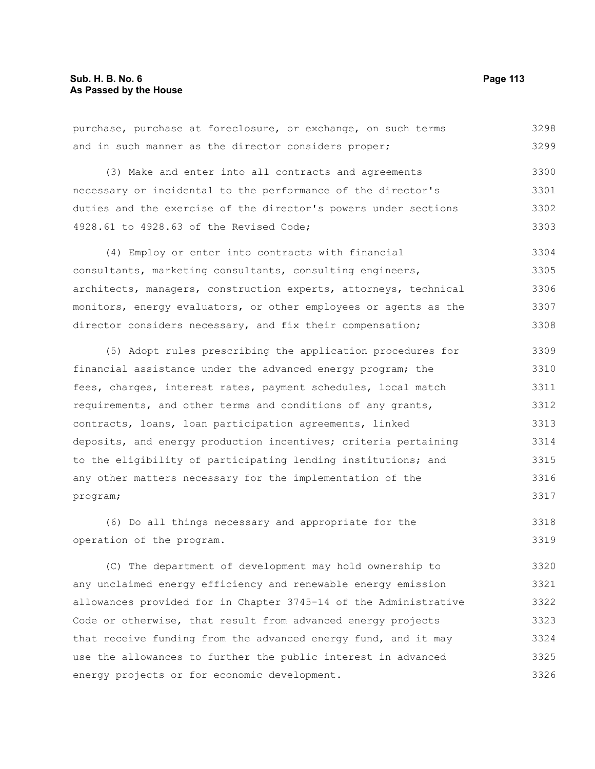purchase, purchase at foreclosure, or exchange, on such terms and in such manner as the director considers proper; (3) Make and enter into all contracts and agreements necessary or incidental to the performance of the director's duties and the exercise of the director's powers under sections 4928.61 to 4928.63 of the Revised Code; (4) Employ or enter into contracts with financial consultants, marketing consultants, consulting engineers, architects, managers, construction experts, attorneys, technical monitors, energy evaluators, or other employees or agents as the director considers necessary, and fix their compensation; (5) Adopt rules prescribing the application procedures for financial assistance under the advanced energy program; the fees, charges, interest rates, payment schedules, local match requirements, and other terms and conditions of any grants, contracts, loans, loan participation agreements, linked deposits, and energy production incentives; criteria pertaining to the eligibility of participating lending institutions; and any other matters necessary for the implementation of the program; (6) Do all things necessary and appropriate for the operation of the program. 3298 3299 3300 3301 3302 3303 3304 3305 3306 3307 3308 3309 3310 3311 3312 3313 3314 3315 3316 3317 3318 3319

(C) The department of development may hold ownership to any unclaimed energy efficiency and renewable energy emission allowances provided for in Chapter 3745-14 of the Administrative Code or otherwise, that result from advanced energy projects that receive funding from the advanced energy fund, and it may use the allowances to further the public interest in advanced energy projects or for economic development. 3320 3321 3322 3323 3324 3325 3326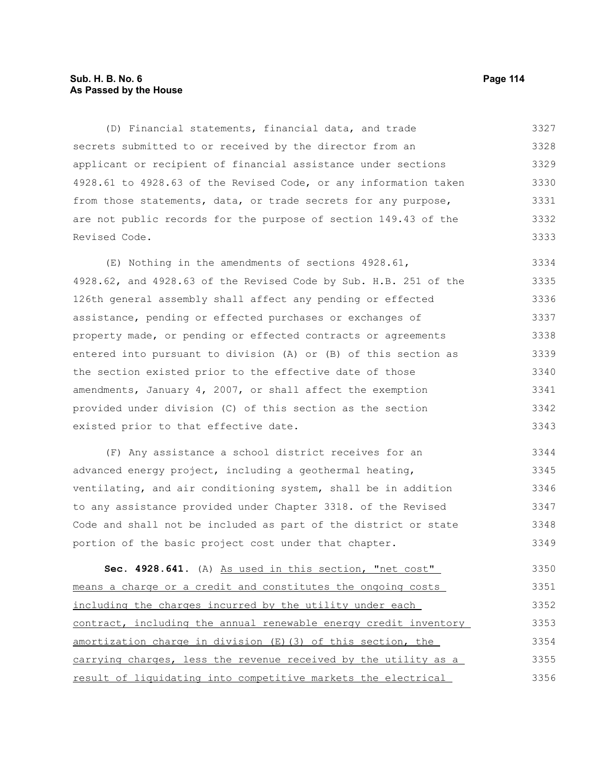# **Sub. H. B. No. 6 Page 114 As Passed by the House**

(D) Financial statements, financial data, and trade secrets submitted to or received by the director from an applicant or recipient of financial assistance under sections 4928.61 to 4928.63 of the Revised Code, or any information taken from those statements, data, or trade secrets for any purpose, are not public records for the purpose of section 149.43 of the Revised Code. 3327 3328 3329 3330 3331 3332 3333

(E) Nothing in the amendments of sections 4928.61, 4928.62, and 4928.63 of the Revised Code by Sub. H.B. 251 of the 126th general assembly shall affect any pending or effected assistance, pending or effected purchases or exchanges of property made, or pending or effected contracts or agreements entered into pursuant to division (A) or (B) of this section as the section existed prior to the effective date of those amendments, January 4, 2007, or shall affect the exemption provided under division (C) of this section as the section existed prior to that effective date. 3334 3335 3336 3337 3338 3339 3340 3341 3342 3343

(F) Any assistance a school district receives for an advanced energy project, including a geothermal heating, ventilating, and air conditioning system, shall be in addition to any assistance provided under Chapter 3318. of the Revised Code and shall not be included as part of the district or state portion of the basic project cost under that chapter. 3344 3345 3346 3347 3348 3349

**Sec. 4928.641.** (A) As used in this section, "net cost" means a charge or a credit and constitutes the ongoing costs including the charges incurred by the utility under each contract, including the annual renewable energy credit inventory amortization charge in division (E)(3) of this section, the carrying charges, less the revenue received by the utility as a result of liquidating into competitive markets the electrical 3350 3351 3352 3353 3354 3355 3356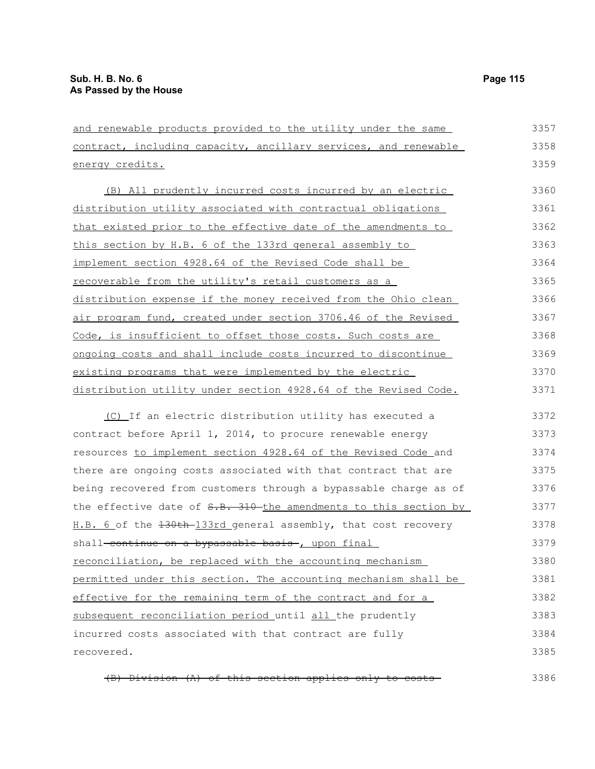and renewable products provided to the utility under the same contract, including capacity, ancillary services, and renewable energy credits. (B) All prudently incurred costs incurred by an electric distribution utility associated with contractual obligations that existed prior to the effective date of the amendments to this section by H.B. 6 of the 133rd general assembly to implement section 4928.64 of the Revised Code shall be recoverable from the utility's retail customers as a distribution expense if the money received from the Ohio clean air program fund, created under section 3706.46 of the Revised Code, is insufficient to offset those costs. Such costs are ongoing costs and shall include costs incurred to discontinue existing programs that were implemented by the electric distribution utility under section 4928.64 of the Revised Code. (C) If an electric distribution utility has executed a contract before April 1, 2014, to procure renewable energy resources to implement section 4928.64 of the Revised Code and 3357 3358 3359 3360 3361 3362 3363 3364 3365 3366 3367 3368 3369 3370 3371 3372 3373 3374

there are ongoing costs associated with that contract that are being recovered from customers through a bypassable charge as of the effective date of  $S-B.$  310 the amendments to this section by H.B. 6 of the  $130th-133rd$  general assembly, that cost recovery shall-continue on a bypassable basis-, upon final reconciliation, be replaced with the accounting mechanism permitted under this section. The accounting mechanism shall be effective for the remaining term of the contract and for a subsequent reconciliation period until all the prudently incurred costs associated with that contract are fully recovered. 3375 3376 3377 3378 3379 3380 3381 3382 3383 3384 3385

(B) Division (A) of this section applies only to costs 3386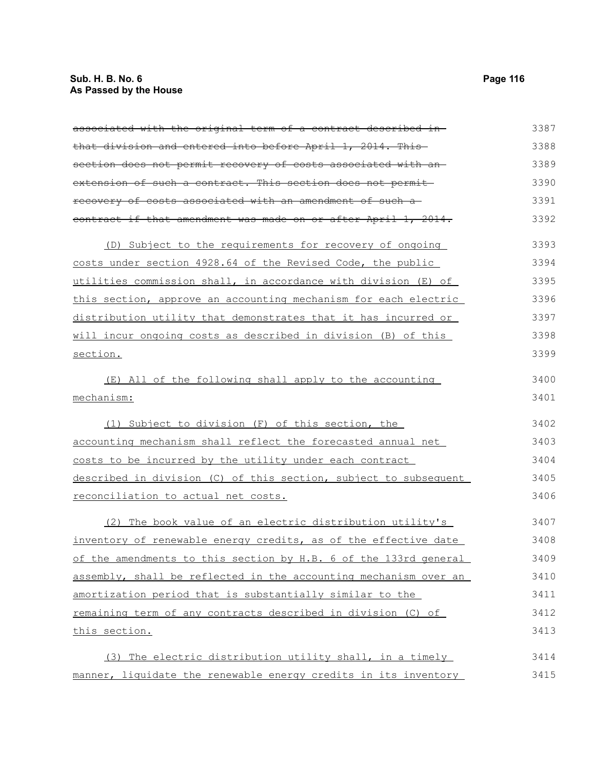## **Sub. H. B. No. 6 Page 116 As Passed by the House**

associated with the original term of a contract described in that division and entered into before April 1, 2014. This section does not permit recovery of costs associated with an extension of such a contract. This section does not permitrecovery of costs associated with an amendment of such a contract if that amendment was made on or after April 1, 2014. (D) Subject to the requirements for recovery of ongoing costs under section 4928.64 of the Revised Code, the public utilities commission shall, in accordance with division (E) of this section, approve an accounting mechanism for each electric distribution utility that demonstrates that it has incurred or will incur ongoing costs as described in division (B) of this section. (E) All of the following shall apply to the accounting mechanism: (1) Subject to division (F) of this section, the accounting mechanism shall reflect the forecasted annual net costs to be incurred by the utility under each contract described in division (C) of this section, subject to subsequent reconciliation to actual net costs. (2) The book value of an electric distribution utility's inventory of renewable energy credits, as of the effective date of the amendments to this section by H.B. 6 of the 133rd general assembly, shall be reflected in the accounting mechanism over an amortization period that is substantially similar to the remaining term of any contracts described in division (C) of this section. (3) The electric distribution utility shall, in a timely manner, liquidate the renewable energy credits in its inventory 3387 3388 3389 3390 3391 3392 3393 3394 3395 3396 3397 3398 3399 3400 3401 3402 3403 3404 3405 3406 3407 3408 3409 3410 3411 3412 3413 3414 3415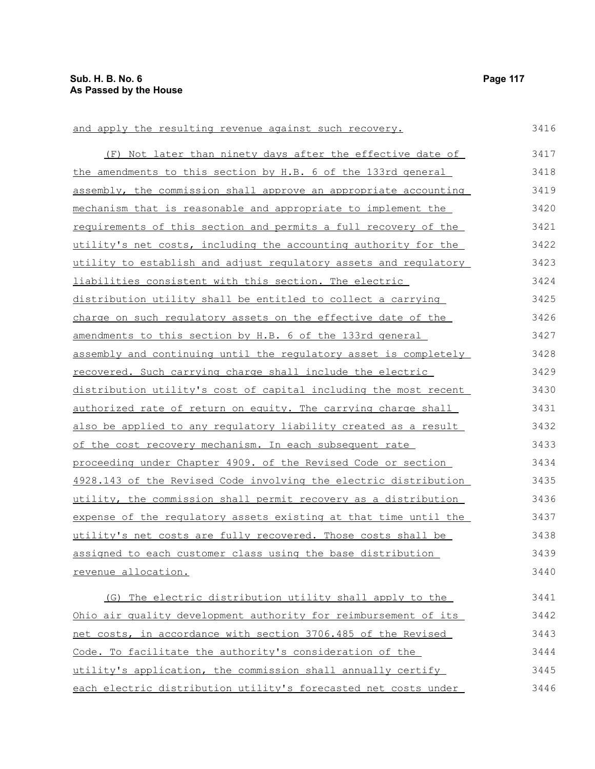and apply the resulting revenue against such recovery. (F) Not later than ninety days after the effective date of the amendments to this section by H.B. 6 of the 133rd general assembly, the commission shall approve an appropriate accounting mechanism that is reasonable and appropriate to implement the requirements of this section and permits a full recovery of the utility's net costs, including the accounting authority for the utility to establish and adjust regulatory assets and regulatory liabilities consistent with this section. The electric distribution utility shall be entitled to collect a carrying charge on such regulatory assets on the effective date of the amendments to this section by H.B. 6 of the 133rd general assembly and continuing until the regulatory asset is completely recovered. Such carrying charge shall include the electric 3416 3417 3418 3419 3420 3421 3422 3423 3424 3425 3426 3427 3428 3429

distribution utility's cost of capital including the most recent authorized rate of return on equity. The carrying charge shall also be applied to any regulatory liability created as a result of the cost recovery mechanism. In each subsequent rate proceeding under Chapter 4909. of the Revised Code or section 4928.143 of the Revised Code involving the electric distribution utility, the commission shall permit recovery as a distribution expense of the regulatory assets existing at that time until the utility's net costs are fully recovered. Those costs shall be assigned to each customer class using the base distribution revenue allocation. 3430 3431 3432 3433 3434 3435 3436 3437 3438 3439 3440

(G) The electric distribution utility shall apply to the Ohio air quality development authority for reimbursement of its net costs, in accordance with section 3706.485 of the Revised Code. To facilitate the authority's consideration of the utility's application, the commission shall annually certify each electric distribution utility's forecasted net costs under 3441 3442 3443 3444 3445 3446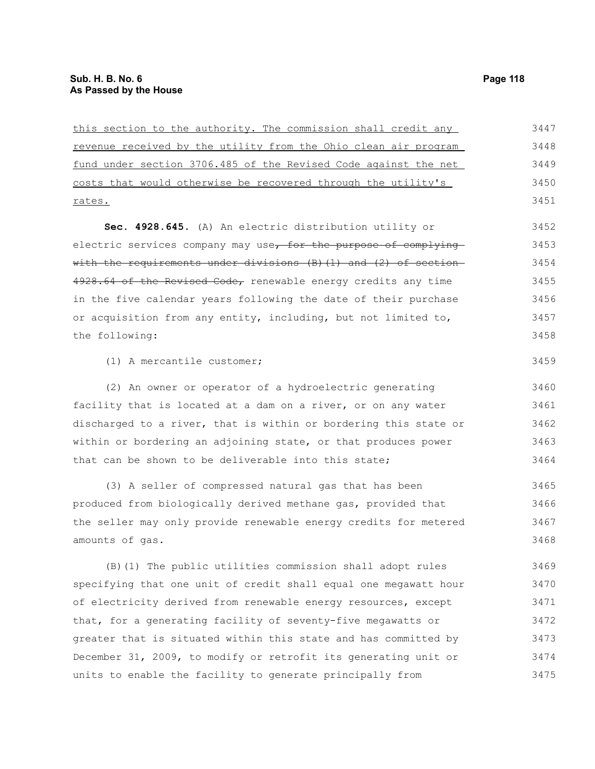| this section to the authority. The commission shall credit any         | 3447 |
|------------------------------------------------------------------------|------|
| revenue received by the utility from the Ohio clean air program        | 3448 |
| fund under section 3706.485 of the Revised Code against the net        | 3449 |
| costs that would otherwise be recovered through the utility's          | 3450 |
| rates.                                                                 | 3451 |
| Sec. 4928.645. (A) An electric distribution utility or                 | 3452 |
| electric services company may use, for the purpose of complying        | 3453 |
| with the requirements under divisions $(B)$ $(1)$ and $(2)$ of section | 3454 |
| 4928.64 of the Revised Code, renewable energy credits any time         | 3455 |
| in the five calendar years following the date of their purchase        | 3456 |
| or acquisition from any entity, including, but not limited to,         | 3457 |
| the following:                                                         | 3458 |
| (1) A mercantile customer;                                             | 3459 |
| (2) An owner or operator of a hydroelectric generating                 | 3460 |
| facility that is located at a dam on a river, or on any water          | 3461 |
| discharged to a river, that is within or bordering this state or       | 3462 |
| within or bordering an adjoining state, or that produces power         | 3463 |
| that can be shown to be deliverable into this state;                   | 3464 |
| (3) A seller of compressed natural gas that has been                   | 3465 |
| produced from biologically derived methane gas, provided that          | 3466 |
| the seller may only provide renewable energy credits for metered       | 3467 |
| amounts of gas.                                                        | 3468 |
| (B) (1) The public utilities commission shall adopt rules              | 3469 |
| specifying that one unit of credit shall equal one megawatt hour       | 3470 |
| of electricity derived from renewable energy resources, except         | 3471 |
| that, for a generating facility of seventy-five megawatts or           | 3472 |
| greater that is situated within this state and has committed by        | 3473 |
| December 31, 2009, to modify or retrofit its generating unit or        | 3474 |
| units to enable the facility to generate principally from              | 3475 |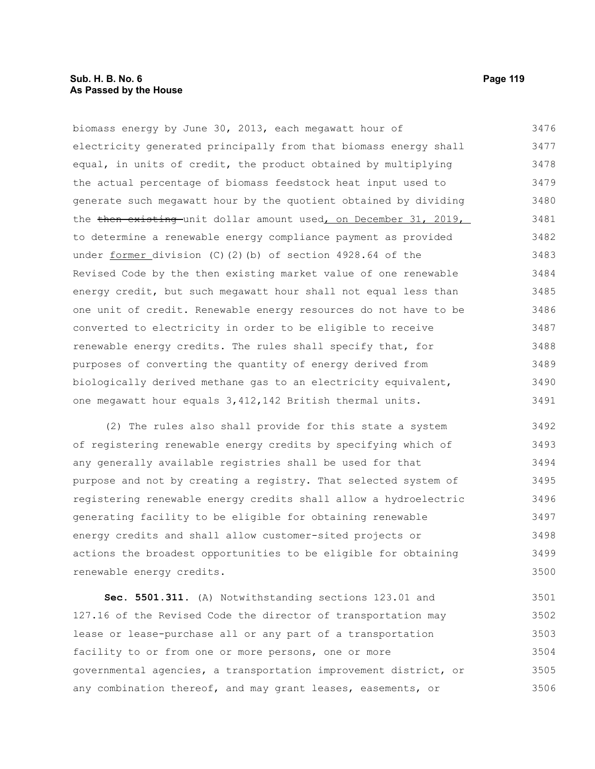biomass energy by June 30, 2013, each megawatt hour of electricity generated principally from that biomass energy shall equal, in units of credit, the product obtained by multiplying the actual percentage of biomass feedstock heat input used to generate such megawatt hour by the quotient obtained by dividing the then existing unit dollar amount used, on December 31, 2019, to determine a renewable energy compliance payment as provided under former division (C)(2)(b) of section 4928.64 of the Revised Code by the then existing market value of one renewable energy credit, but such megawatt hour shall not equal less than one unit of credit. Renewable energy resources do not have to be converted to electricity in order to be eligible to receive renewable energy credits. The rules shall specify that, for purposes of converting the quantity of energy derived from biologically derived methane gas to an electricity equivalent, one megawatt hour equals 3,412,142 British thermal units. 3476 3477 3478 3479 3480 3481 3482 3483 3484 3485 3486 3487 3488 3489 3490 3491

(2) The rules also shall provide for this state a system of registering renewable energy credits by specifying which of any generally available registries shall be used for that purpose and not by creating a registry. That selected system of registering renewable energy credits shall allow a hydroelectric generating facility to be eligible for obtaining renewable energy credits and shall allow customer-sited projects or actions the broadest opportunities to be eligible for obtaining renewable energy credits. 3492 3493 3494 3495 3496 3497 3498 3499 3500

**Sec. 5501.311.** (A) Notwithstanding sections 123.01 and 127.16 of the Revised Code the director of transportation may lease or lease-purchase all or any part of a transportation facility to or from one or more persons, one or more governmental agencies, a transportation improvement district, or any combination thereof, and may grant leases, easements, or 3501 3502 3503 3504 3505 3506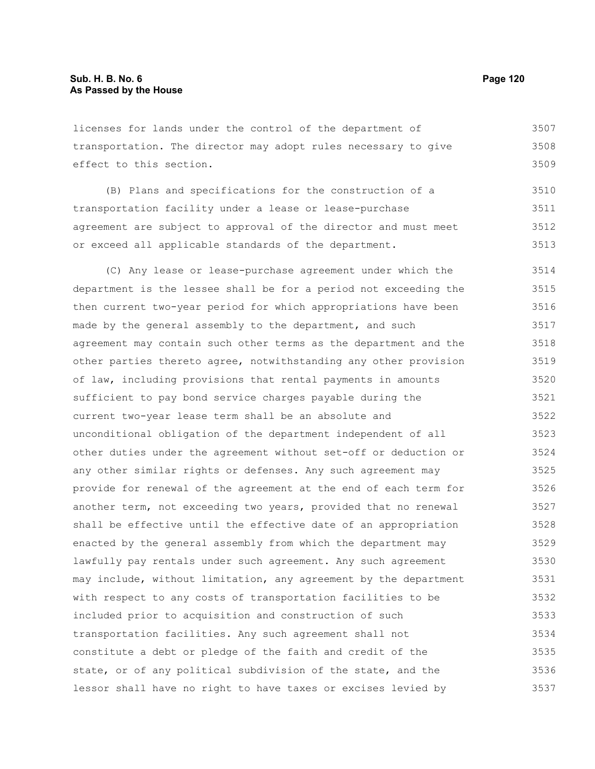licenses for lands under the control of the department of transportation. The director may adopt rules necessary to give effect to this section. 3507 3508 3509

(B) Plans and specifications for the construction of a transportation facility under a lease or lease-purchase agreement are subject to approval of the director and must meet or exceed all applicable standards of the department. 3510 3511 3512 3513

(C) Any lease or lease-purchase agreement under which the department is the lessee shall be for a period not exceeding the then current two-year period for which appropriations have been made by the general assembly to the department, and such agreement may contain such other terms as the department and the other parties thereto agree, notwithstanding any other provision of law, including provisions that rental payments in amounts sufficient to pay bond service charges payable during the current two-year lease term shall be an absolute and unconditional obligation of the department independent of all other duties under the agreement without set-off or deduction or any other similar rights or defenses. Any such agreement may provide for renewal of the agreement at the end of each term for another term, not exceeding two years, provided that no renewal shall be effective until the effective date of an appropriation enacted by the general assembly from which the department may lawfully pay rentals under such agreement. Any such agreement may include, without limitation, any agreement by the department with respect to any costs of transportation facilities to be included prior to acquisition and construction of such transportation facilities. Any such agreement shall not constitute a debt or pledge of the faith and credit of the state, or of any political subdivision of the state, and the lessor shall have no right to have taxes or excises levied by 3514 3515 3516 3517 3518 3519 3520 3521 3522 3523 3524 3525 3526 3527 3528 3529 3530 3531 3532 3533 3534 3535 3536 3537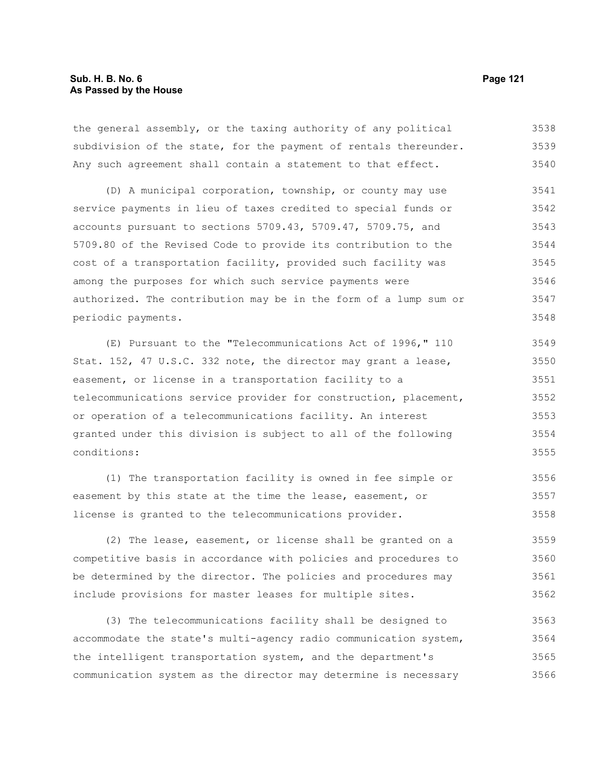the general assembly, or the taxing authority of any political subdivision of the state, for the payment of rentals thereunder. Any such agreement shall contain a statement to that effect. 3538 3539 3540

(D) A municipal corporation, township, or county may use service payments in lieu of taxes credited to special funds or accounts pursuant to sections 5709.43, 5709.47, 5709.75, and 5709.80 of the Revised Code to provide its contribution to the cost of a transportation facility, provided such facility was among the purposes for which such service payments were authorized. The contribution may be in the form of a lump sum or periodic payments. 3541 3542 3543 3544 3545 3546 3547 3548

(E) Pursuant to the "Telecommunications Act of 1996," 110 Stat. 152, 47 U.S.C. 332 note, the director may grant a lease, easement, or license in a transportation facility to a telecommunications service provider for construction, placement, or operation of a telecommunications facility. An interest granted under this division is subject to all of the following conditions: 3549 3550 3551 3552 3553 3554 3555

(1) The transportation facility is owned in fee simple or easement by this state at the time the lease, easement, or license is granted to the telecommunications provider. 3556 3557 3558

(2) The lease, easement, or license shall be granted on a competitive basis in accordance with policies and procedures to be determined by the director. The policies and procedures may include provisions for master leases for multiple sites. 3559 3560 3561 3562

(3) The telecommunications facility shall be designed to accommodate the state's multi-agency radio communication system, the intelligent transportation system, and the department's communication system as the director may determine is necessary 3563 3564 3565 3566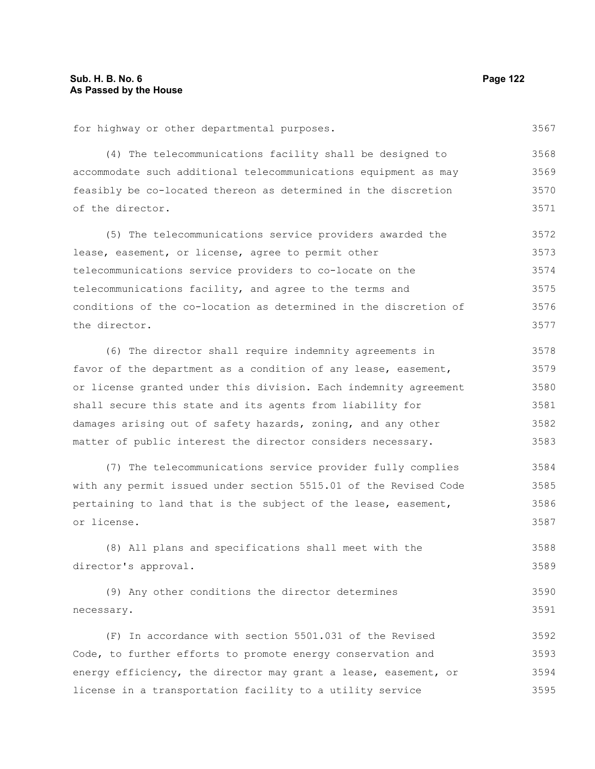for highway or other departmental purposes.

3567

(4) The telecommunications facility shall be designed to accommodate such additional telecommunications equipment as may feasibly be co-located thereon as determined in the discretion of the director. 3568 3569 3570 3571

(5) The telecommunications service providers awarded the lease, easement, or license, agree to permit other telecommunications service providers to co-locate on the telecommunications facility, and agree to the terms and conditions of the co-location as determined in the discretion of the director. 3572 3573 3574 3575 3576 3577

(6) The director shall require indemnity agreements in favor of the department as a condition of any lease, easement, or license granted under this division. Each indemnity agreement shall secure this state and its agents from liability for damages arising out of safety hazards, zoning, and any other matter of public interest the director considers necessary. 3578 3579 3580 3581 3582 3583

(7) The telecommunications service provider fully complies with any permit issued under section 5515.01 of the Revised Code pertaining to land that is the subject of the lease, easement, or license. 3584 3585 3586 3587

(8) All plans and specifications shall meet with the director's approval. 3588 3589

(9) Any other conditions the director determines necessary. 3590 3591

(F) In accordance with section 5501.031 of the Revised Code, to further efforts to promote energy conservation and energy efficiency, the director may grant a lease, easement, or license in a transportation facility to a utility service 3592 3593 3594 3595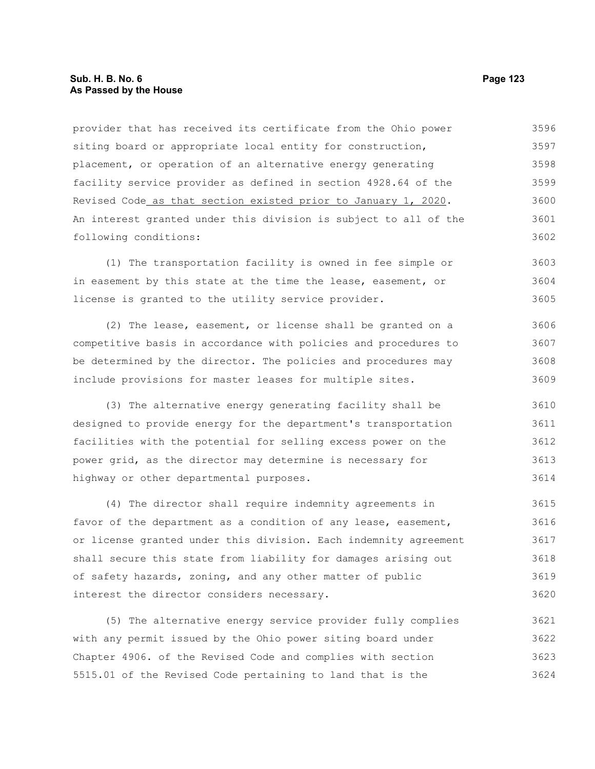provider that has received its certificate from the Ohio power siting board or appropriate local entity for construction, placement, or operation of an alternative energy generating facility service provider as defined in section 4928.64 of the Revised Code as that section existed prior to January 1, 2020. An interest granted under this division is subject to all of the following conditions: 3596 3597 3598 3599 3600 3601 3602

(1) The transportation facility is owned in fee simple or in easement by this state at the time the lease, easement, or license is granted to the utility service provider. 3603 3604 3605

(2) The lease, easement, or license shall be granted on a competitive basis in accordance with policies and procedures to be determined by the director. The policies and procedures may include provisions for master leases for multiple sites. 3606 3607 3608 3609

(3) The alternative energy generating facility shall be designed to provide energy for the department's transportation facilities with the potential for selling excess power on the power grid, as the director may determine is necessary for highway or other departmental purposes. 3610 3611 3612 3613 3614

(4) The director shall require indemnity agreements in favor of the department as a condition of any lease, easement, or license granted under this division. Each indemnity agreement shall secure this state from liability for damages arising out of safety hazards, zoning, and any other matter of public interest the director considers necessary. 3615 3616 3617 3618 3619 3620

(5) The alternative energy service provider fully complies with any permit issued by the Ohio power siting board under Chapter 4906. of the Revised Code and complies with section 5515.01 of the Revised Code pertaining to land that is the 3621 3622 3623 3624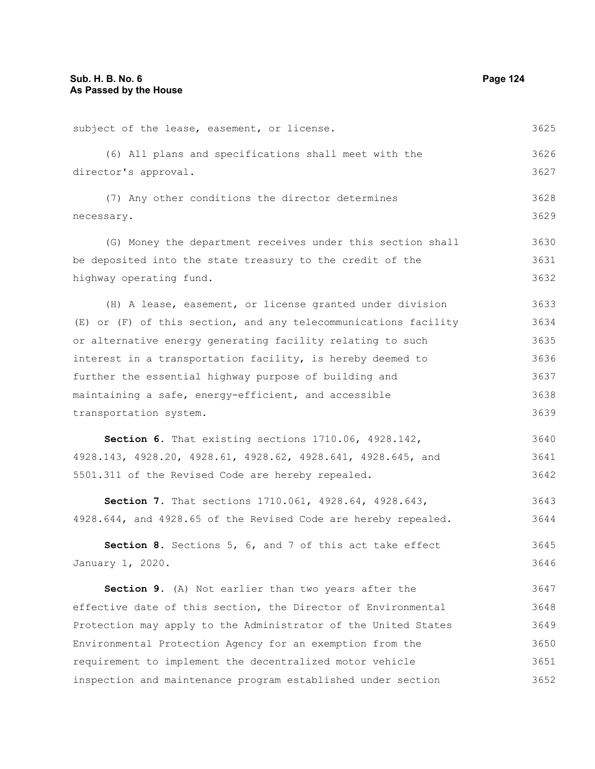subject of the lease, easement, or license. (6) All plans and specifications shall meet with the director's approval. (7) Any other conditions the director determines necessary. (G) Money the department receives under this section shall be deposited into the state treasury to the credit of the highway operating fund. (H) A lease, easement, or license granted under division (E) or (F) of this section, and any telecommunications facility or alternative energy generating facility relating to such interest in a transportation facility, is hereby deemed to further the essential highway purpose of building and maintaining a safe, energy-efficient, and accessible transportation system. **Section 6.** That existing sections 1710.06, 4928.142, 4928.143, 4928.20, 4928.61, 4928.62, 4928.641, 4928.645, and 5501.311 of the Revised Code are hereby repealed. **Section 7.** That sections 1710.061, 4928.64, 4928.643, 4928.644, and 4928.65 of the Revised Code are hereby repealed. **Section 8.** Sections 5, 6, and 7 of this act take effect January 1, 2020. **Section 9.** (A) Not earlier than two years after the effective date of this section, the Director of Environmental Protection may apply to the Administrator of the United States Environmental Protection Agency for an exemption from the requirement to implement the decentralized motor vehicle inspection and maintenance program established under section 3625 3626 3627 3628 3629 3630 3631 3632 3633 3634 3635 3636 3637 3638 3639 3640 3641 3642 3643 3644 3645 3646 3647 3648 3649 3650 3651 3652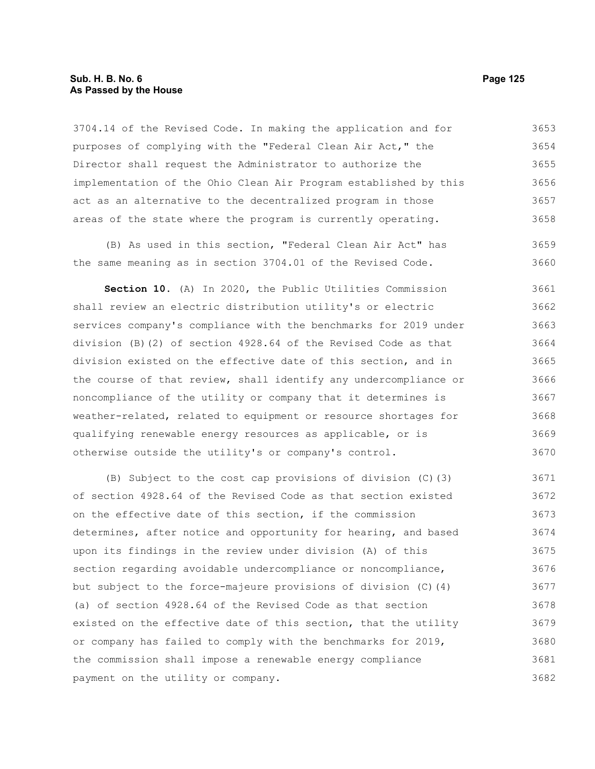3704.14 of the Revised Code. In making the application and for purposes of complying with the "Federal Clean Air Act," the Director shall request the Administrator to authorize the implementation of the Ohio Clean Air Program established by this act as an alternative to the decentralized program in those areas of the state where the program is currently operating. 3653 3654 3655 3656 3657 3658

(B) As used in this section, "Federal Clean Air Act" has the same meaning as in section 3704.01 of the Revised Code. 3659 3660

**Section 10.** (A) In 2020, the Public Utilities Commission shall review an electric distribution utility's or electric services company's compliance with the benchmarks for 2019 under division (B)(2) of section 4928.64 of the Revised Code as that division existed on the effective date of this section, and in the course of that review, shall identify any undercompliance or noncompliance of the utility or company that it determines is weather-related, related to equipment or resource shortages for qualifying renewable energy resources as applicable, or is otherwise outside the utility's or company's control. 3661 3662 3663 3664 3665 3666 3667 3668 3669 3670

(B) Subject to the cost cap provisions of division (C)(3) of section 4928.64 of the Revised Code as that section existed on the effective date of this section, if the commission determines, after notice and opportunity for hearing, and based upon its findings in the review under division (A) of this section regarding avoidable undercompliance or noncompliance, but subject to the force-majeure provisions of division (C)(4) (a) of section 4928.64 of the Revised Code as that section existed on the effective date of this section, that the utility or company has failed to comply with the benchmarks for 2019, the commission shall impose a renewable energy compliance payment on the utility or company. 3671 3672 3673 3674 3675 3676 3677 3678 3679 3680 3681 3682